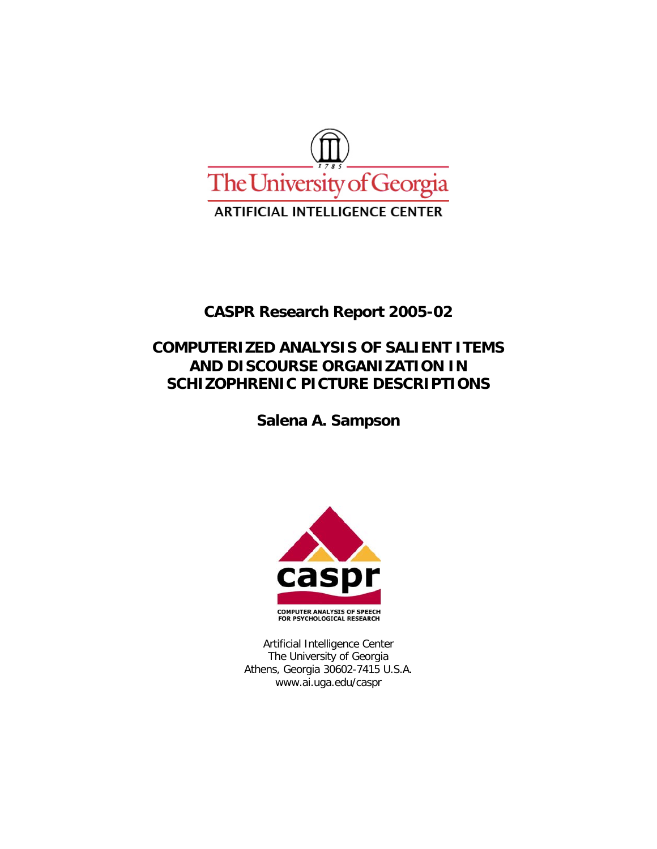

## **CASPR Research Report 2005-02**

## **COMPUTERIZED ANALYSIS OF SALIENT ITEMS AND DISCOURSE ORGANIZATION IN SCHIZOPHRENIC PICTURE DESCRIPTIONS**

**Salena A. Sampson** 



Artificial Intelligence Center The University of Georgia Athens, Georgia 30602-7415 U.S.A. www.ai.uga.edu/caspr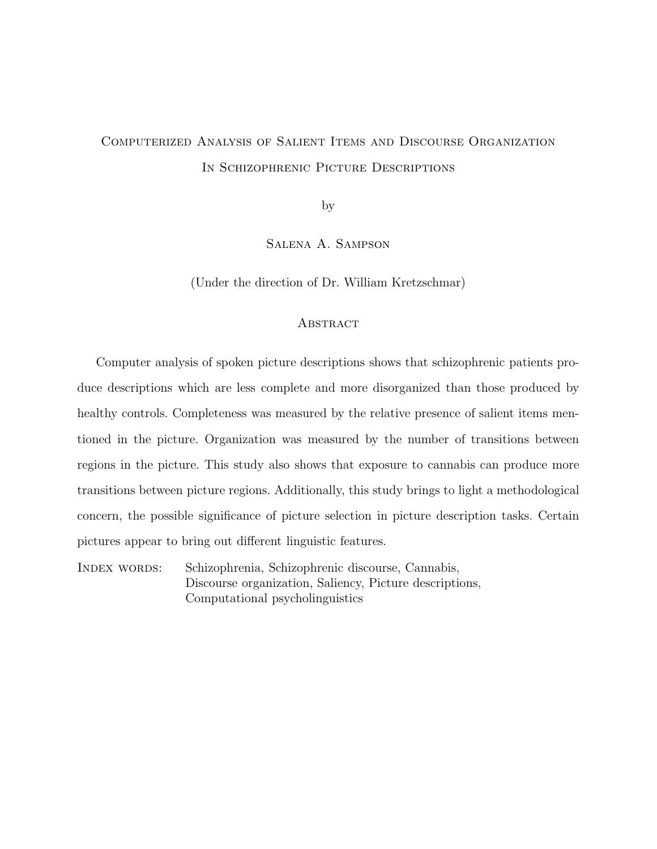# Computerized Analysis of Salient Items and Discourse Organization In Schizophrenic Picture Descriptions

by

Salena A. Sampson

(Under the direction of Dr. William Kretzschmar)

### **ABSTRACT**

Computer analysis of spoken picture descriptions shows that schizophrenic patients produce descriptions which are less complete and more disorganized than those produced by healthy controls. Completeness was measured by the relative presence of salient items mentioned in the picture. Organization was measured by the number of transitions between regions in the picture. This study also shows that exposure to cannabis can produce more transitions between picture regions. Additionally, this study brings to light a methodological concern, the possible significance of picture selection in picture description tasks. Certain pictures appear to bring out different linguistic features.

Index words: Schizophrenia, Schizophrenic discourse, Cannabis, Discourse organization, Saliency, Picture descriptions, Computational psycholinguistics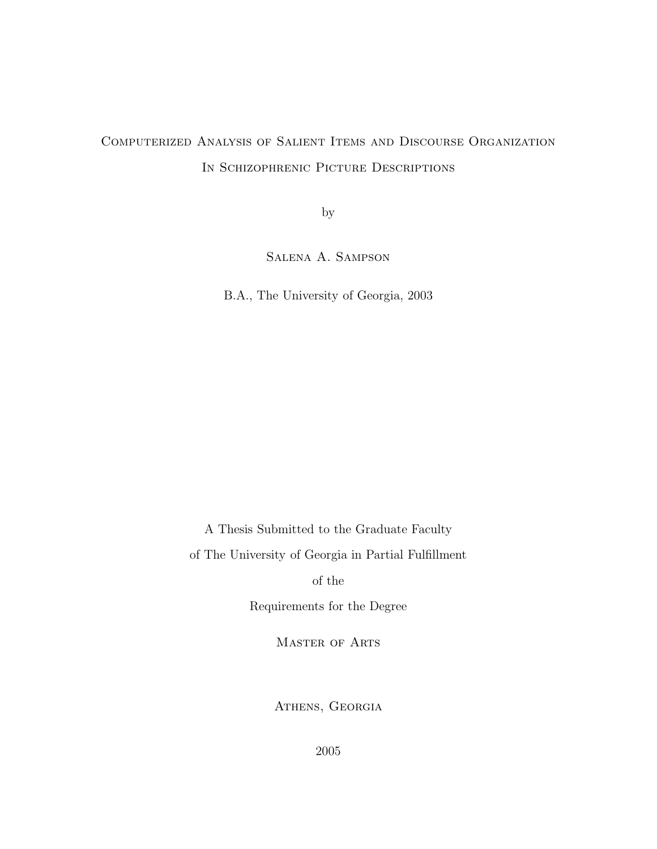# Computerized Analysis of Salient Items and Discourse Organization In Schizophrenic Picture Descriptions

by

Salena A. Sampson

B.A., The University of Georgia, 2003

A Thesis Submitted to the Graduate Faculty

of The University of Georgia in Partial Fulfillment

of the

Requirements for the Degree

Master of Arts

ATHENS, GEORGIA

2005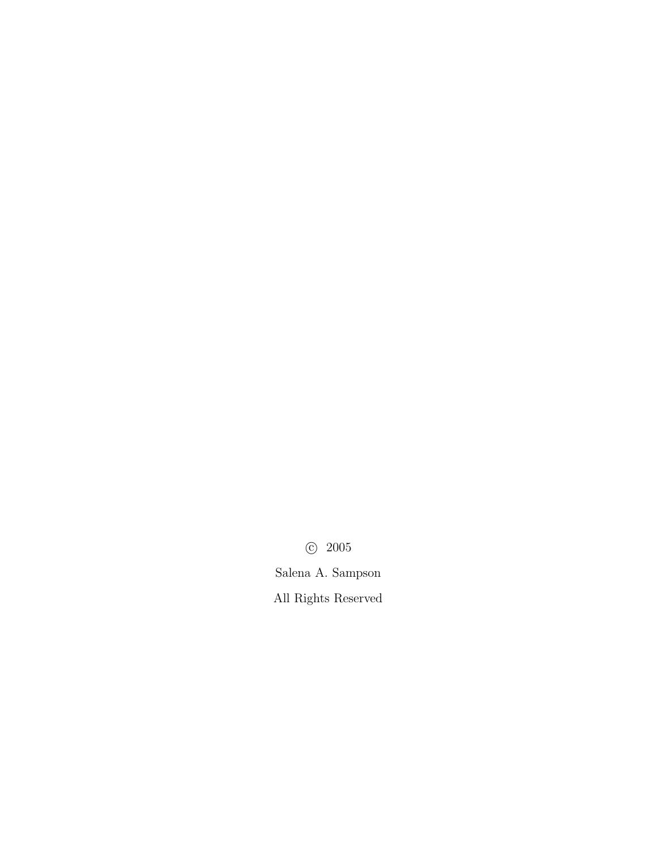c 2005 Salena A. Sampson All Rights Reserved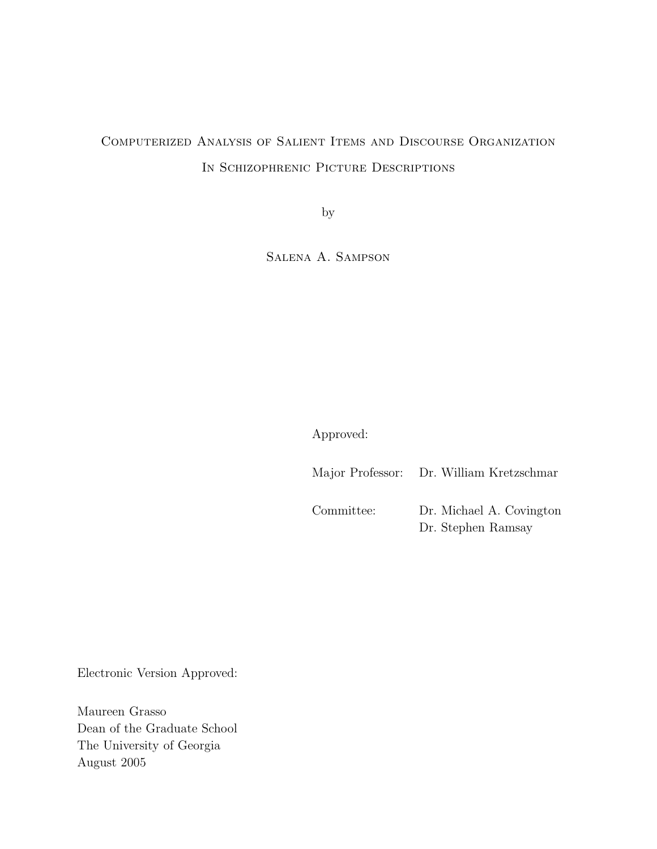# Computerized Analysis of Salient Items and Discourse Organization In Schizophrenic Picture Descriptions

by

Salena A. Sampson

Approved:

Major Professor: Dr. William Kretzschmar Committee: Dr. Michael A. Covington Dr. Stephen Ramsay

Electronic Version Approved:

Maureen Grasso Dean of the Graduate School The University of Georgia August 2005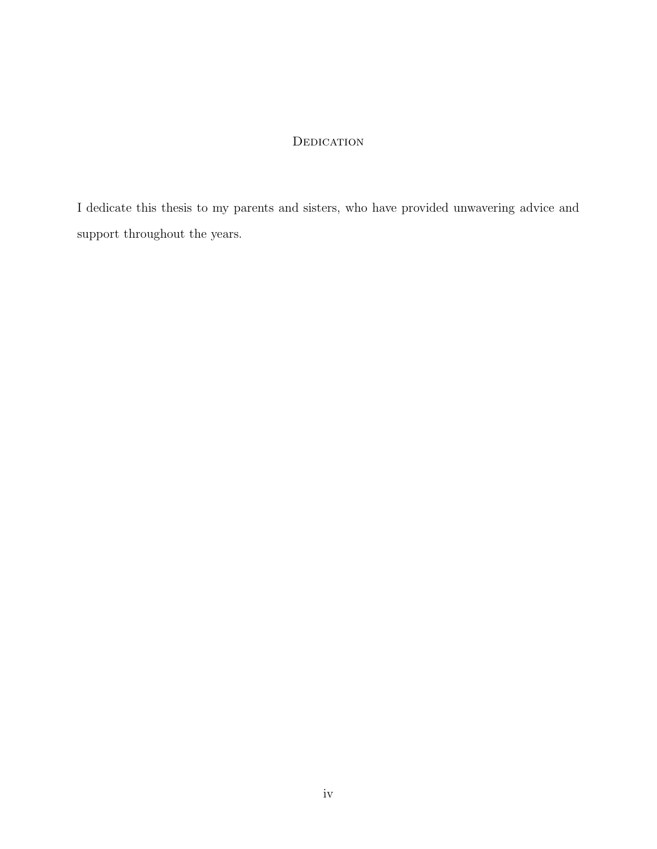## **DEDICATION**

I dedicate this thesis to my parents and sisters, who have provided unwavering advice and support throughout the years.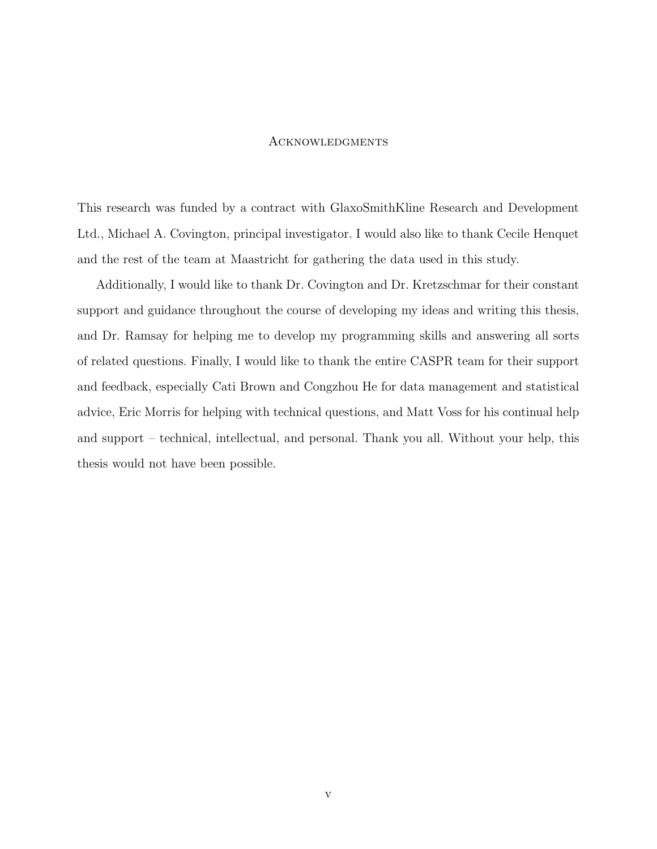## **ACKNOWLEDGMENTS**

This research was funded by a contract with GlaxoSmithKline Research and Development Ltd., Michael A. Covington, principal investigator. I would also like to thank Cecile Henquet and the rest of the team at Maastricht for gathering the data used in this study.

Additionally, I would like to thank Dr. Covington and Dr. Kretzschmar for their constant support and guidance throughout the course of developing my ideas and writing this thesis, and Dr. Ramsay for helping me to develop my programming skills and answering all sorts of related questions. Finally, I would like to thank the entire CASPR team for their support and feedback, especially Cati Brown and Congzhou He for data management and statistical advice, Eric Morris for helping with technical questions, and Matt Voss for his continual help and support – technical, intellectual, and personal. Thank you all. Without your help, this thesis would not have been possible.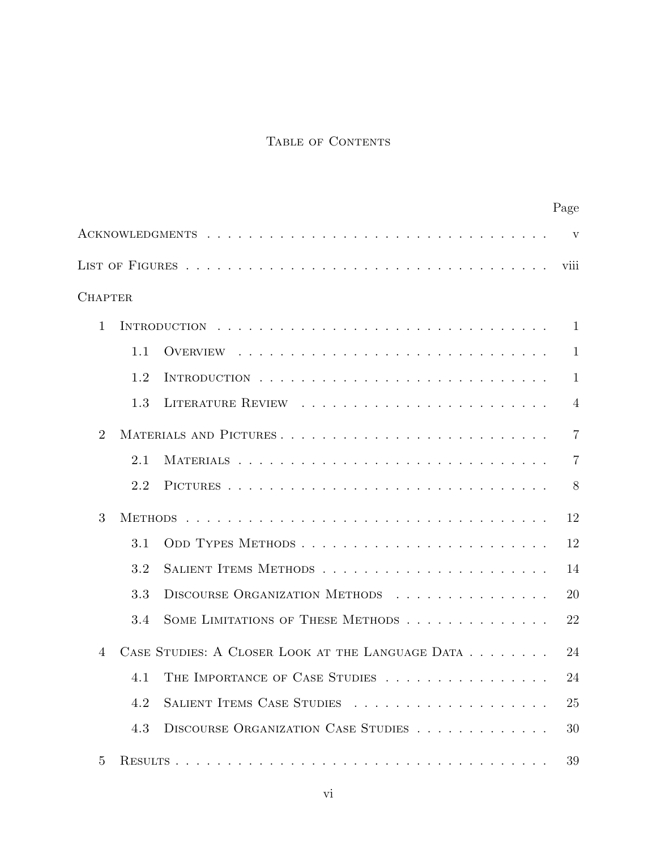## TABLE OF CONTENTS

|                                                                    |  | Page                    |
|--------------------------------------------------------------------|--|-------------------------|
|                                                                    |  | $\overline{\mathbf{V}}$ |
|                                                                    |  | viii                    |
| <b>CHAPTER</b>                                                     |  |                         |
| $\mathbf{1}$                                                       |  | $\mathbf{1}$            |
| 1.1                                                                |  | $\mathbf{1}$            |
| 1.2                                                                |  | $\mathbf{1}$            |
| 1.3                                                                |  | $\overline{4}$          |
| $\overline{2}$<br>MATERIALS AND PICTURES                           |  | $\overline{7}$          |
| 2.1                                                                |  | 7                       |
| 2.2                                                                |  | 8                       |
| 3                                                                  |  | 12                      |
| 3.1                                                                |  | 12                      |
| 3.2                                                                |  | 14                      |
| DISCOURSE ORGANIZATION METHODS<br>3.3                              |  | 20                      |
| SOME LIMITATIONS OF THESE METHODS<br>3.4                           |  | 22                      |
| CASE STUDIES: A CLOSER LOOK AT THE LANGUAGE DATA<br>$\overline{4}$ |  | 24                      |
| THE IMPORTANCE OF CASE STUDIES<br>4.1                              |  | 24                      |
| SALIENT ITEMS CASE STUDIES<br>4.2                                  |  | 25                      |
| DISCOURSE ORGANIZATION CASE STUDIES<br>4.3                         |  | 30                      |
| 5                                                                  |  | 39                      |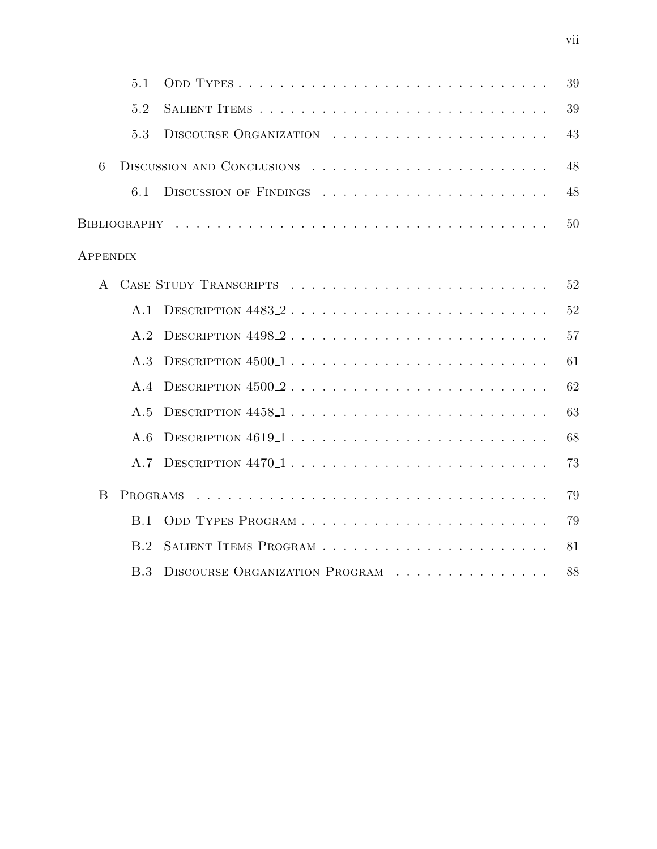|                 | 5.1      |                                                 | 39 |
|-----------------|----------|-------------------------------------------------|----|
|                 | 5.2      |                                                 | 39 |
|                 | 5.3      |                                                 | 43 |
| 6               |          | DISCUSSION AND CONCLUSIONS $\ldots$ , , , , , , | 48 |
|                 | 6.1      | DISCUSSION OF FINDINGS $\ldots$ ,               | 48 |
|                 |          |                                                 | 50 |
| <b>APPENDIX</b> |          |                                                 |    |
| $\mathbf{A}$    |          |                                                 | 52 |
|                 | A.1      |                                                 | 52 |
|                 | A.2      |                                                 | 57 |
|                 | A.3      | DESCRIPTION $4500-1$                            | 61 |
|                 | A.4      | DESCRIPTION $4500.2$                            | 62 |
|                 | A.5      |                                                 | 63 |
|                 | A.6      | DESCRIPTION 46191                               | 68 |
|                 | A.7      |                                                 | 73 |
| B               | PROGRAMS |                                                 | 79 |
|                 | B.1      |                                                 | 79 |
|                 | B.2      |                                                 | 81 |
|                 | B.3      | DISCOURSE ORGANIZATION PROGRAM                  | 88 |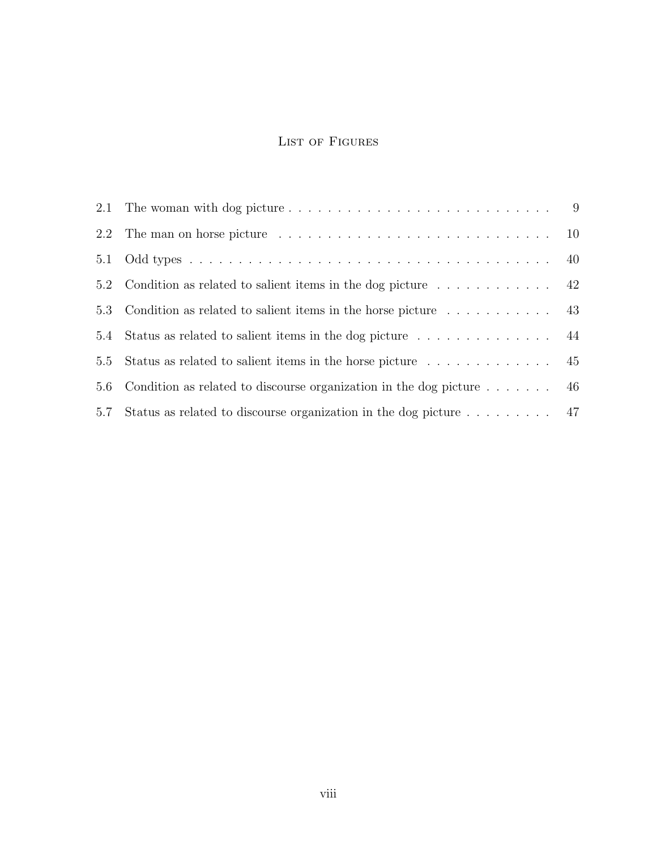## LIST OF FIGURES

| 5.1 |                                                                                        |  |
|-----|----------------------------------------------------------------------------------------|--|
|     | 5.2 Condition as related to salient items in the dog picture $\dots \dots \dots \dots$ |  |
|     | 5.3 Condition as related to salient items in the horse picture $\dots \dots \dots$     |  |
| 5.4 |                                                                                        |  |
| 5.5 | Status as related to salient items in the horse picture $\dots \dots \dots \dots$ 45   |  |
| 5.6 | Condition as related to discourse organization in the dog picture $\dots \dots$ 46     |  |
| 5.7 |                                                                                        |  |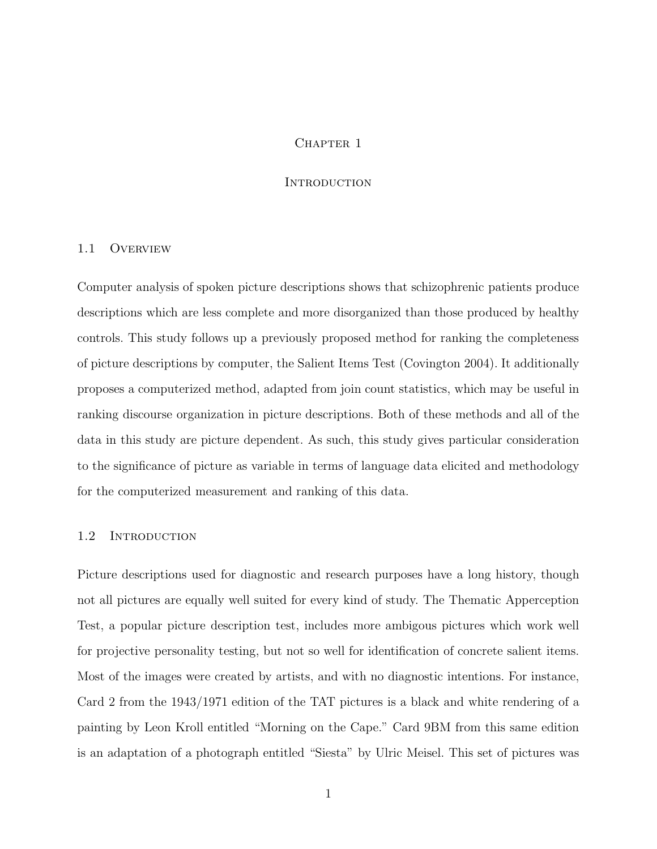## CHAPTER 1

### **INTRODUCTION**

### 1.1 Overview

Computer analysis of spoken picture descriptions shows that schizophrenic patients produce descriptions which are less complete and more disorganized than those produced by healthy controls. This study follows up a previously proposed method for ranking the completeness of picture descriptions by computer, the Salient Items Test (Covington 2004). It additionally proposes a computerized method, adapted from join count statistics, which may be useful in ranking discourse organization in picture descriptions. Both of these methods and all of the data in this study are picture dependent. As such, this study gives particular consideration to the significance of picture as variable in terms of language data elicited and methodology for the computerized measurement and ranking of this data.

## 1.2 INTRODUCTION

Picture descriptions used for diagnostic and research purposes have a long history, though not all pictures are equally well suited for every kind of study. The Thematic Apperception Test, a popular picture description test, includes more ambigous pictures which work well for projective personality testing, but not so well for identification of concrete salient items. Most of the images were created by artists, and with no diagnostic intentions. For instance, Card 2 from the 1943/1971 edition of the TAT pictures is a black and white rendering of a painting by Leon Kroll entitled "Morning on the Cape." Card 9BM from this same edition is an adaptation of a photograph entitled "Siesta" by Ulric Meisel. This set of pictures was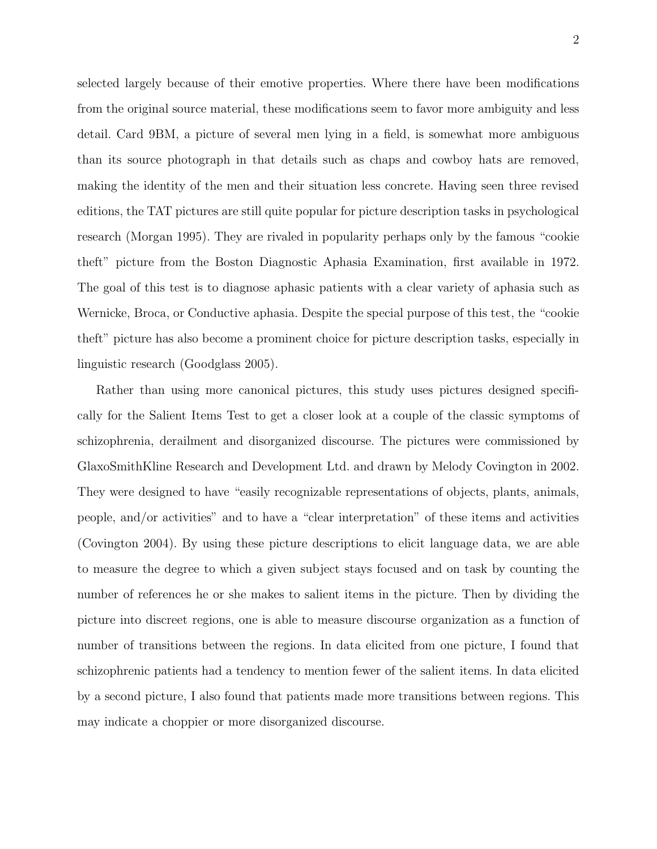selected largely because of their emotive properties. Where there have been modifications from the original source material, these modifications seem to favor more ambiguity and less detail. Card 9BM, a picture of several men lying in a field, is somewhat more ambiguous than its source photograph in that details such as chaps and cowboy hats are removed, making the identity of the men and their situation less concrete. Having seen three revised editions, the TAT pictures are still quite popular for picture description tasks in psychological research (Morgan 1995). They are rivaled in popularity perhaps only by the famous "cookie theft" picture from the Boston Diagnostic Aphasia Examination, first available in 1972. The goal of this test is to diagnose aphasic patients with a clear variety of aphasia such as Wernicke, Broca, or Conductive aphasia. Despite the special purpose of this test, the "cookie theft" picture has also become a prominent choice for picture description tasks, especially in linguistic research (Goodglass 2005).

Rather than using more canonical pictures, this study uses pictures designed specifically for the Salient Items Test to get a closer look at a couple of the classic symptoms of schizophrenia, derailment and disorganized discourse. The pictures were commissioned by GlaxoSmithKline Research and Development Ltd. and drawn by Melody Covington in 2002. They were designed to have "easily recognizable representations of objects, plants, animals, people, and/or activities" and to have a "clear interpretation" of these items and activities (Covington 2004). By using these picture descriptions to elicit language data, we are able to measure the degree to which a given subject stays focused and on task by counting the number of references he or she makes to salient items in the picture. Then by dividing the picture into discreet regions, one is able to measure discourse organization as a function of number of transitions between the regions. In data elicited from one picture, I found that schizophrenic patients had a tendency to mention fewer of the salient items. In data elicited by a second picture, I also found that patients made more transitions between regions. This may indicate a choppier or more disorganized discourse.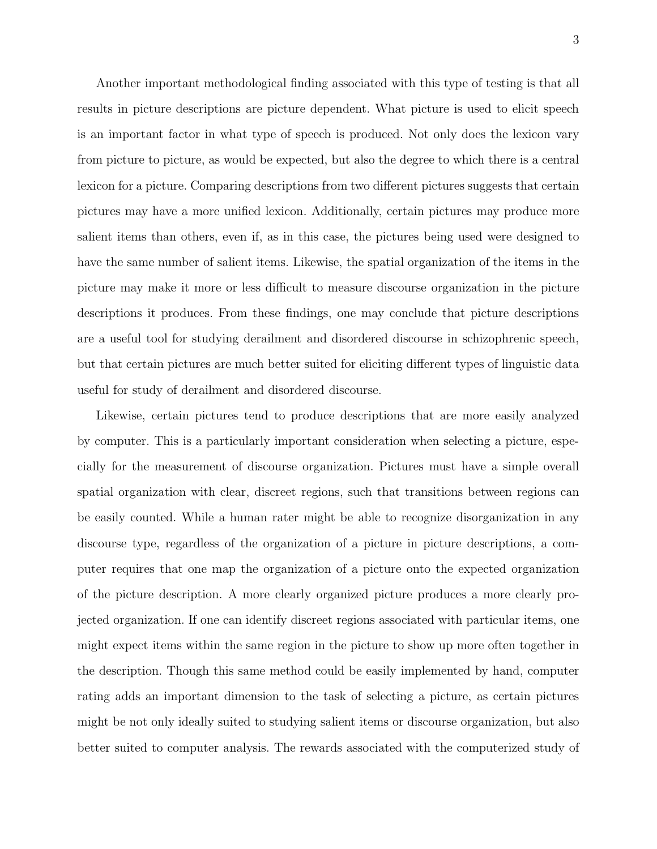Another important methodological finding associated with this type of testing is that all results in picture descriptions are picture dependent. What picture is used to elicit speech is an important factor in what type of speech is produced. Not only does the lexicon vary from picture to picture, as would be expected, but also the degree to which there is a central lexicon for a picture. Comparing descriptions from two different pictures suggests that certain pictures may have a more unified lexicon. Additionally, certain pictures may produce more salient items than others, even if, as in this case, the pictures being used were designed to have the same number of salient items. Likewise, the spatial organization of the items in the picture may make it more or less difficult to measure discourse organization in the picture descriptions it produces. From these findings, one may conclude that picture descriptions are a useful tool for studying derailment and disordered discourse in schizophrenic speech, but that certain pictures are much better suited for eliciting different types of linguistic data useful for study of derailment and disordered discourse.

Likewise, certain pictures tend to produce descriptions that are more easily analyzed by computer. This is a particularly important consideration when selecting a picture, especially for the measurement of discourse organization. Pictures must have a simple overall spatial organization with clear, discreet regions, such that transitions between regions can be easily counted. While a human rater might be able to recognize disorganization in any discourse type, regardless of the organization of a picture in picture descriptions, a computer requires that one map the organization of a picture onto the expected organization of the picture description. A more clearly organized picture produces a more clearly projected organization. If one can identify discreet regions associated with particular items, one might expect items within the same region in the picture to show up more often together in the description. Though this same method could be easily implemented by hand, computer rating adds an important dimension to the task of selecting a picture, as certain pictures might be not only ideally suited to studying salient items or discourse organization, but also better suited to computer analysis. The rewards associated with the computerized study of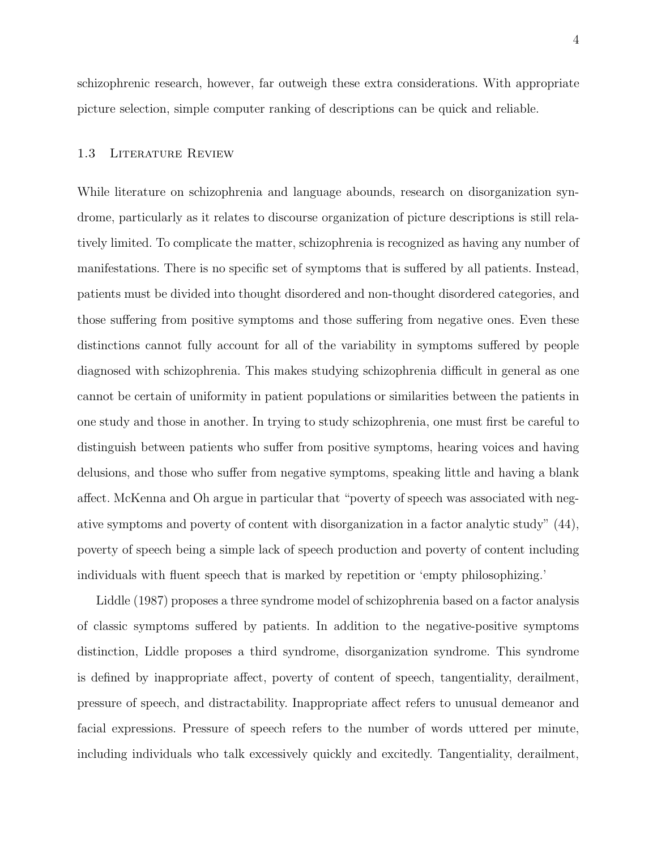schizophrenic research, however, far outweigh these extra considerations. With appropriate picture selection, simple computer ranking of descriptions can be quick and reliable.

## 1.3 Literature Review

While literature on schizophrenia and language abounds, research on disorganization syndrome, particularly as it relates to discourse organization of picture descriptions is still relatively limited. To complicate the matter, schizophrenia is recognized as having any number of manifestations. There is no specific set of symptoms that is suffered by all patients. Instead, patients must be divided into thought disordered and non-thought disordered categories, and those suffering from positive symptoms and those suffering from negative ones. Even these distinctions cannot fully account for all of the variability in symptoms suffered by people diagnosed with schizophrenia. This makes studying schizophrenia difficult in general as one cannot be certain of uniformity in patient populations or similarities between the patients in one study and those in another. In trying to study schizophrenia, one must first be careful to distinguish between patients who suffer from positive symptoms, hearing voices and having delusions, and those who suffer from negative symptoms, speaking little and having a blank affect. McKenna and Oh argue in particular that "poverty of speech was associated with negative symptoms and poverty of content with disorganization in a factor analytic study" (44), poverty of speech being a simple lack of speech production and poverty of content including individuals with fluent speech that is marked by repetition or 'empty philosophizing.'

Liddle (1987) proposes a three syndrome model of schizophrenia based on a factor analysis of classic symptoms suffered by patients. In addition to the negative-positive symptoms distinction, Liddle proposes a third syndrome, disorganization syndrome. This syndrome is defined by inappropriate affect, poverty of content of speech, tangentiality, derailment, pressure of speech, and distractability. Inappropriate affect refers to unusual demeanor and facial expressions. Pressure of speech refers to the number of words uttered per minute, including individuals who talk excessively quickly and excitedly. Tangentiality, derailment,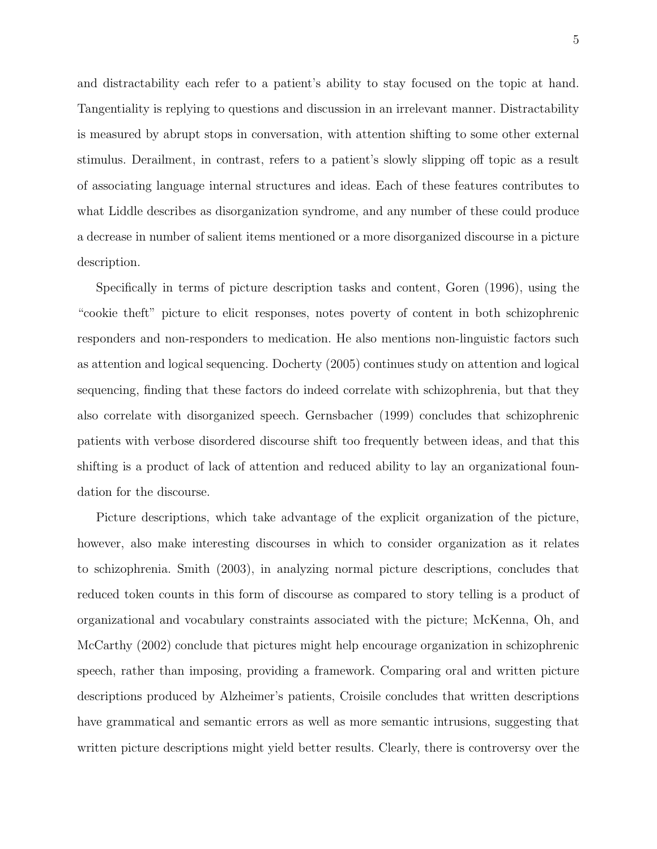and distractability each refer to a patient's ability to stay focused on the topic at hand. Tangentiality is replying to questions and discussion in an irrelevant manner. Distractability is measured by abrupt stops in conversation, with attention shifting to some other external stimulus. Derailment, in contrast, refers to a patient's slowly slipping off topic as a result of associating language internal structures and ideas. Each of these features contributes to what Liddle describes as disorganization syndrome, and any number of these could produce a decrease in number of salient items mentioned or a more disorganized discourse in a picture description.

Specifically in terms of picture description tasks and content, Goren (1996), using the "cookie theft" picture to elicit responses, notes poverty of content in both schizophrenic responders and non-responders to medication. He also mentions non-linguistic factors such as attention and logical sequencing. Docherty (2005) continues study on attention and logical sequencing, finding that these factors do indeed correlate with schizophrenia, but that they also correlate with disorganized speech. Gernsbacher (1999) concludes that schizophrenic patients with verbose disordered discourse shift too frequently between ideas, and that this shifting is a product of lack of attention and reduced ability to lay an organizational foundation for the discourse.

Picture descriptions, which take advantage of the explicit organization of the picture, however, also make interesting discourses in which to consider organization as it relates to schizophrenia. Smith (2003), in analyzing normal picture descriptions, concludes that reduced token counts in this form of discourse as compared to story telling is a product of organizational and vocabulary constraints associated with the picture; McKenna, Oh, and McCarthy (2002) conclude that pictures might help encourage organization in schizophrenic speech, rather than imposing, providing a framework. Comparing oral and written picture descriptions produced by Alzheimer's patients, Croisile concludes that written descriptions have grammatical and semantic errors as well as more semantic intrusions, suggesting that written picture descriptions might yield better results. Clearly, there is controversy over the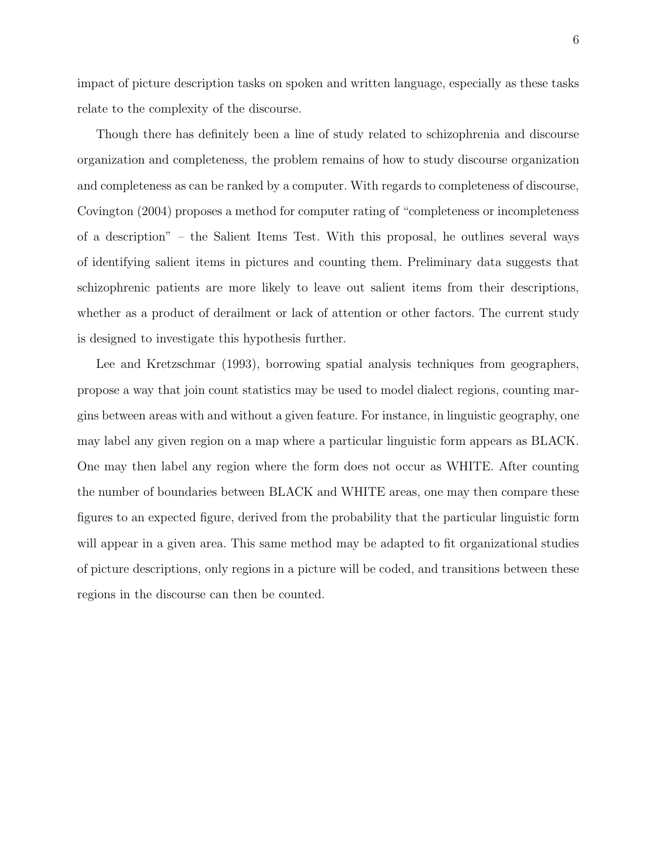impact of picture description tasks on spoken and written language, especially as these tasks relate to the complexity of the discourse.

Though there has definitely been a line of study related to schizophrenia and discourse organization and completeness, the problem remains of how to study discourse organization and completeness as can be ranked by a computer. With regards to completeness of discourse, Covington (2004) proposes a method for computer rating of "completeness or incompleteness of a description" – the Salient Items Test. With this proposal, he outlines several ways of identifying salient items in pictures and counting them. Preliminary data suggests that schizophrenic patients are more likely to leave out salient items from their descriptions, whether as a product of derailment or lack of attention or other factors. The current study is designed to investigate this hypothesis further.

Lee and Kretzschmar (1993), borrowing spatial analysis techniques from geographers, propose a way that join count statistics may be used to model dialect regions, counting margins between areas with and without a given feature. For instance, in linguistic geography, one may label any given region on a map where a particular linguistic form appears as BLACK. One may then label any region where the form does not occur as WHITE. After counting the number of boundaries between BLACK and WHITE areas, one may then compare these figures to an expected figure, derived from the probability that the particular linguistic form will appear in a given area. This same method may be adapted to fit organizational studies of picture descriptions, only regions in a picture will be coded, and transitions between these regions in the discourse can then be counted.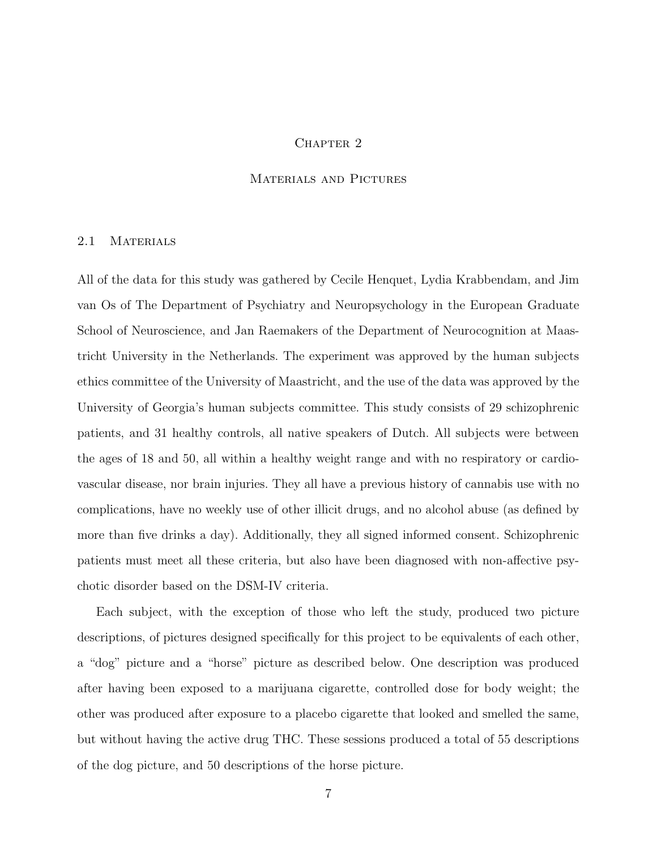## CHAPTER<sub>2</sub>

### Materials and Pictures

#### 2.1 MATERIALS

All of the data for this study was gathered by Cecile Henquet, Lydia Krabbendam, and Jim van Os of The Department of Psychiatry and Neuropsychology in the European Graduate School of Neuroscience, and Jan Raemakers of the Department of Neurocognition at Maastricht University in the Netherlands. The experiment was approved by the human subjects ethics committee of the University of Maastricht, and the use of the data was approved by the University of Georgia's human subjects committee. This study consists of 29 schizophrenic patients, and 31 healthy controls, all native speakers of Dutch. All subjects were between the ages of 18 and 50, all within a healthy weight range and with no respiratory or cardiovascular disease, nor brain injuries. They all have a previous history of cannabis use with no complications, have no weekly use of other illicit drugs, and no alcohol abuse (as defined by more than five drinks a day). Additionally, they all signed informed consent. Schizophrenic patients must meet all these criteria, but also have been diagnosed with non-affective psychotic disorder based on the DSM-IV criteria.

Each subject, with the exception of those who left the study, produced two picture descriptions, of pictures designed specifically for this project to be equivalents of each other, a "dog" picture and a "horse" picture as described below. One description was produced after having been exposed to a marijuana cigarette, controlled dose for body weight; the other was produced after exposure to a placebo cigarette that looked and smelled the same, but without having the active drug THC. These sessions produced a total of 55 descriptions of the dog picture, and 50 descriptions of the horse picture.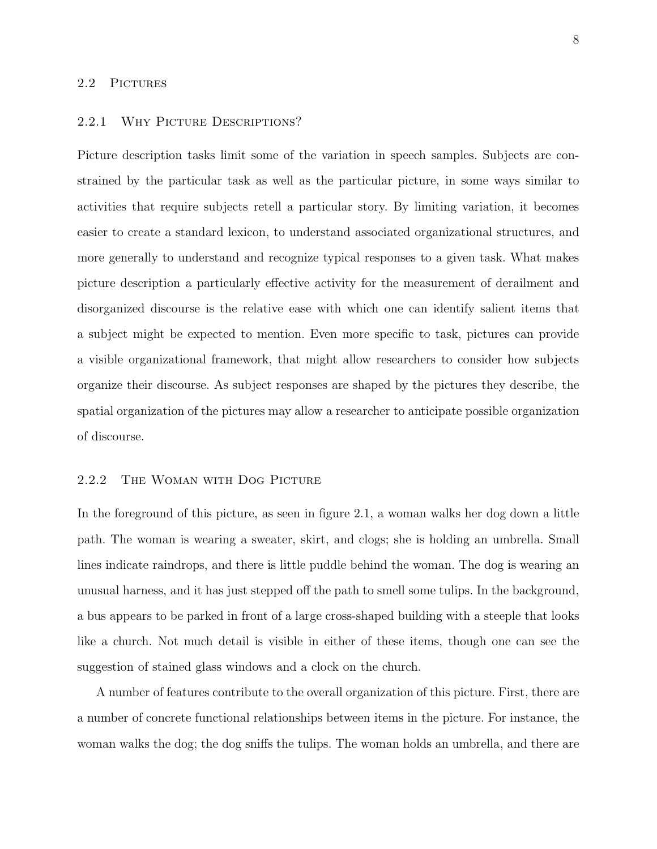#### 2.2 PICTURES

#### 2.2.1 WHY PICTURE DESCRIPTIONS?

Picture description tasks limit some of the variation in speech samples. Subjects are constrained by the particular task as well as the particular picture, in some ways similar to activities that require subjects retell a particular story. By limiting variation, it becomes easier to create a standard lexicon, to understand associated organizational structures, and more generally to understand and recognize typical responses to a given task. What makes picture description a particularly effective activity for the measurement of derailment and disorganized discourse is the relative ease with which one can identify salient items that a subject might be expected to mention. Even more specific to task, pictures can provide a visible organizational framework, that might allow researchers to consider how subjects organize their discourse. As subject responses are shaped by the pictures they describe, the spatial organization of the pictures may allow a researcher to anticipate possible organization of discourse.

## 2.2.2 The Woman with Dog Picture

In the foreground of this picture, as seen in figure 2.1, a woman walks her dog down a little path. The woman is wearing a sweater, skirt, and clogs; she is holding an umbrella. Small lines indicate raindrops, and there is little puddle behind the woman. The dog is wearing an unusual harness, and it has just stepped off the path to smell some tulips. In the background, a bus appears to be parked in front of a large cross-shaped building with a steeple that looks like a church. Not much detail is visible in either of these items, though one can see the suggestion of stained glass windows and a clock on the church.

A number of features contribute to the overall organization of this picture. First, there are a number of concrete functional relationships between items in the picture. For instance, the woman walks the dog; the dog sniffs the tulips. The woman holds an umbrella, and there are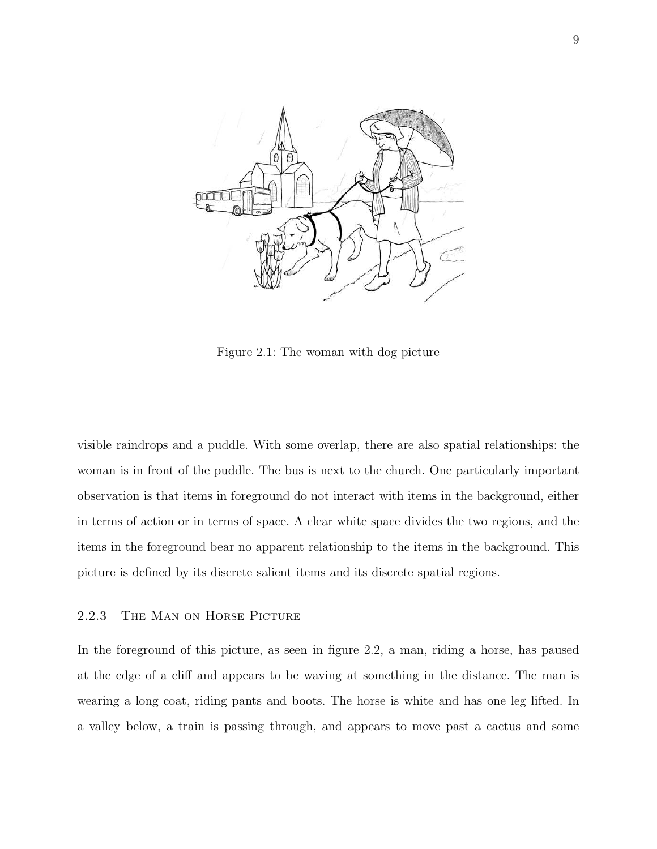

Figure 2.1: The woman with dog picture

visible raindrops and a puddle. With some overlap, there are also spatial relationships: the woman is in front of the puddle. The bus is next to the church. One particularly important observation is that items in foreground do not interact with items in the background, either in terms of action or in terms of space. A clear white space divides the two regions, and the items in the foreground bear no apparent relationship to the items in the background. This picture is defined by its discrete salient items and its discrete spatial regions.

## 2.2.3 The Man on Horse Picture

In the foreground of this picture, as seen in figure 2.2, a man, riding a horse, has paused at the edge of a cliff and appears to be waving at something in the distance. The man is wearing a long coat, riding pants and boots. The horse is white and has one leg lifted. In a valley below, a train is passing through, and appears to move past a cactus and some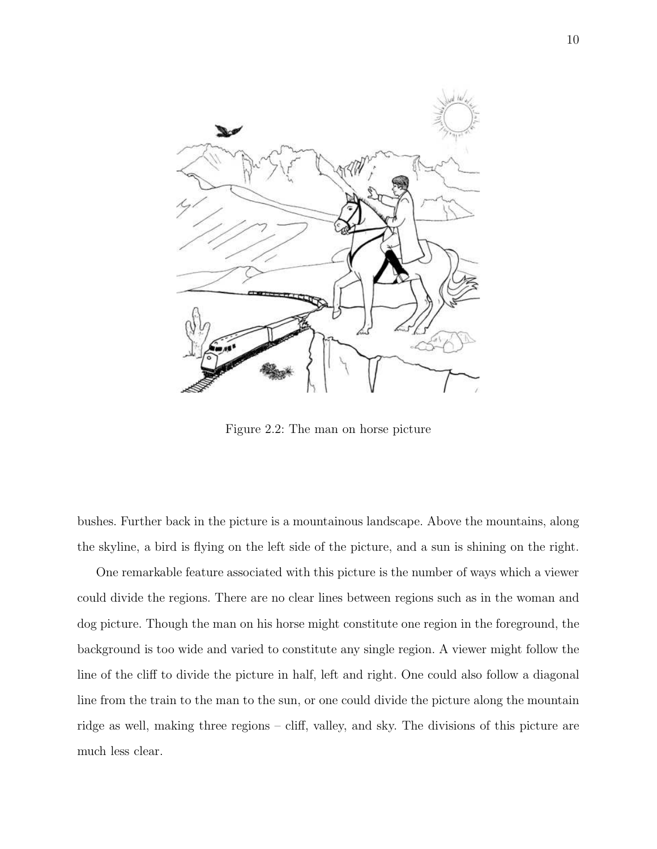

Figure 2.2: The man on horse picture

bushes. Further back in the picture is a mountainous landscape. Above the mountains, along the skyline, a bird is flying on the left side of the picture, and a sun is shining on the right.

One remarkable feature associated with this picture is the number of ways which a viewer could divide the regions. There are no clear lines between regions such as in the woman and dog picture. Though the man on his horse might constitute one region in the foreground, the background is too wide and varied to constitute any single region. A viewer might follow the line of the cliff to divide the picture in half, left and right. One could also follow a diagonal line from the train to the man to the sun, or one could divide the picture along the mountain ridge as well, making three regions – cliff, valley, and sky. The divisions of this picture are much less clear.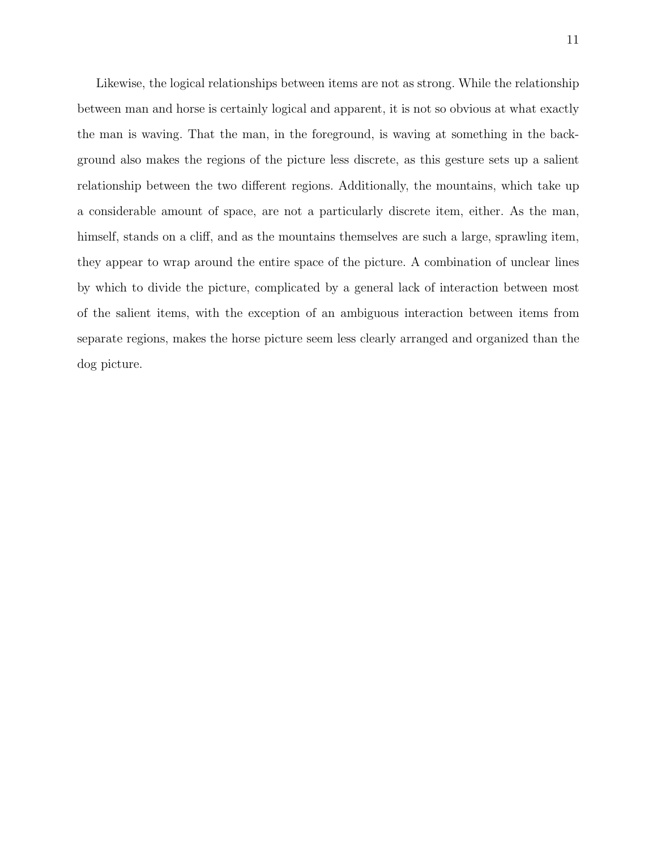Likewise, the logical relationships between items are not as strong. While the relationship between man and horse is certainly logical and apparent, it is not so obvious at what exactly the man is waving. That the man, in the foreground, is waving at something in the background also makes the regions of the picture less discrete, as this gesture sets up a salient relationship between the two different regions. Additionally, the mountains, which take up a considerable amount of space, are not a particularly discrete item, either. As the man, himself, stands on a cliff, and as the mountains themselves are such a large, sprawling item, they appear to wrap around the entire space of the picture. A combination of unclear lines by which to divide the picture, complicated by a general lack of interaction between most of the salient items, with the exception of an ambiguous interaction between items from separate regions, makes the horse picture seem less clearly arranged and organized than the dog picture.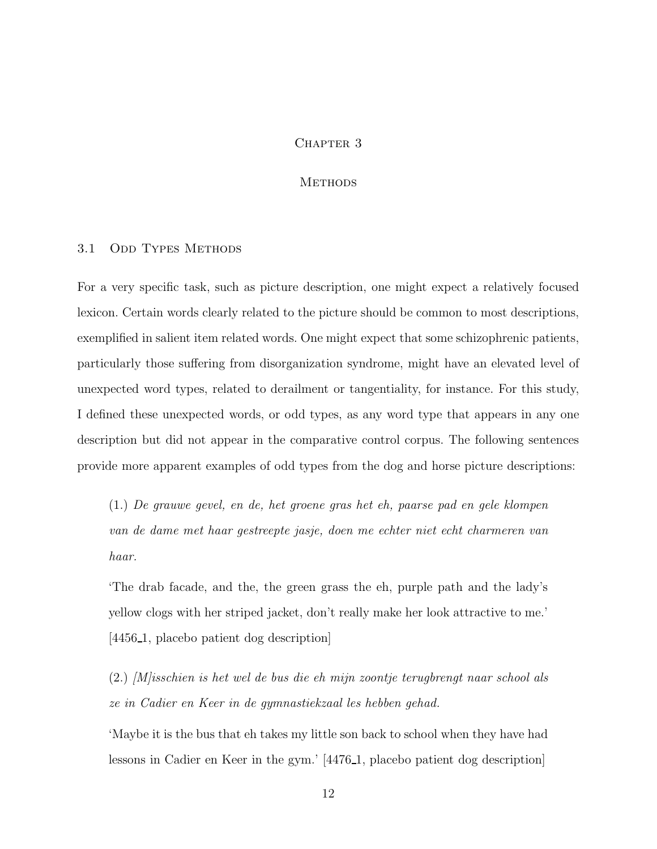## CHAPTER 3

#### **METHODS**

## 3.1 ODD TYPES METHODS

For a very specific task, such as picture description, one might expect a relatively focused lexicon. Certain words clearly related to the picture should be common to most descriptions, exemplified in salient item related words. One might expect that some schizophrenic patients, particularly those suffering from disorganization syndrome, might have an elevated level of unexpected word types, related to derailment or tangentiality, for instance. For this study, I defined these unexpected words, or odd types, as any word type that appears in any one description but did not appear in the comparative control corpus. The following sentences provide more apparent examples of odd types from the dog and horse picture descriptions:

(1.) De grauwe gevel, en de, het groene gras het eh, paarse pad en gele klompen van de dame met haar gestreepte jasje, doen me echter niet echt charmeren van haar.

'The drab facade, and the, the green grass the eh, purple path and the lady's yellow clogs with her striped jacket, don't really make her look attractive to me.' [4456 1, placebo patient dog description]

(2.) [M]isschien is het wel de bus die eh mijn zoontje terugbrengt naar school als ze in Cadier en Keer in de gymnastiekzaal les hebben gehad.

'Maybe it is the bus that eh takes my little son back to school when they have had lessons in Cadier en Keer in the gym.' [4476 1, placebo patient dog description]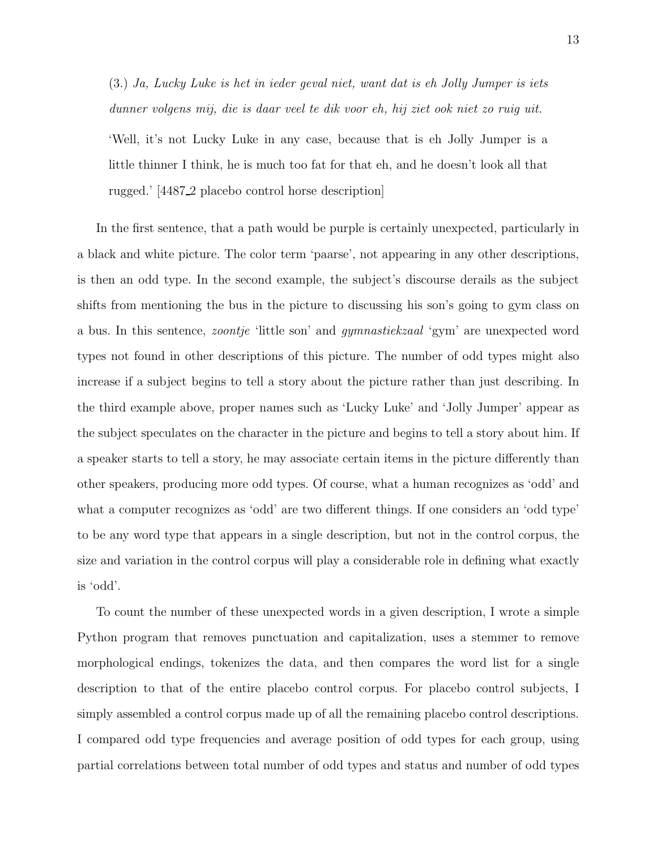(3.) Ja, Lucky Luke is het in ieder geval niet, want dat is eh Jolly Jumper is iets dunner volgens mij, die is daar veel te dik voor eh, hij ziet ook niet zo ruig uit.

'Well, it's not Lucky Luke in any case, because that is eh Jolly Jumper is a little thinner I think, he is much too fat for that eh, and he doesn't look all that rugged.' [4487 2 placebo control horse description]

In the first sentence, that a path would be purple is certainly unexpected, particularly in a black and white picture. The color term 'paarse', not appearing in any other descriptions, is then an odd type. In the second example, the subject's discourse derails as the subject shifts from mentioning the bus in the picture to discussing his son's going to gym class on a bus. In this sentence, zoontje 'little son' and gymnastiekzaal 'gym' are unexpected word types not found in other descriptions of this picture. The number of odd types might also increase if a subject begins to tell a story about the picture rather than just describing. In the third example above, proper names such as 'Lucky Luke' and 'Jolly Jumper' appear as the subject speculates on the character in the picture and begins to tell a story about him. If a speaker starts to tell a story, he may associate certain items in the picture differently than other speakers, producing more odd types. Of course, what a human recognizes as 'odd' and what a computer recognizes as 'odd' are two different things. If one considers an 'odd type' to be any word type that appears in a single description, but not in the control corpus, the size and variation in the control corpus will play a considerable role in defining what exactly is 'odd'.

To count the number of these unexpected words in a given description, I wrote a simple Python program that removes punctuation and capitalization, uses a stemmer to remove morphological endings, tokenizes the data, and then compares the word list for a single description to that of the entire placebo control corpus. For placebo control subjects, I simply assembled a control corpus made up of all the remaining placebo control descriptions. I compared odd type frequencies and average position of odd types for each group, using partial correlations between total number of odd types and status and number of odd types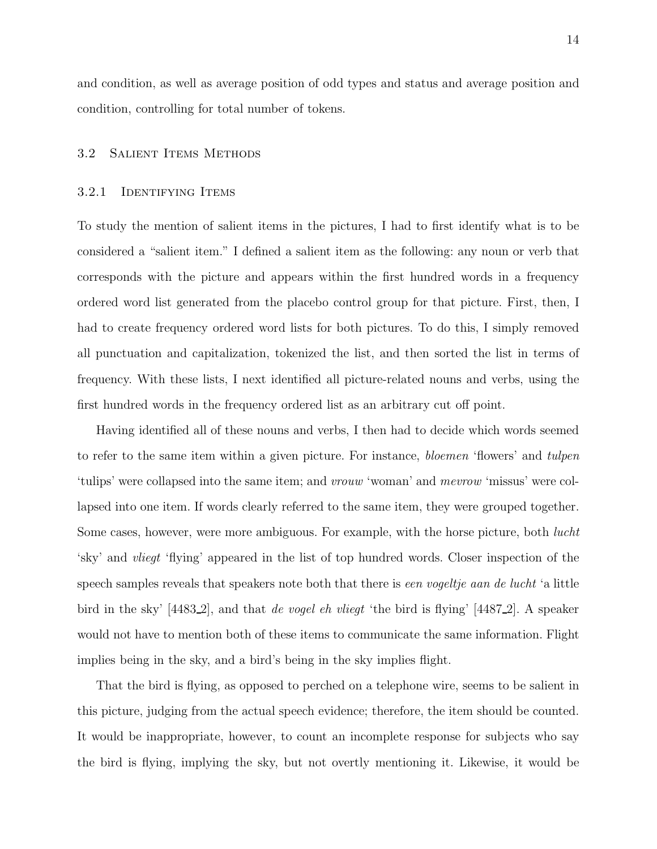and condition, as well as average position of odd types and status and average position and condition, controlling for total number of tokens.

## 3.2 SALIENT ITEMS METHODS

## 3.2.1 Identifying Items

To study the mention of salient items in the pictures, I had to first identify what is to be considered a "salient item." I defined a salient item as the following: any noun or verb that corresponds with the picture and appears within the first hundred words in a frequency ordered word list generated from the placebo control group for that picture. First, then, I had to create frequency ordered word lists for both pictures. To do this, I simply removed all punctuation and capitalization, tokenized the list, and then sorted the list in terms of frequency. With these lists, I next identified all picture-related nouns and verbs, using the first hundred words in the frequency ordered list as an arbitrary cut off point.

Having identified all of these nouns and verbs, I then had to decide which words seemed to refer to the same item within a given picture. For instance, bloemen 'flowers' and tulpen 'tulips' were collapsed into the same item; and vrouw 'woman' and mevrow 'missus' were collapsed into one item. If words clearly referred to the same item, they were grouped together. Some cases, however, were more ambiguous. For example, with the horse picture, both *lucht* 'sky' and vliegt 'flying' appeared in the list of top hundred words. Closer inspection of the speech samples reveals that speakers note both that there is een vogeltje aan de lucht 'a little bird in the sky' [4483\_2], and that *de vogel eh vliegt* 'the bird is flying' [4487\_2]. A speaker would not have to mention both of these items to communicate the same information. Flight implies being in the sky, and a bird's being in the sky implies flight.

That the bird is flying, as opposed to perched on a telephone wire, seems to be salient in this picture, judging from the actual speech evidence; therefore, the item should be counted. It would be inappropriate, however, to count an incomplete response for subjects who say the bird is flying, implying the sky, but not overtly mentioning it. Likewise, it would be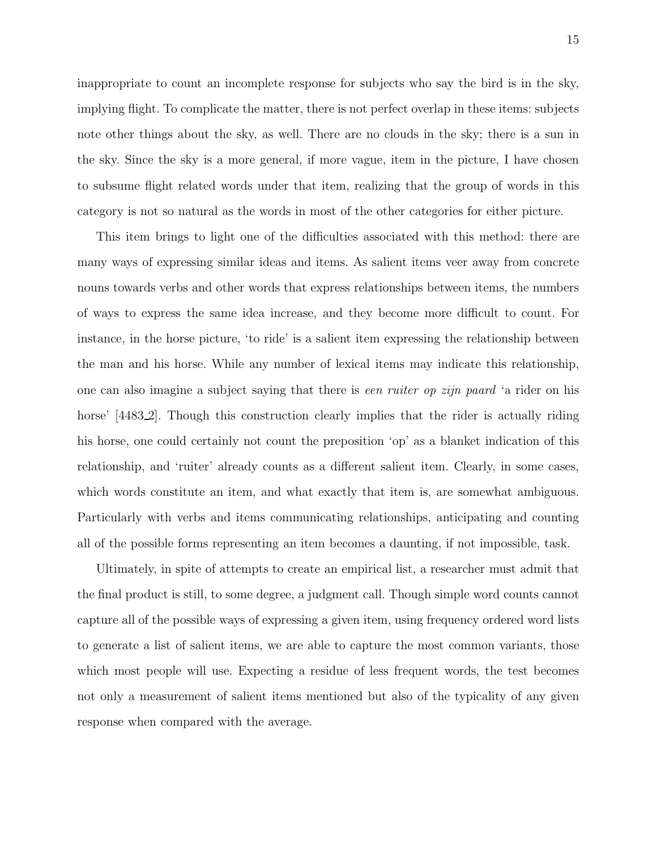inappropriate to count an incomplete response for subjects who say the bird is in the sky, implying flight. To complicate the matter, there is not perfect overlap in these items: subjects note other things about the sky, as well. There are no clouds in the sky; there is a sun in the sky. Since the sky is a more general, if more vague, item in the picture, I have chosen to subsume flight related words under that item, realizing that the group of words in this category is not so natural as the words in most of the other categories for either picture.

This item brings to light one of the difficulties associated with this method: there are many ways of expressing similar ideas and items. As salient items veer away from concrete nouns towards verbs and other words that express relationships between items, the numbers of ways to express the same idea increase, and they become more difficult to count. For instance, in the horse picture, 'to ride' is a salient item expressing the relationship between the man and his horse. While any number of lexical items may indicate this relationship, one can also imagine a subject saying that there is een ruiter op zijn paard 'a rider on his horse' (4483.2). Though this construction clearly implies that the rider is actually riding his horse, one could certainly not count the preposition 'op' as a blanket indication of this relationship, and 'ruiter' already counts as a different salient item. Clearly, in some cases, which words constitute an item, and what exactly that item is, are somewhat ambiguous. Particularly with verbs and items communicating relationships, anticipating and counting all of the possible forms representing an item becomes a daunting, if not impossible, task.

Ultimately, in spite of attempts to create an empirical list, a researcher must admit that the final product is still, to some degree, a judgment call. Though simple word counts cannot capture all of the possible ways of expressing a given item, using frequency ordered word lists to generate a list of salient items, we are able to capture the most common variants, those which most people will use. Expecting a residue of less frequent words, the test becomes not only a measurement of salient items mentioned but also of the typicality of any given response when compared with the average.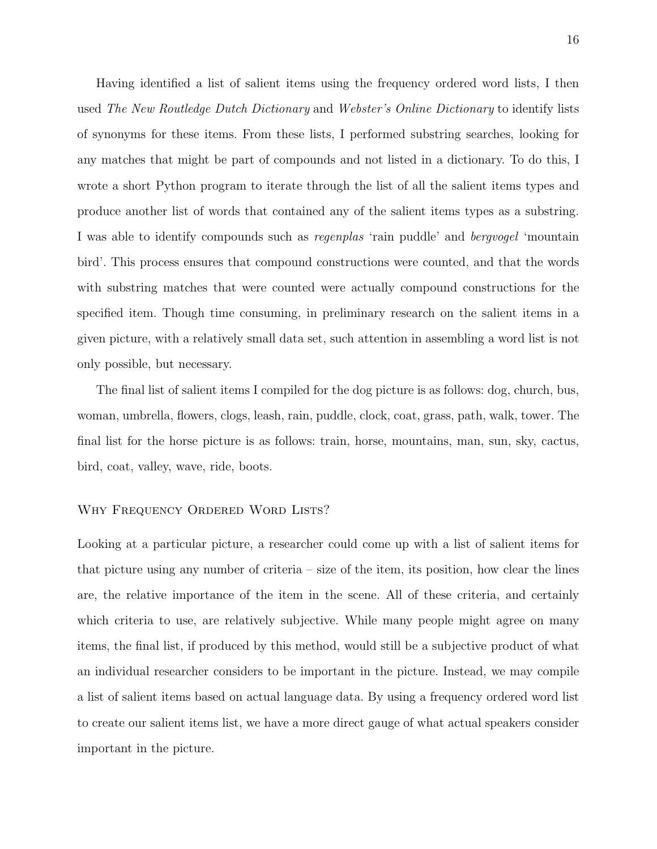Having identified a list of salient items using the frequency ordered word lists, I then used The New Routledge Dutch Dictionary and Webster's Online Dictionary to identify lists of synonyms for these items. From these lists, I performed substring searches, looking for any matches that might be part of compounds and not listed in a dictionary. To do this, I wrote a short Python program to iterate through the list of all the salient items types and produce another list of words that contained any of the salient items types as a substring. I was able to identify compounds such as regenplas 'rain puddle' and bergvogel 'mountain bird'. This process ensures that compound constructions were counted, and that the words with substring matches that were counted were actually compound constructions for the specified item. Though time consuming, in preliminary research on the salient items in a given picture, with a relatively small data set, such attention in assembling a word list is not only possible, but necessary.

The final list of salient items I compiled for the dog picture is as follows: dog, church, bus, woman, umbrella, flowers, clogs, leash, rain, puddle, clock, coat, grass, path, walk, tower. The final list for the horse picture is as follows: train, horse, mountains, man, sun, sky, cactus, bird, coat, valley, wave, ride, boots.

## WHY FREQUENCY ORDERED WORD LISTS?

Looking at a particular picture, a researcher could come up with a list of salient items for that picture using any number of criteria – size of the item, its position, how clear the lines are, the relative importance of the item in the scene. All of these criteria, and certainly which criteria to use, are relatively subjective. While many people might agree on many items, the final list, if produced by this method, would still be a subjective product of what an individual researcher considers to be important in the picture. Instead, we may compile a list of salient items based on actual language data. By using a frequency ordered word list to create our salient items list, we have a more direct gauge of what actual speakers consider important in the picture.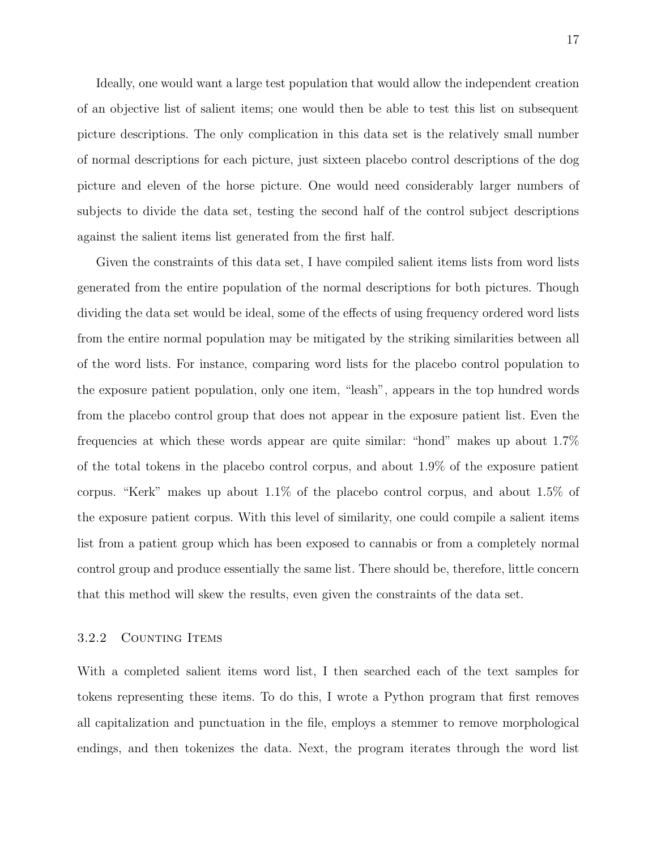Ideally, one would want a large test population that would allow the independent creation of an objective list of salient items; one would then be able to test this list on subsequent picture descriptions. The only complication in this data set is the relatively small number of normal descriptions for each picture, just sixteen placebo control descriptions of the dog picture and eleven of the horse picture. One would need considerably larger numbers of subjects to divide the data set, testing the second half of the control subject descriptions against the salient items list generated from the first half.

Given the constraints of this data set, I have compiled salient items lists from word lists generated from the entire population of the normal descriptions for both pictures. Though dividing the data set would be ideal, some of the effects of using frequency ordered word lists from the entire normal population may be mitigated by the striking similarities between all of the word lists. For instance, comparing word lists for the placebo control population to the exposure patient population, only one item, "leash", appears in the top hundred words from the placebo control group that does not appear in the exposure patient list. Even the frequencies at which these words appear are quite similar: "hond" makes up about 1.7% of the total tokens in the placebo control corpus, and about 1.9% of the exposure patient corpus. "Kerk" makes up about 1.1% of the placebo control corpus, and about 1.5% of the exposure patient corpus. With this level of similarity, one could compile a salient items list from a patient group which has been exposed to cannabis or from a completely normal control group and produce essentially the same list. There should be, therefore, little concern that this method will skew the results, even given the constraints of the data set.

## 3.2.2 COUNTING ITEMS

With a completed salient items word list, I then searched each of the text samples for tokens representing these items. To do this, I wrote a Python program that first removes all capitalization and punctuation in the file, employs a stemmer to remove morphological endings, and then tokenizes the data. Next, the program iterates through the word list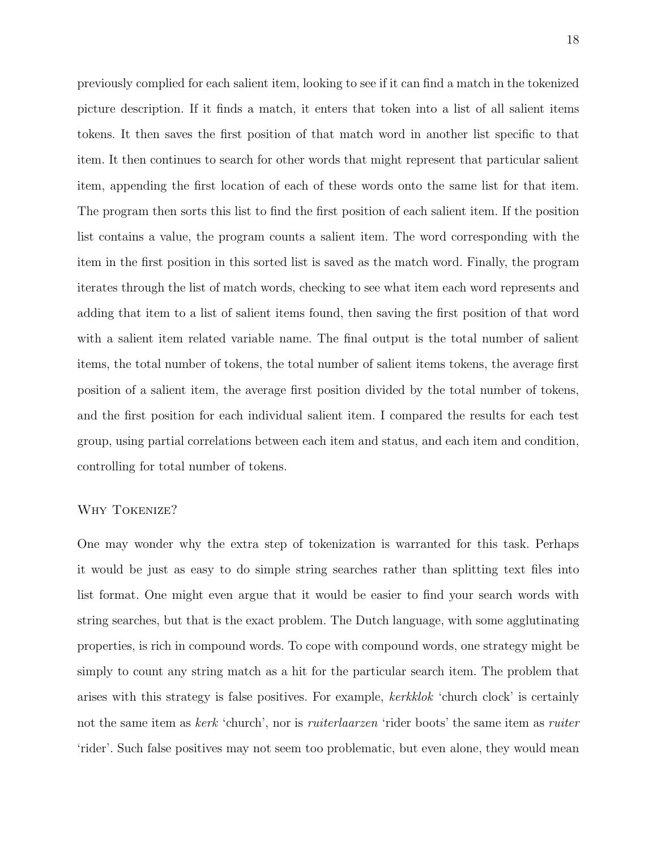previously complied for each salient item, looking to see if it can find a match in the tokenized picture description. If it finds a match, it enters that token into a list of all salient items tokens. It then saves the first position of that match word in another list specific to that item. It then continues to search for other words that might represent that particular salient item, appending the first location of each of these words onto the same list for that item. The program then sorts this list to find the first position of each salient item. If the position list contains a value, the program counts a salient item. The word corresponding with the item in the first position in this sorted list is saved as the match word. Finally, the program iterates through the list of match words, checking to see what item each word represents and adding that item to a list of salient items found, then saving the first position of that word with a salient item related variable name. The final output is the total number of salient items, the total number of tokens, the total number of salient items tokens, the average first position of a salient item, the average first position divided by the total number of tokens, and the first position for each individual salient item. I compared the results for each test group, using partial correlations between each item and status, and each item and condition, controlling for total number of tokens.

## Why Tokenize?

One may wonder why the extra step of tokenization is warranted for this task. Perhaps it would be just as easy to do simple string searches rather than splitting text files into list format. One might even argue that it would be easier to find your search words with string searches, but that is the exact problem. The Dutch language, with some agglutinating properties, is rich in compound words. To cope with compound words, one strategy might be simply to count any string match as a hit for the particular search item. The problem that arises with this strategy is false positives. For example, kerkklok 'church clock' is certainly not the same item as kerk 'church', nor is *ruiterlaarzen* 'rider boots' the same item as *ruiter* 'rider'. Such false positives may not seem too problematic, but even alone, they would mean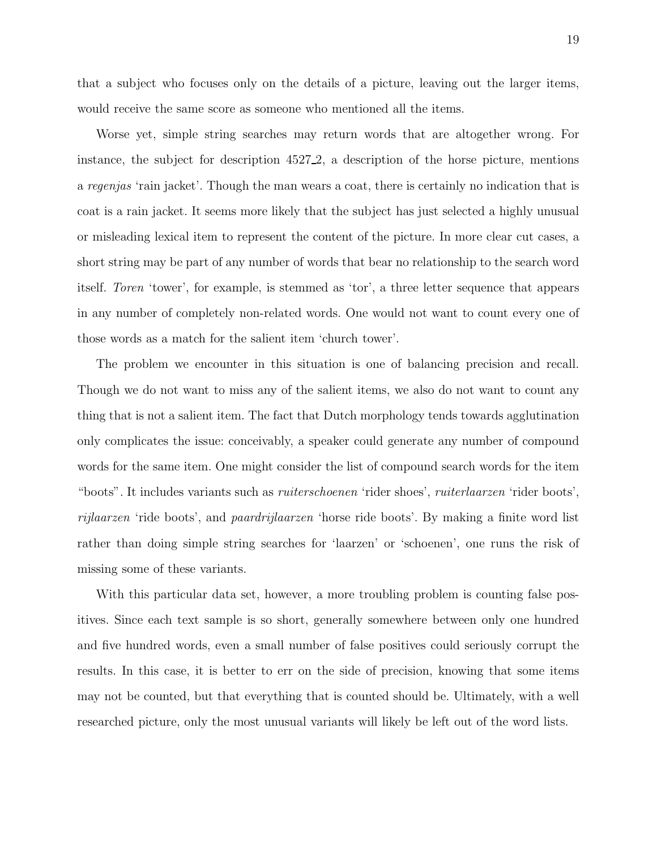that a subject who focuses only on the details of a picture, leaving out the larger items, would receive the same score as someone who mentioned all the items.

Worse yet, simple string searches may return words that are altogether wrong. For instance, the subject for description 4527 2, a description of the horse picture, mentions a regenjas 'rain jacket'. Though the man wears a coat, there is certainly no indication that is coat is a rain jacket. It seems more likely that the subject has just selected a highly unusual or misleading lexical item to represent the content of the picture. In more clear cut cases, a short string may be part of any number of words that bear no relationship to the search word itself. Toren 'tower', for example, is stemmed as 'tor', a three letter sequence that appears in any number of completely non-related words. One would not want to count every one of those words as a match for the salient item 'church tower'.

The problem we encounter in this situation is one of balancing precision and recall. Though we do not want to miss any of the salient items, we also do not want to count any thing that is not a salient item. The fact that Dutch morphology tends towards agglutination only complicates the issue: conceivably, a speaker could generate any number of compound words for the same item. One might consider the list of compound search words for the item "boots". It includes variants such as ruiterschoenen 'rider shoes', ruiterlaarzen 'rider boots', rijlaarzen 'ride boots', and paardrijlaarzen 'horse ride boots'. By making a finite word list rather than doing simple string searches for 'laarzen' or 'schoenen', one runs the risk of missing some of these variants.

With this particular data set, however, a more troubling problem is counting false positives. Since each text sample is so short, generally somewhere between only one hundred and five hundred words, even a small number of false positives could seriously corrupt the results. In this case, it is better to err on the side of precision, knowing that some items may not be counted, but that everything that is counted should be. Ultimately, with a well researched picture, only the most unusual variants will likely be left out of the word lists.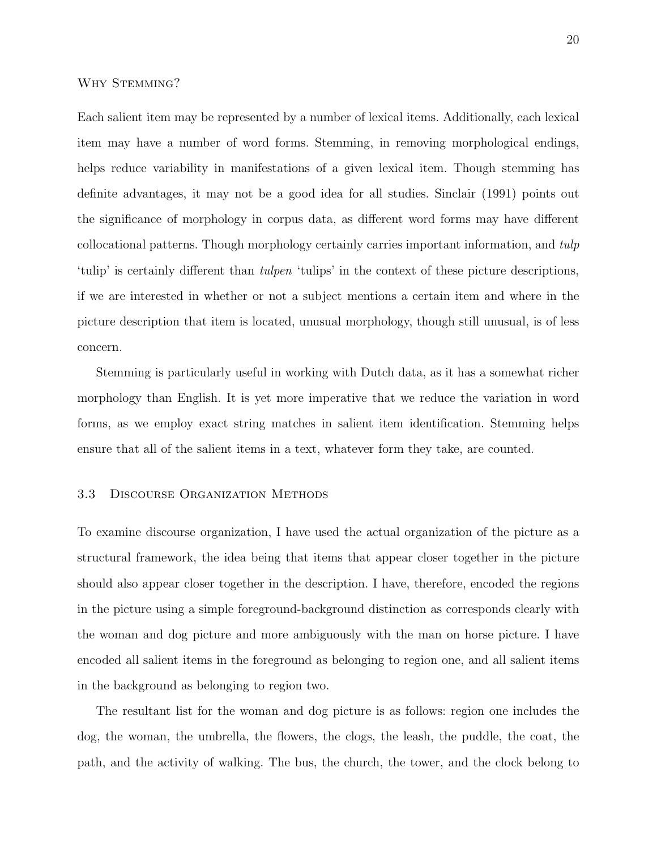## Why Stemming?

Each salient item may be represented by a number of lexical items. Additionally, each lexical item may have a number of word forms. Stemming, in removing morphological endings, helps reduce variability in manifestations of a given lexical item. Though stemming has definite advantages, it may not be a good idea for all studies. Sinclair (1991) points out the significance of morphology in corpus data, as different word forms may have different collocational patterns. Though morphology certainly carries important information, and tulp 'tulip' is certainly different than tulpen 'tulips' in the context of these picture descriptions, if we are interested in whether or not a subject mentions a certain item and where in the picture description that item is located, unusual morphology, though still unusual, is of less concern.

Stemming is particularly useful in working with Dutch data, as it has a somewhat richer morphology than English. It is yet more imperative that we reduce the variation in word forms, as we employ exact string matches in salient item identification. Stemming helps ensure that all of the salient items in a text, whatever form they take, are counted.

#### 3.3 Discourse Organization Methods

To examine discourse organization, I have used the actual organization of the picture as a structural framework, the idea being that items that appear closer together in the picture should also appear closer together in the description. I have, therefore, encoded the regions in the picture using a simple foreground-background distinction as corresponds clearly with the woman and dog picture and more ambiguously with the man on horse picture. I have encoded all salient items in the foreground as belonging to region one, and all salient items in the background as belonging to region two.

The resultant list for the woman and dog picture is as follows: region one includes the dog, the woman, the umbrella, the flowers, the clogs, the leash, the puddle, the coat, the path, and the activity of walking. The bus, the church, the tower, and the clock belong to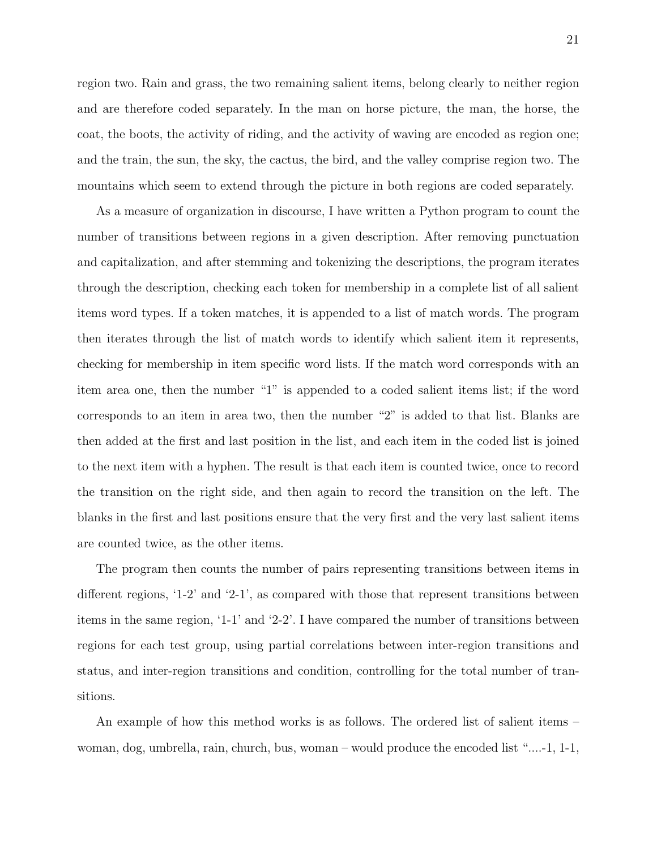region two. Rain and grass, the two remaining salient items, belong clearly to neither region and are therefore coded separately. In the man on horse picture, the man, the horse, the coat, the boots, the activity of riding, and the activity of waving are encoded as region one; and the train, the sun, the sky, the cactus, the bird, and the valley comprise region two. The mountains which seem to extend through the picture in both regions are coded separately.

As a measure of organization in discourse, I have written a Python program to count the number of transitions between regions in a given description. After removing punctuation and capitalization, and after stemming and tokenizing the descriptions, the program iterates through the description, checking each token for membership in a complete list of all salient items word types. If a token matches, it is appended to a list of match words. The program then iterates through the list of match words to identify which salient item it represents, checking for membership in item specific word lists. If the match word corresponds with an item area one, then the number "1" is appended to a coded salient items list; if the word corresponds to an item in area two, then the number "2" is added to that list. Blanks are then added at the first and last position in the list, and each item in the coded list is joined to the next item with a hyphen. The result is that each item is counted twice, once to record the transition on the right side, and then again to record the transition on the left. The blanks in the first and last positions ensure that the very first and the very last salient items are counted twice, as the other items.

The program then counts the number of pairs representing transitions between items in different regions, '1-2' and '2-1', as compared with those that represent transitions between items in the same region, '1-1' and '2-2'. I have compared the number of transitions between regions for each test group, using partial correlations between inter-region transitions and status, and inter-region transitions and condition, controlling for the total number of transitions.

An example of how this method works is as follows. The ordered list of salient items – woman, dog, umbrella, rain, church, bus, woman – would produce the encoded list "....-1, 1-1,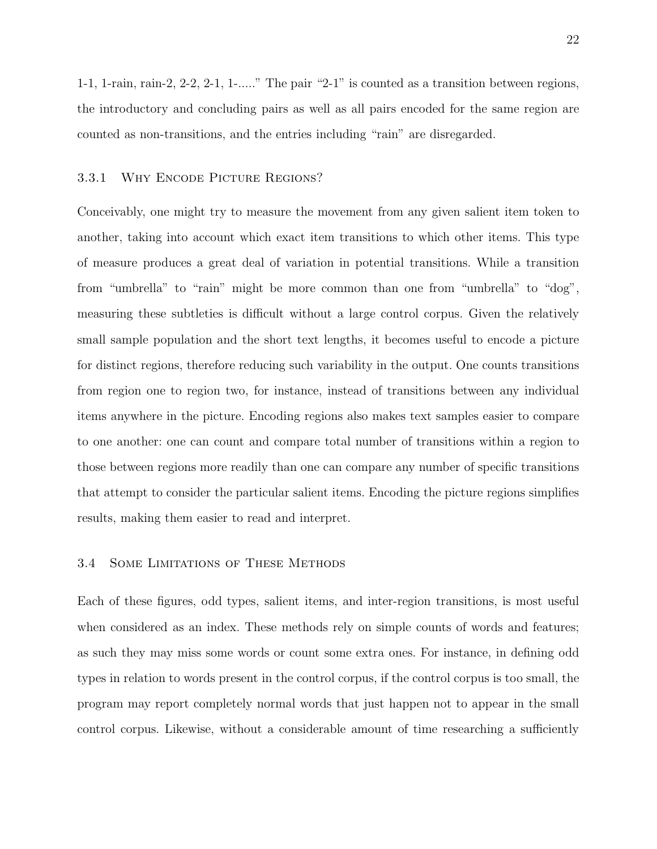1-1, 1-rain, rain-2, 2-2, 2-1, 1-....." The pair "2-1" is counted as a transition between regions, the introductory and concluding pairs as well as all pairs encoded for the same region are counted as non-transitions, and the entries including "rain" are disregarded.

#### 3.3.1 Why Encode Picture Regions?

Conceivably, one might try to measure the movement from any given salient item token to another, taking into account which exact item transitions to which other items. This type of measure produces a great deal of variation in potential transitions. While a transition from "umbrella" to "rain" might be more common than one from "umbrella" to "dog", measuring these subtleties is difficult without a large control corpus. Given the relatively small sample population and the short text lengths, it becomes useful to encode a picture for distinct regions, therefore reducing such variability in the output. One counts transitions from region one to region two, for instance, instead of transitions between any individual items anywhere in the picture. Encoding regions also makes text samples easier to compare to one another: one can count and compare total number of transitions within a region to those between regions more readily than one can compare any number of specific transitions that attempt to consider the particular salient items. Encoding the picture regions simplifies results, making them easier to read and interpret.

#### 3.4 Some Limitations of These Methods

Each of these figures, odd types, salient items, and inter-region transitions, is most useful when considered as an index. These methods rely on simple counts of words and features; as such they may miss some words or count some extra ones. For instance, in defining odd types in relation to words present in the control corpus, if the control corpus is too small, the program may report completely normal words that just happen not to appear in the small control corpus. Likewise, without a considerable amount of time researching a sufficiently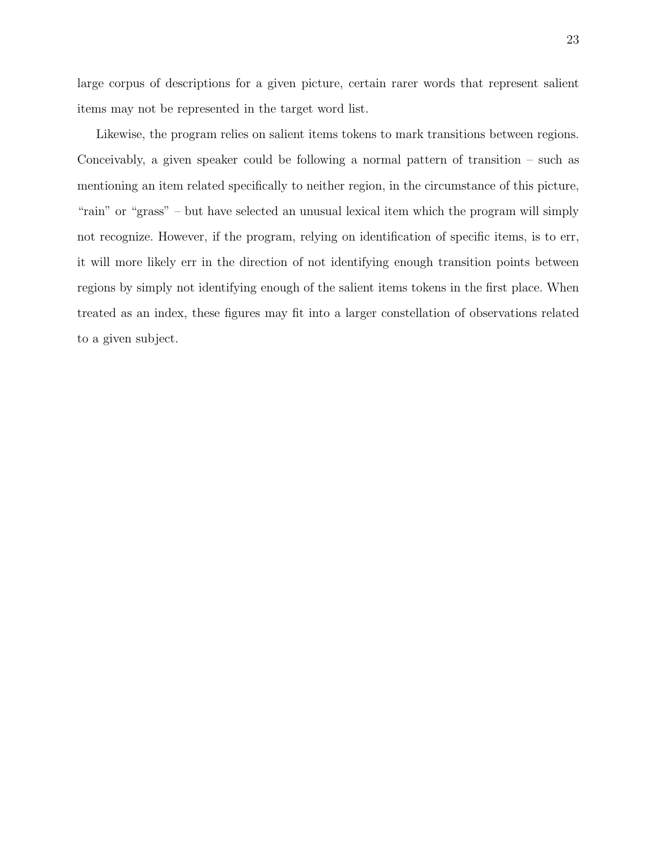large corpus of descriptions for a given picture, certain rarer words that represent salient items may not be represented in the target word list.

Likewise, the program relies on salient items tokens to mark transitions between regions. Conceivably, a given speaker could be following a normal pattern of transition – such as mentioning an item related specifically to neither region, in the circumstance of this picture, "rain" or "grass" – but have selected an unusual lexical item which the program will simply not recognize. However, if the program, relying on identification of specific items, is to err, it will more likely err in the direction of not identifying enough transition points between regions by simply not identifying enough of the salient items tokens in the first place. When treated as an index, these figures may fit into a larger constellation of observations related to a given subject.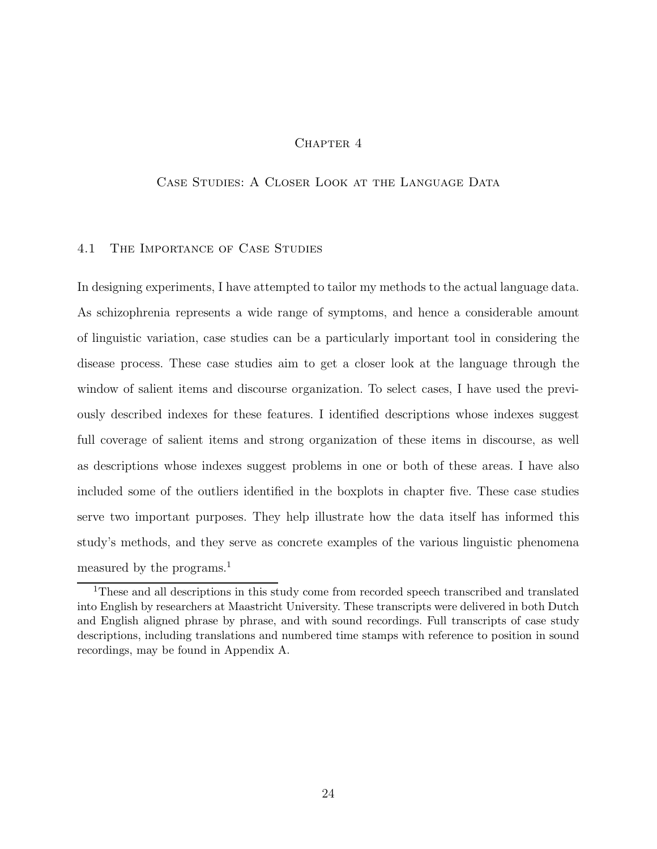## CHAPTER 4

## Case Studies: A Closer Look at the Language Data

## 4.1 The Importance of Case Studies

In designing experiments, I have attempted to tailor my methods to the actual language data. As schizophrenia represents a wide range of symptoms, and hence a considerable amount of linguistic variation, case studies can be a particularly important tool in considering the disease process. These case studies aim to get a closer look at the language through the window of salient items and discourse organization. To select cases, I have used the previously described indexes for these features. I identified descriptions whose indexes suggest full coverage of salient items and strong organization of these items in discourse, as well as descriptions whose indexes suggest problems in one or both of these areas. I have also included some of the outliers identified in the boxplots in chapter five. These case studies serve two important purposes. They help illustrate how the data itself has informed this study's methods, and they serve as concrete examples of the various linguistic phenomena measured by the programs.<sup>1</sup>

<sup>1</sup>These and all descriptions in this study come from recorded speech transcribed and translated into English by researchers at Maastricht University. These transcripts were delivered in both Dutch and English aligned phrase by phrase, and with sound recordings. Full transcripts of case study descriptions, including translations and numbered time stamps with reference to position in sound recordings, may be found in Appendix A.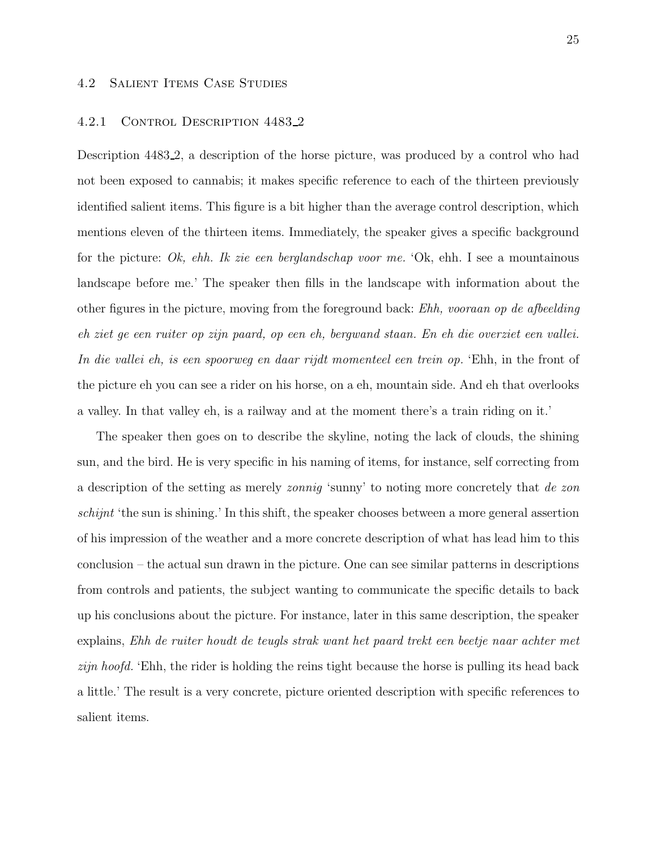## 4.2 Salient Items Case Studies

#### 4.2.1 CONTROL DESCRIPTION 4483.2

Description 4483 2, a description of the horse picture, was produced by a control who had not been exposed to cannabis; it makes specific reference to each of the thirteen previously identified salient items. This figure is a bit higher than the average control description, which mentions eleven of the thirteen items. Immediately, the speaker gives a specific background for the picture: Ok, ehh. Ik zie een berglandschap voor me. 'Ok, ehh. I see a mountainous landscape before me.' The speaker then fills in the landscape with information about the other figures in the picture, moving from the foreground back: Ehh, vooraan op de afbeelding eh ziet ge een ruiter op zijn paard, op een eh, bergwand staan. En eh die overziet een vallei. In die vallei eh, is een spoorweg en daar rijdt momenteel een trein op. 'Ehh, in the front of the picture eh you can see a rider on his horse, on a eh, mountain side. And eh that overlooks a valley. In that valley eh, is a railway and at the moment there's a train riding on it.'

The speaker then goes on to describe the skyline, noting the lack of clouds, the shining sun, and the bird. He is very specific in his naming of items, for instance, self correcting from a description of the setting as merely zonnig 'sunny' to noting more concretely that de zon schijnt 'the sun is shining.' In this shift, the speaker chooses between a more general assertion of his impression of the weather and a more concrete description of what has lead him to this conclusion – the actual sun drawn in the picture. One can see similar patterns in descriptions from controls and patients, the subject wanting to communicate the specific details to back up his conclusions about the picture. For instance, later in this same description, the speaker explains, Ehh de ruiter houdt de teugls strak want het paard trekt een beetje naar achter met zijn hoofd. 'Ehh, the rider is holding the reins tight because the horse is pulling its head back a little.' The result is a very concrete, picture oriented description with specific references to salient items.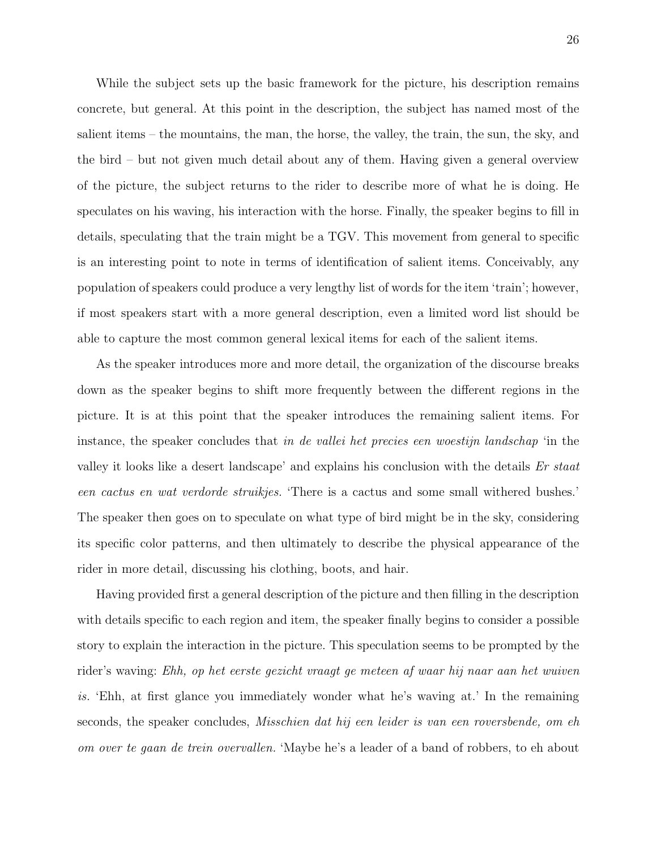While the subject sets up the basic framework for the picture, his description remains concrete, but general. At this point in the description, the subject has named most of the salient items – the mountains, the man, the horse, the valley, the train, the sun, the sky, and the bird – but not given much detail about any of them. Having given a general overview of the picture, the subject returns to the rider to describe more of what he is doing. He speculates on his waving, his interaction with the horse. Finally, the speaker begins to fill in details, speculating that the train might be a TGV. This movement from general to specific is an interesting point to note in terms of identification of salient items. Conceivably, any population of speakers could produce a very lengthy list of words for the item 'train'; however, if most speakers start with a more general description, even a limited word list should be able to capture the most common general lexical items for each of the salient items.

As the speaker introduces more and more detail, the organization of the discourse breaks down as the speaker begins to shift more frequently between the different regions in the picture. It is at this point that the speaker introduces the remaining salient items. For instance, the speaker concludes that in de vallei het precies een woestijn landschap 'in the valley it looks like a desert landscape' and explains his conclusion with the details Er staat een cactus en wat verdorde struikjes. 'There is a cactus and some small withered bushes.' The speaker then goes on to speculate on what type of bird might be in the sky, considering its specific color patterns, and then ultimately to describe the physical appearance of the rider in more detail, discussing his clothing, boots, and hair.

Having provided first a general description of the picture and then filling in the description with details specific to each region and item, the speaker finally begins to consider a possible story to explain the interaction in the picture. This speculation seems to be prompted by the rider's waving: Ehh, op het eerste gezicht vraagt ge meteen af waar hij naar aan het wuiven is. 'Ehh, at first glance you immediately wonder what he's waving at.' In the remaining seconds, the speaker concludes, Misschien dat hij een leider is van een roversbende, om eh om over te gaan de trein overvallen. 'Maybe he's a leader of a band of robbers, to eh about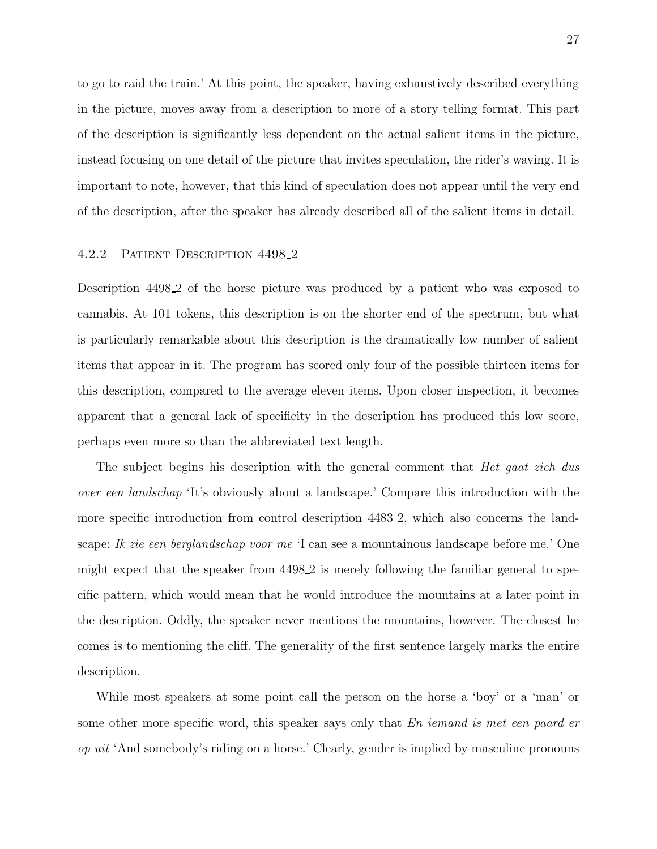to go to raid the train.' At this point, the speaker, having exhaustively described everything in the picture, moves away from a description to more of a story telling format. This part of the description is significantly less dependent on the actual salient items in the picture, instead focusing on one detail of the picture that invites speculation, the rider's waving. It is important to note, however, that this kind of speculation does not appear until the very end of the description, after the speaker has already described all of the salient items in detail.

### 4.2.2 Patient Description 4498 2

Description 4498 2 of the horse picture was produced by a patient who was exposed to cannabis. At 101 tokens, this description is on the shorter end of the spectrum, but what is particularly remarkable about this description is the dramatically low number of salient items that appear in it. The program has scored only four of the possible thirteen items for this description, compared to the average eleven items. Upon closer inspection, it becomes apparent that a general lack of specificity in the description has produced this low score, perhaps even more so than the abbreviated text length.

The subject begins his description with the general comment that *Het gaat zich dus* over een landschap 'It's obviously about a landscape.' Compare this introduction with the more specific introduction from control description 4483 2, which also concerns the landscape: Ik zie een berglandschap voor me 'I can see a mountainous landscape before me.' One might expect that the speaker from 4498 2 is merely following the familiar general to specific pattern, which would mean that he would introduce the mountains at a later point in the description. Oddly, the speaker never mentions the mountains, however. The closest he comes is to mentioning the cliff. The generality of the first sentence largely marks the entire description.

While most speakers at some point call the person on the horse a 'boy' or a 'man' or some other more specific word, this speaker says only that En iemand is met een paard er op uit 'And somebody's riding on a horse.' Clearly, gender is implied by masculine pronouns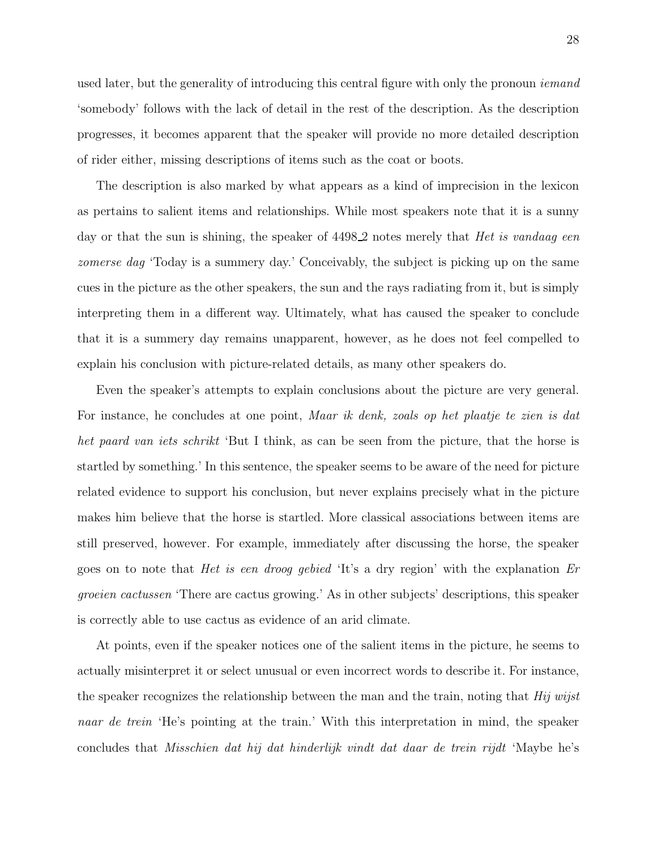used later, but the generality of introducing this central figure with only the pronoun *iemand* 'somebody' follows with the lack of detail in the rest of the description. As the description progresses, it becomes apparent that the speaker will provide no more detailed description of rider either, missing descriptions of items such as the coat or boots.

The description is also marked by what appears as a kind of imprecision in the lexicon as pertains to salient items and relationships. While most speakers note that it is a sunny day or that the sun is shining, the speaker of 4498.2 notes merely that *Het is vandaag een* zomerse dag 'Today is a summery day.' Conceivably, the subject is picking up on the same cues in the picture as the other speakers, the sun and the rays radiating from it, but is simply interpreting them in a different way. Ultimately, what has caused the speaker to conclude that it is a summery day remains unapparent, however, as he does not feel compelled to explain his conclusion with picture-related details, as many other speakers do.

Even the speaker's attempts to explain conclusions about the picture are very general. For instance, he concludes at one point, Maar ik denk, zoals op het plaatje te zien is dat het paard van iets schrikt 'But I think, as can be seen from the picture, that the horse is startled by something.' In this sentence, the speaker seems to be aware of the need for picture related evidence to support his conclusion, but never explains precisely what in the picture makes him believe that the horse is startled. More classical associations between items are still preserved, however. For example, immediately after discussing the horse, the speaker goes on to note that Het is een droog gebied 'It's a dry region' with the explanation Er groeien cactussen 'There are cactus growing.' As in other subjects' descriptions, this speaker is correctly able to use cactus as evidence of an arid climate.

At points, even if the speaker notices one of the salient items in the picture, he seems to actually misinterpret it or select unusual or even incorrect words to describe it. For instance, the speaker recognizes the relationship between the man and the train, noting that  $Hiji wijst$ naar de trein 'He's pointing at the train.' With this interpretation in mind, the speaker concludes that Misschien dat hij dat hinderlijk vindt dat daar de trein rijdt 'Maybe he's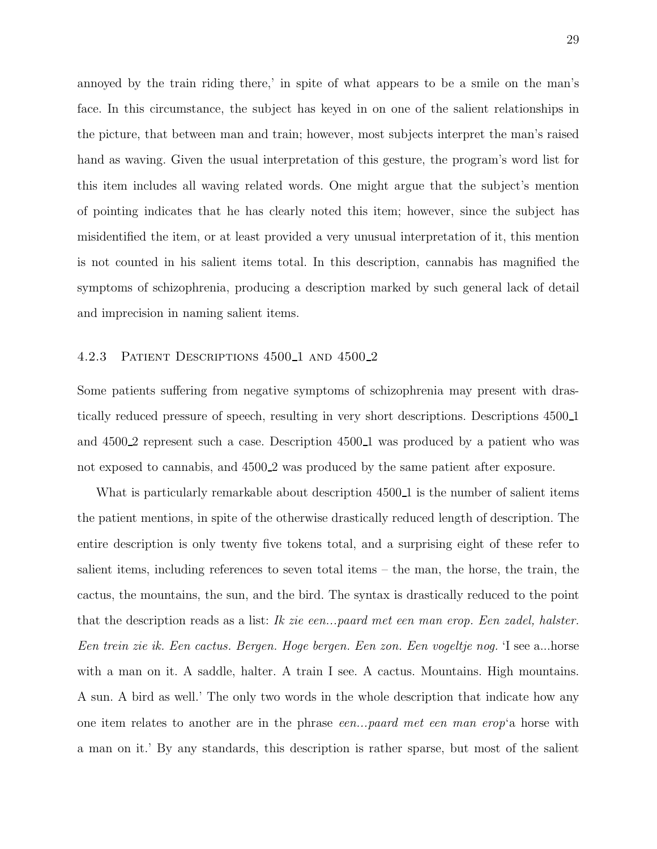annoyed by the train riding there,' in spite of what appears to be a smile on the man's face. In this circumstance, the subject has keyed in on one of the salient relationships in the picture, that between man and train; however, most subjects interpret the man's raised hand as waving. Given the usual interpretation of this gesture, the program's word list for this item includes all waving related words. One might argue that the subject's mention of pointing indicates that he has clearly noted this item; however, since the subject has misidentified the item, or at least provided a very unusual interpretation of it, this mention is not counted in his salient items total. In this description, cannabis has magnified the symptoms of schizophrenia, producing a description marked by such general lack of detail and imprecision in naming salient items.

### 4.2.3 PATIENT DESCRIPTIONS 4500<sub>1</sub> AND 4500<sub>2</sub>

Some patients suffering from negative symptoms of schizophrenia may present with drastically reduced pressure of speech, resulting in very short descriptions. Descriptions 4500 1 and 4500<sub>-2</sub> represent such a case. Description 4500<sub>-1</sub> was produced by a patient who was not exposed to cannabis, and  $4500.2$  was produced by the same patient after exposure.

What is particularly remarkable about description 4500<sub>-1</sub> is the number of salient items the patient mentions, in spite of the otherwise drastically reduced length of description. The entire description is only twenty five tokens total, and a surprising eight of these refer to salient items, including references to seven total items – the man, the horse, the train, the cactus, the mountains, the sun, and the bird. The syntax is drastically reduced to the point that the description reads as a list: Ik zie een...paard met een man erop. Een zadel, halster. Een trein zie ik. Een cactus. Bergen. Hoge bergen. Een zon. Een vogeltje nog. 'I see a...horse with a man on it. A saddle, halter. A train I see. A cactus. Mountains. High mountains. A sun. A bird as well.' The only two words in the whole description that indicate how any one item relates to another are in the phrase *een...paard met een man erop*'a horse with a man on it.' By any standards, this description is rather sparse, but most of the salient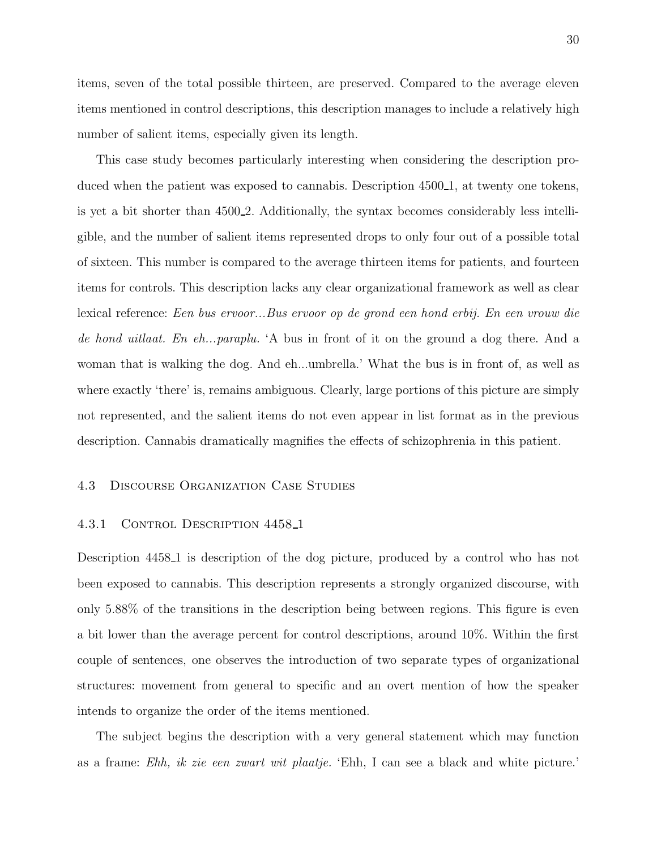items, seven of the total possible thirteen, are preserved. Compared to the average eleven items mentioned in control descriptions, this description manages to include a relatively high number of salient items, especially given its length.

This case study becomes particularly interesting when considering the description produced when the patient was exposed to cannabis. Description 4500.1, at twenty one tokens, is yet a bit shorter than 4500<sub>-2</sub>. Additionally, the syntax becomes considerably less intelligible, and the number of salient items represented drops to only four out of a possible total of sixteen. This number is compared to the average thirteen items for patients, and fourteen items for controls. This description lacks any clear organizational framework as well as clear lexical reference: Een bus ervoor...Bus ervoor op de grond een hond erbij. En een vrouw die de hond uitlaat. En eh...paraplu. A bus in front of it on the ground a dog there. And a woman that is walking the dog. And eh...umbrella.' What the bus is in front of, as well as where exactly 'there' is, remains ambiguous. Clearly, large portions of this picture are simply not represented, and the salient items do not even appear in list format as in the previous description. Cannabis dramatically magnifies the effects of schizophrenia in this patient.

### 4.3 Discourse Organization Case Studies

### 4.3.1 CONTROL DESCRIPTION 4458<sub>-1</sub>

Description 4458 1 is description of the dog picture, produced by a control who has not been exposed to cannabis. This description represents a strongly organized discourse, with only 5.88% of the transitions in the description being between regions. This figure is even a bit lower than the average percent for control descriptions, around 10%. Within the first couple of sentences, one observes the introduction of two separate types of organizational structures: movement from general to specific and an overt mention of how the speaker intends to organize the order of the items mentioned.

The subject begins the description with a very general statement which may function as a frame: Ehh, ik zie een zwart wit plaatje. 'Ehh, I can see a black and white picture.'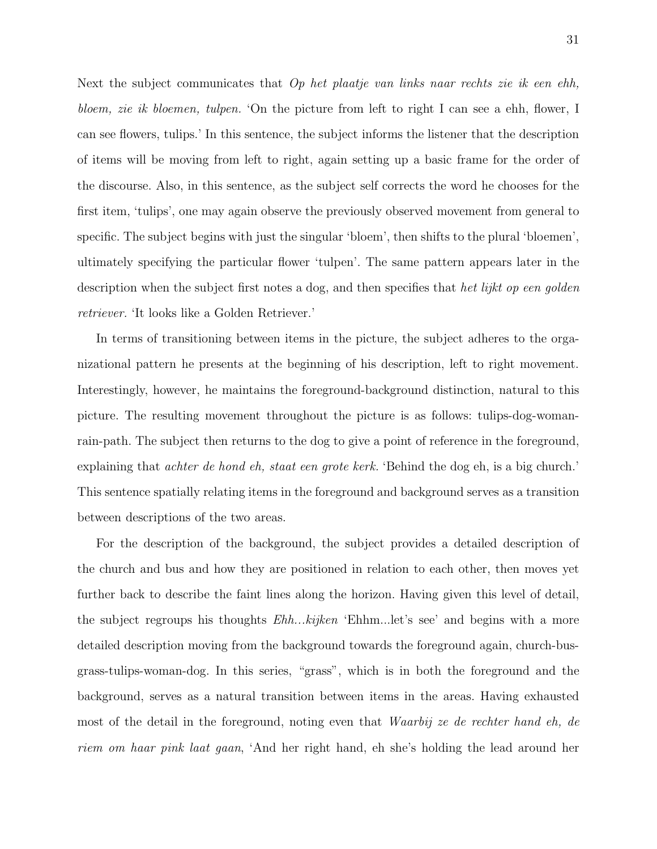Next the subject communicates that  $Op$  het plaatje van links naar rechts zie ik een ehh, bloem, zie ik bloemen, tulpen. 'On the picture from left to right I can see a ehh, flower, I can see flowers, tulips.' In this sentence, the subject informs the listener that the description of items will be moving from left to right, again setting up a basic frame for the order of the discourse. Also, in this sentence, as the subject self corrects the word he chooses for the first item, 'tulips', one may again observe the previously observed movement from general to specific. The subject begins with just the singular 'bloem', then shifts to the plural 'bloemen', ultimately specifying the particular flower 'tulpen'. The same pattern appears later in the description when the subject first notes a dog, and then specifies that het lijkt op een golden retriever. 'It looks like a Golden Retriever.'

In terms of transitioning between items in the picture, the subject adheres to the organizational pattern he presents at the beginning of his description, left to right movement. Interestingly, however, he maintains the foreground-background distinction, natural to this picture. The resulting movement throughout the picture is as follows: tulips-dog-womanrain-path. The subject then returns to the dog to give a point of reference in the foreground, explaining that achter de hond eh, staat een grote kerk. 'Behind the dog eh, is a big church.' This sentence spatially relating items in the foreground and background serves as a transition between descriptions of the two areas.

For the description of the background, the subject provides a detailed description of the church and bus and how they are positioned in relation to each other, then moves yet further back to describe the faint lines along the horizon. Having given this level of detail, the subject regroups his thoughts Ehh...kijken 'Ehhm...let's see' and begins with a more detailed description moving from the background towards the foreground again, church-busgrass-tulips-woman-dog. In this series, "grass", which is in both the foreground and the background, serves as a natural transition between items in the areas. Having exhausted most of the detail in the foreground, noting even that Waarbij ze de rechter hand eh, de riem om haar pink laat gaan, 'And her right hand, eh she's holding the lead around her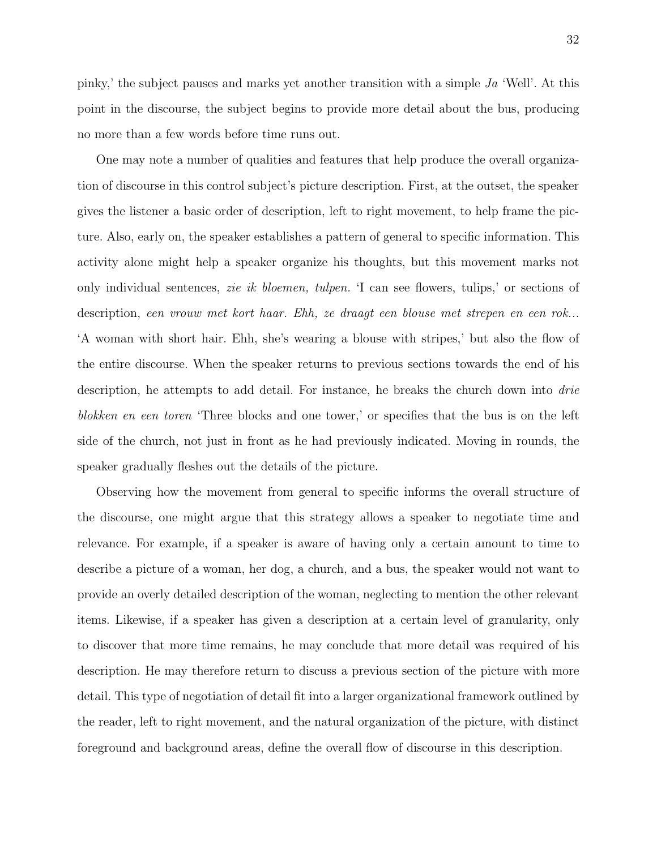pinky,' the subject pauses and marks yet another transition with a simple Ja 'Well'. At this point in the discourse, the subject begins to provide more detail about the bus, producing no more than a few words before time runs out.

One may note a number of qualities and features that help produce the overall organization of discourse in this control subject's picture description. First, at the outset, the speaker gives the listener a basic order of description, left to right movement, to help frame the picture. Also, early on, the speaker establishes a pattern of general to specific information. This activity alone might help a speaker organize his thoughts, but this movement marks not only individual sentences, zie ik bloemen, tulpen. 'I can see flowers, tulips,' or sections of description, een vrouw met kort haar. Ehh, ze draagt een blouse met strepen en een rok... 'A woman with short hair. Ehh, she's wearing a blouse with stripes,' but also the flow of the entire discourse. When the speaker returns to previous sections towards the end of his description, he attempts to add detail. For instance, he breaks the church down into *drie* blokken en een toren 'Three blocks and one tower,' or specifies that the bus is on the left side of the church, not just in front as he had previously indicated. Moving in rounds, the speaker gradually fleshes out the details of the picture.

Observing how the movement from general to specific informs the overall structure of the discourse, one might argue that this strategy allows a speaker to negotiate time and relevance. For example, if a speaker is aware of having only a certain amount to time to describe a picture of a woman, her dog, a church, and a bus, the speaker would not want to provide an overly detailed description of the woman, neglecting to mention the other relevant items. Likewise, if a speaker has given a description at a certain level of granularity, only to discover that more time remains, he may conclude that more detail was required of his description. He may therefore return to discuss a previous section of the picture with more detail. This type of negotiation of detail fit into a larger organizational framework outlined by the reader, left to right movement, and the natural organization of the picture, with distinct foreground and background areas, define the overall flow of discourse in this description.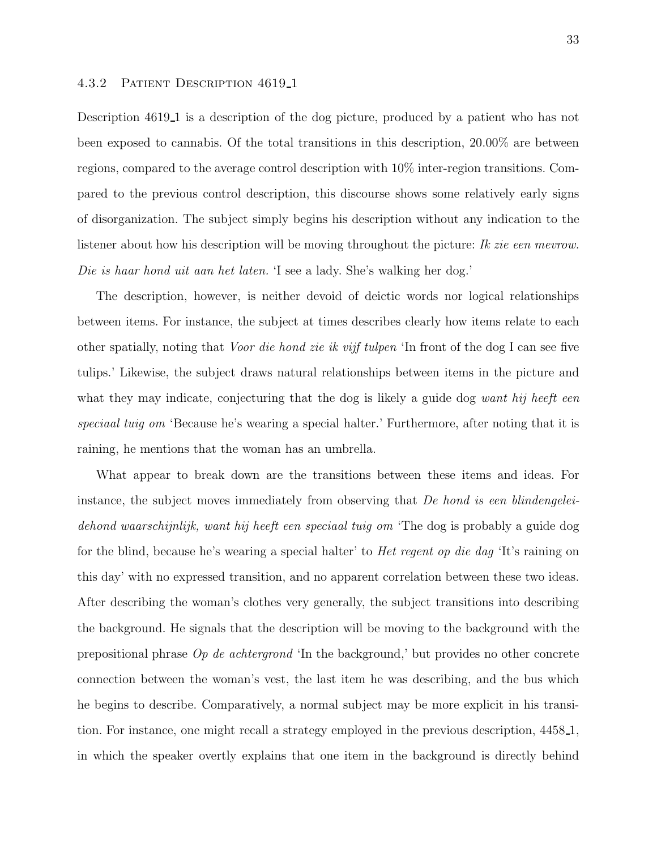### 4.3.2 Patient Description 4619 1

Description 4619 1 is a description of the dog picture, produced by a patient who has not been exposed to cannabis. Of the total transitions in this description, 20.00% are between regions, compared to the average control description with 10% inter-region transitions. Compared to the previous control description, this discourse shows some relatively early signs of disorganization. The subject simply begins his description without any indication to the listener about how his description will be moving throughout the picture: Ik zie een mevrow. Die is haar hond uit aan het laten. 'I see a lady. She's walking her dog.'

The description, however, is neither devoid of deictic words nor logical relationships between items. For instance, the subject at times describes clearly how items relate to each other spatially, noting that Voor die hond zie ik vijf tulpen 'In front of the dog I can see five tulips.' Likewise, the subject draws natural relationships between items in the picture and what they may indicate, conjecturing that the dog is likely a guide dog want hij heeft een speciaal tuig om 'Because he's wearing a special halter.' Furthermore, after noting that it is raining, he mentions that the woman has an umbrella.

What appear to break down are the transitions between these items and ideas. For instance, the subject moves immediately from observing that De hond is een blindengeleidehond waarschijnlijk, want hij heeft een speciaal tuig om 'The dog is probably a guide dog for the blind, because he's wearing a special halter' to Het regent op die dag 'It's raining on this day' with no expressed transition, and no apparent correlation between these two ideas. After describing the woman's clothes very generally, the subject transitions into describing the background. He signals that the description will be moving to the background with the prepositional phrase Op de achtergrond 'In the background,' but provides no other concrete connection between the woman's vest, the last item he was describing, and the bus which he begins to describe. Comparatively, a normal subject may be more explicit in his transition. For instance, one might recall a strategy employed in the previous description, 4458 1, in which the speaker overtly explains that one item in the background is directly behind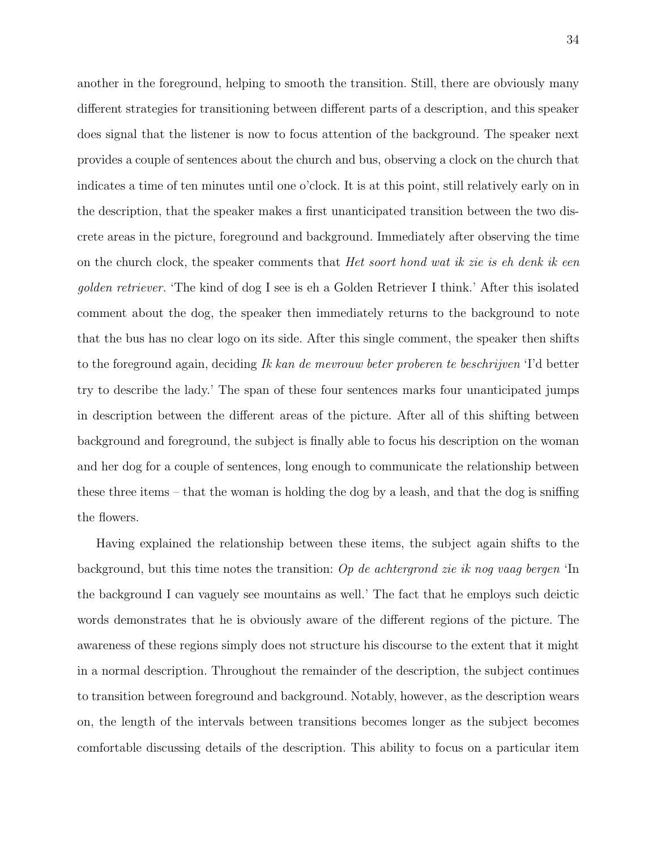another in the foreground, helping to smooth the transition. Still, there are obviously many different strategies for transitioning between different parts of a description, and this speaker does signal that the listener is now to focus attention of the background. The speaker next provides a couple of sentences about the church and bus, observing a clock on the church that indicates a time of ten minutes until one o'clock. It is at this point, still relatively early on in the description, that the speaker makes a first unanticipated transition between the two discrete areas in the picture, foreground and background. Immediately after observing the time on the church clock, the speaker comments that *Het soort hond wat ik zie is eh denk ik een* golden retriever. 'The kind of dog I see is eh a Golden Retriever I think.' After this isolated comment about the dog, the speaker then immediately returns to the background to note that the bus has no clear logo on its side. After this single comment, the speaker then shifts to the foreground again, deciding Ik kan de mevrouw beter proberen te beschrijven 'I'd better try to describe the lady.' The span of these four sentences marks four unanticipated jumps in description between the different areas of the picture. After all of this shifting between background and foreground, the subject is finally able to focus his description on the woman and her dog for a couple of sentences, long enough to communicate the relationship between these three items – that the woman is holding the dog by a leash, and that the dog is sniffing the flowers.

Having explained the relationship between these items, the subject again shifts to the background, but this time notes the transition: Op de achtergrond zie ik nog vaag bergen 'In the background I can vaguely see mountains as well.' The fact that he employs such deictic words demonstrates that he is obviously aware of the different regions of the picture. The awareness of these regions simply does not structure his discourse to the extent that it might in a normal description. Throughout the remainder of the description, the subject continues to transition between foreground and background. Notably, however, as the description wears on, the length of the intervals between transitions becomes longer as the subject becomes comfortable discussing details of the description. This ability to focus on a particular item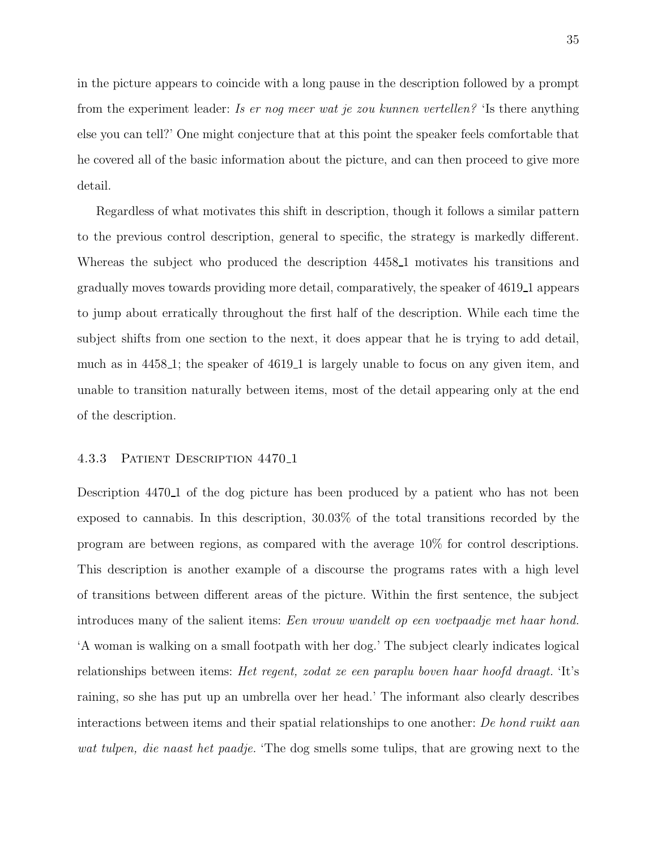in the picture appears to coincide with a long pause in the description followed by a prompt from the experiment leader: Is er nog meer wat je zou kunnen vertellen? 'Is there anything else you can tell?' One might conjecture that at this point the speaker feels comfortable that he covered all of the basic information about the picture, and can then proceed to give more detail.

Regardless of what motivates this shift in description, though it follows a similar pattern to the previous control description, general to specific, the strategy is markedly different. Whereas the subject who produced the description 4458 1 motivates his transitions and gradually moves towards providing more detail, comparatively, the speaker of 4619 1 appears to jump about erratically throughout the first half of the description. While each time the subject shifts from one section to the next, it does appear that he is trying to add detail, much as in 4458 1; the speaker of 4619 1 is largely unable to focus on any given item, and unable to transition naturally between items, most of the detail appearing only at the end of the description.

# 4.3.3 Patient Description 4470 1

Description 4470<sub>-1</sub> of the dog picture has been produced by a patient who has not been exposed to cannabis. In this description, 30.03% of the total transitions recorded by the program are between regions, as compared with the average 10% for control descriptions. This description is another example of a discourse the programs rates with a high level of transitions between different areas of the picture. Within the first sentence, the subject introduces many of the salient items: Een vrouw wandelt op een voetpaadje met haar hond. 'A woman is walking on a small footpath with her dog.' The subject clearly indicates logical relationships between items: Het regent, zodat ze een paraplu boven haar hoofd draagt. 'It's raining, so she has put up an umbrella over her head.' The informant also clearly describes interactions between items and their spatial relationships to one another: De hond ruikt aan wat tulpen, die naast het paadje. 'The dog smells some tulips, that are growing next to the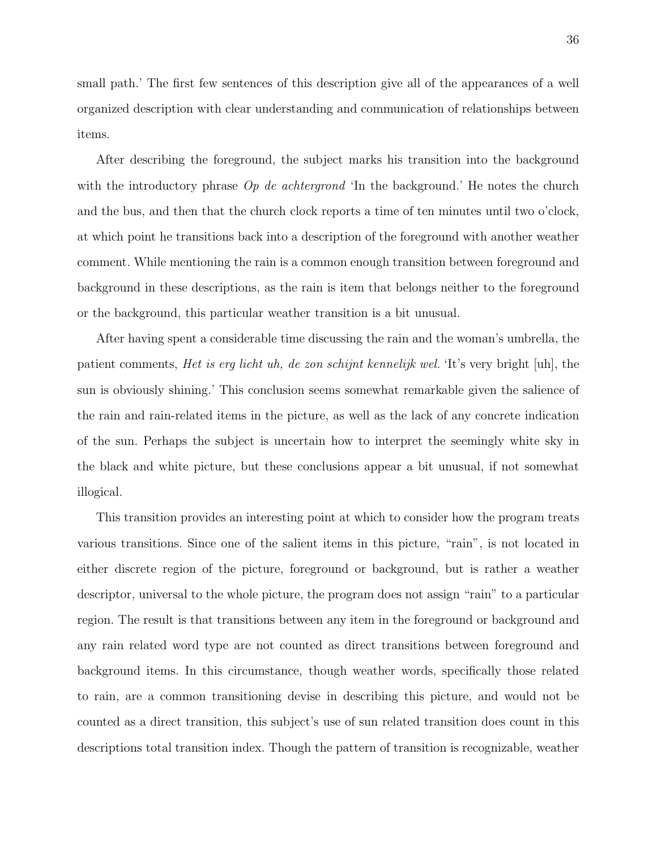small path.' The first few sentences of this description give all of the appearances of a well organized description with clear understanding and communication of relationships between items.

After describing the foreground, the subject marks his transition into the background with the introductory phrase  $Op$  de achtergrond 'In the background.' He notes the church and the bus, and then that the church clock reports a time of ten minutes until two o'clock, at which point he transitions back into a description of the foreground with another weather comment. While mentioning the rain is a common enough transition between foreground and background in these descriptions, as the rain is item that belongs neither to the foreground or the background, this particular weather transition is a bit unusual.

After having spent a considerable time discussing the rain and the woman's umbrella, the patient comments, Het is erg licht uh, de zon schijnt kennelijk wel. 'It's very bright [uh], the sun is obviously shining.' This conclusion seems somewhat remarkable given the salience of the rain and rain-related items in the picture, as well as the lack of any concrete indication of the sun. Perhaps the subject is uncertain how to interpret the seemingly white sky in the black and white picture, but these conclusions appear a bit unusual, if not somewhat illogical.

This transition provides an interesting point at which to consider how the program treats various transitions. Since one of the salient items in this picture, "rain", is not located in either discrete region of the picture, foreground or background, but is rather a weather descriptor, universal to the whole picture, the program does not assign "rain" to a particular region. The result is that transitions between any item in the foreground or background and any rain related word type are not counted as direct transitions between foreground and background items. In this circumstance, though weather words, specifically those related to rain, are a common transitioning devise in describing this picture, and would not be counted as a direct transition, this subject's use of sun related transition does count in this descriptions total transition index. Though the pattern of transition is recognizable, weather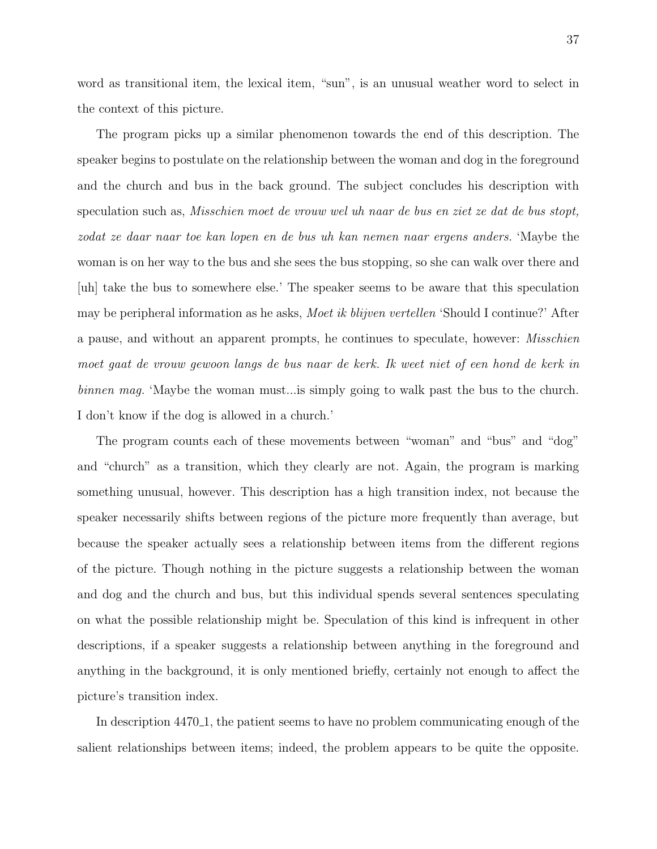word as transitional item, the lexical item, "sun", is an unusual weather word to select in the context of this picture.

The program picks up a similar phenomenon towards the end of this description. The speaker begins to postulate on the relationship between the woman and dog in the foreground and the church and bus in the back ground. The subject concludes his description with speculation such as, Misschien moet de vrouw wel uh naar de bus en ziet ze dat de bus stopt, zodat ze daar naar toe kan lopen en de bus uh kan nemen naar ergens anders. 'Maybe the woman is on her way to the bus and she sees the bus stopping, so she can walk over there and [uh] take the bus to somewhere else.' The speaker seems to be aware that this speculation may be peripheral information as he asks, Moet ik blijven vertellen 'Should I continue?' After a pause, and without an apparent prompts, he continues to speculate, however: Misschien moet gaat de vrouw gewoon langs de bus naar de kerk. Ik weet niet of een hond de kerk in binnen mag. 'Maybe the woman must... is simply going to walk past the bus to the church. I don't know if the dog is allowed in a church.'

The program counts each of these movements between "woman" and "bus" and "dog" and "church" as a transition, which they clearly are not. Again, the program is marking something unusual, however. This description has a high transition index, not because the speaker necessarily shifts between regions of the picture more frequently than average, but because the speaker actually sees a relationship between items from the different regions of the picture. Though nothing in the picture suggests a relationship between the woman and dog and the church and bus, but this individual spends several sentences speculating on what the possible relationship might be. Speculation of this kind is infrequent in other descriptions, if a speaker suggests a relationship between anything in the foreground and anything in the background, it is only mentioned briefly, certainly not enough to affect the picture's transition index.

In description 4470 1, the patient seems to have no problem communicating enough of the salient relationships between items; indeed, the problem appears to be quite the opposite.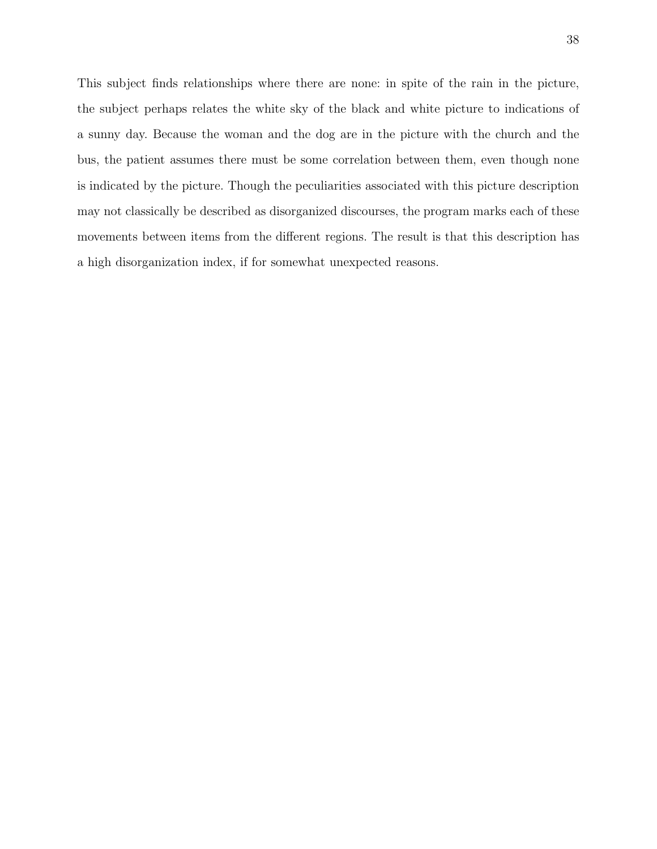This subject finds relationships where there are none: in spite of the rain in the picture, the subject perhaps relates the white sky of the black and white picture to indications of a sunny day. Because the woman and the dog are in the picture with the church and the bus, the patient assumes there must be some correlation between them, even though none is indicated by the picture. Though the peculiarities associated with this picture description may not classically be described as disorganized discourses, the program marks each of these movements between items from the different regions. The result is that this description has a high disorganization index, if for somewhat unexpected reasons.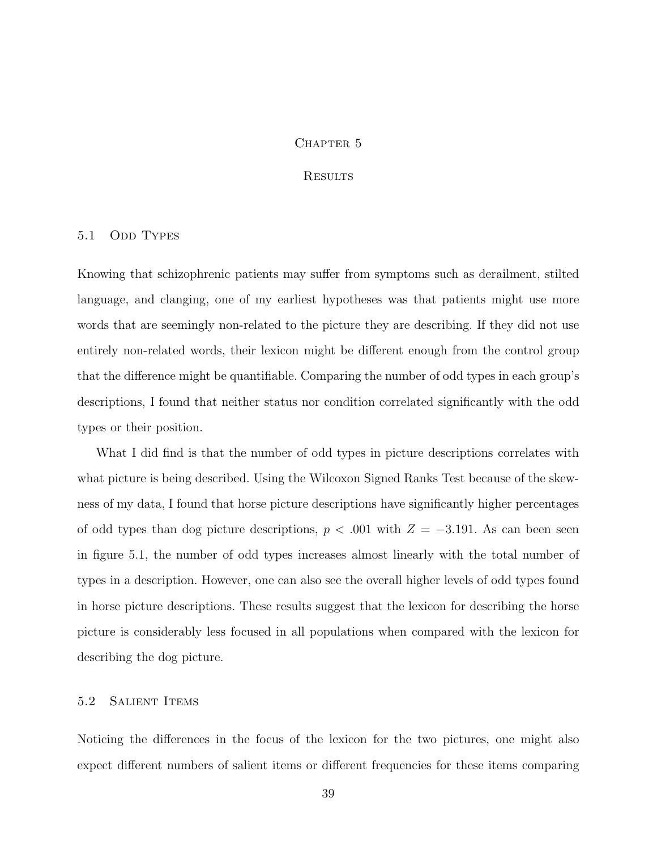#### CHAPTER 5

### **RESULTS**

### 5.1 ODD TYPES

Knowing that schizophrenic patients may suffer from symptoms such as derailment, stilted language, and clanging, one of my earliest hypotheses was that patients might use more words that are seemingly non-related to the picture they are describing. If they did not use entirely non-related words, their lexicon might be different enough from the control group that the difference might be quantifiable. Comparing the number of odd types in each group's descriptions, I found that neither status nor condition correlated significantly with the odd types or their position.

What I did find is that the number of odd types in picture descriptions correlates with what picture is being described. Using the Wilcoxon Signed Ranks Test because of the skewness of my data, I found that horse picture descriptions have significantly higher percentages of odd types than dog picture descriptions,  $p < .001$  with  $Z = -3.191$ . As can been seen in figure 5.1, the number of odd types increases almost linearly with the total number of types in a description. However, one can also see the overall higher levels of odd types found in horse picture descriptions. These results suggest that the lexicon for describing the horse picture is considerably less focused in all populations when compared with the lexicon for describing the dog picture.

# 5.2 SALIENT ITEMS

Noticing the differences in the focus of the lexicon for the two pictures, one might also expect different numbers of salient items or different frequencies for these items comparing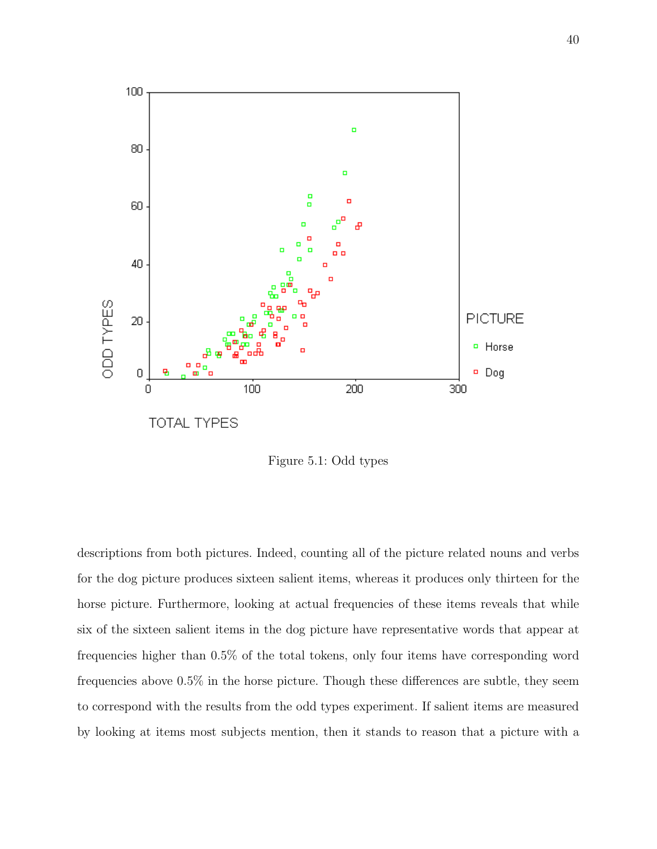

Figure 5.1: Odd types

descriptions from both pictures. Indeed, counting all of the picture related nouns and verbs for the dog picture produces sixteen salient items, whereas it produces only thirteen for the horse picture. Furthermore, looking at actual frequencies of these items reveals that while six of the sixteen salient items in the dog picture have representative words that appear at frequencies higher than 0.5% of the total tokens, only four items have corresponding word frequencies above 0.5% in the horse picture. Though these differences are subtle, they seem to correspond with the results from the odd types experiment. If salient items are measured by looking at items most subjects mention, then it stands to reason that a picture with a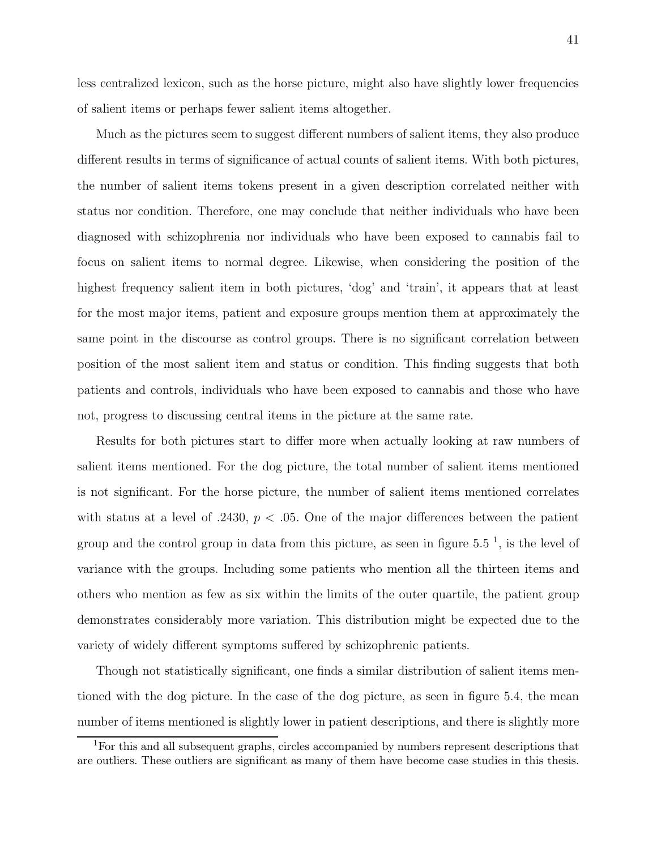less centralized lexicon, such as the horse picture, might also have slightly lower frequencies of salient items or perhaps fewer salient items altogether.

Much as the pictures seem to suggest different numbers of salient items, they also produce different results in terms of significance of actual counts of salient items. With both pictures, the number of salient items tokens present in a given description correlated neither with status nor condition. Therefore, one may conclude that neither individuals who have been diagnosed with schizophrenia nor individuals who have been exposed to cannabis fail to focus on salient items to normal degree. Likewise, when considering the position of the highest frequency salient item in both pictures, 'dog' and 'train', it appears that at least for the most major items, patient and exposure groups mention them at approximately the same point in the discourse as control groups. There is no significant correlation between position of the most salient item and status or condition. This finding suggests that both patients and controls, individuals who have been exposed to cannabis and those who have not, progress to discussing central items in the picture at the same rate.

Results for both pictures start to differ more when actually looking at raw numbers of salient items mentioned. For the dog picture, the total number of salient items mentioned is not significant. For the horse picture, the number of salient items mentioned correlates with status at a level of .2430,  $p < .05$ . One of the major differences between the patient group and the control group in data from this picture, as seen in figure  $5.5^{-1}$ , is the level of variance with the groups. Including some patients who mention all the thirteen items and others who mention as few as six within the limits of the outer quartile, the patient group demonstrates considerably more variation. This distribution might be expected due to the variety of widely different symptoms suffered by schizophrenic patients.

Though not statistically significant, one finds a similar distribution of salient items mentioned with the dog picture. In the case of the dog picture, as seen in figure 5.4, the mean number of items mentioned is slightly lower in patient descriptions, and there is slightly more

<sup>1</sup>For this and all subsequent graphs, circles accompanied by numbers represent descriptions that are outliers. These outliers are significant as many of them have become case studies in this thesis.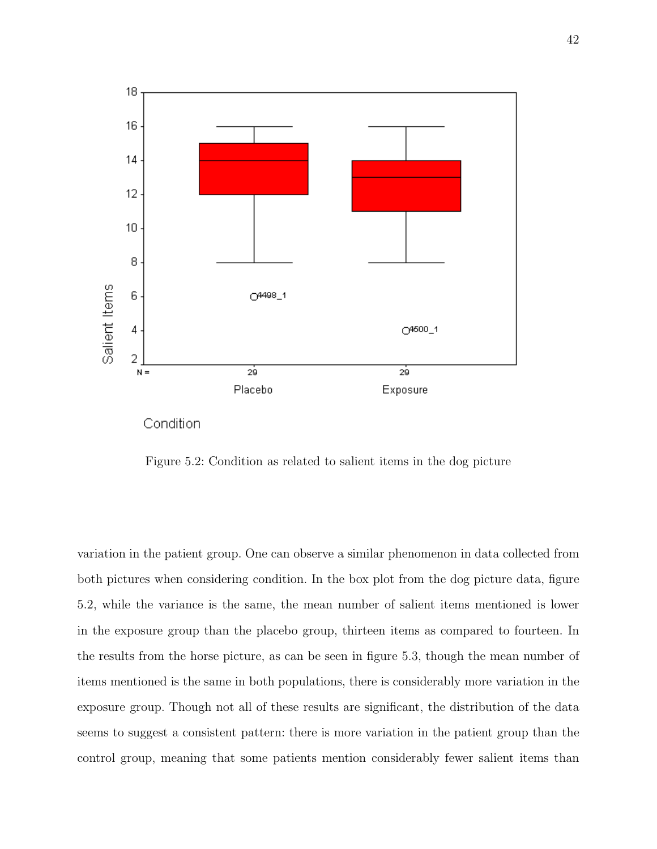

Figure 5.2: Condition as related to salient items in the dog picture

variation in the patient group. One can observe a similar phenomenon in data collected from both pictures when considering condition. In the box plot from the dog picture data, figure 5.2, while the variance is the same, the mean number of salient items mentioned is lower in the exposure group than the placebo group, thirteen items as compared to fourteen. In the results from the horse picture, as can be seen in figure 5.3, though the mean number of items mentioned is the same in both populations, there is considerably more variation in the exposure group. Though not all of these results are significant, the distribution of the data seems to suggest a consistent pattern: there is more variation in the patient group than the control group, meaning that some patients mention considerably fewer salient items than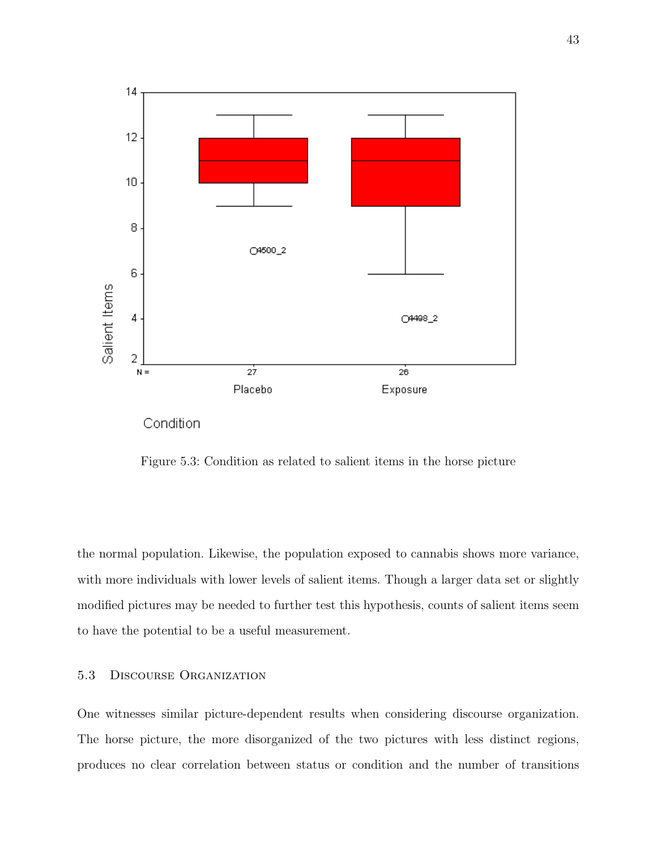

Figure 5.3: Condition as related to salient items in the horse picture

the normal population. Likewise, the population exposed to cannabis shows more variance, with more individuals with lower levels of salient items. Though a larger data set or slightly modified pictures may be needed to further test this hypothesis, counts of salient items seem to have the potential to be a useful measurement.

# 5.3 Discourse Organization

One witnesses similar picture-dependent results when considering discourse organization. The horse picture, the more disorganized of the two pictures with less distinct regions, produces no clear correlation between status or condition and the number of transitions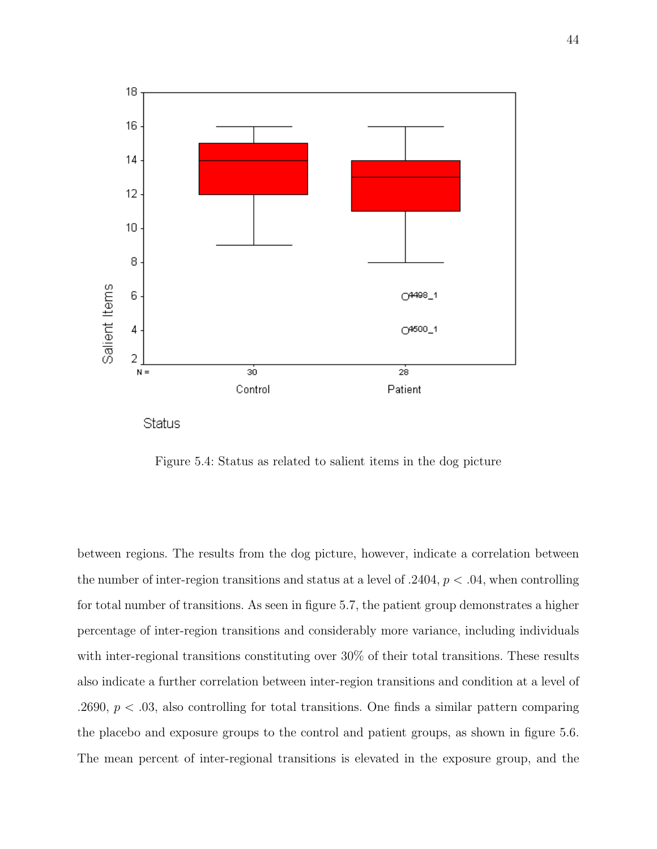

Figure 5.4: Status as related to salient items in the dog picture

between regions. The results from the dog picture, however, indicate a correlation between the number of inter-region transitions and status at a level of  $.2404, p < .04$ , when controlling for total number of transitions. As seen in figure 5.7, the patient group demonstrates a higher percentage of inter-region transitions and considerably more variance, including individuals with inter-regional transitions constituting over 30% of their total transitions. These results also indicate a further correlation between inter-region transitions and condition at a level of .2690,  $p < 0.03$ , also controlling for total transitions. One finds a similar pattern comparing the placebo and exposure groups to the control and patient groups, as shown in figure 5.6. The mean percent of inter-regional transitions is elevated in the exposure group, and the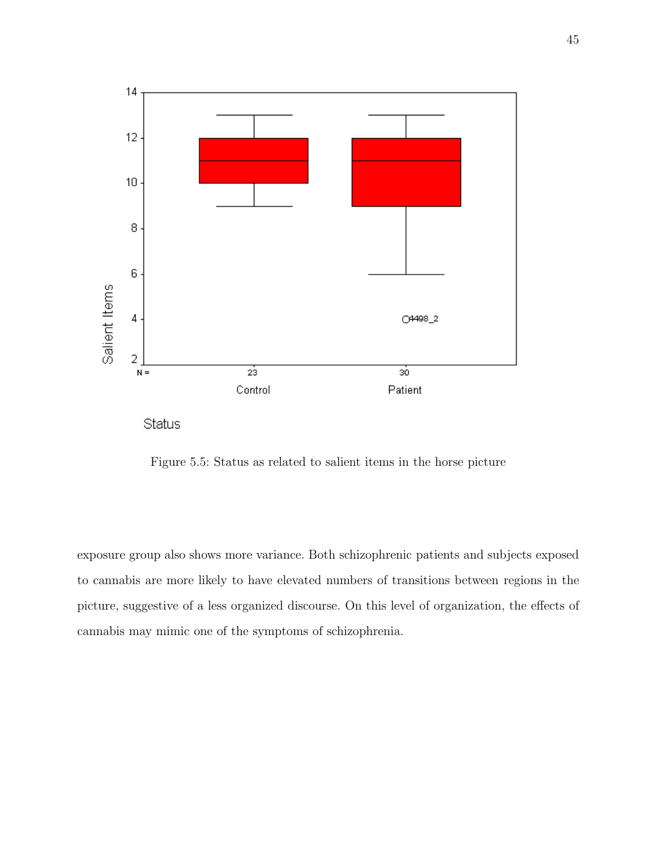

Figure 5.5: Status as related to salient items in the horse picture

exposure group also shows more variance. Both schizophrenic patients and subjects exposed to cannabis are more likely to have elevated numbers of transitions between regions in the picture, suggestive of a less organized discourse. On this level of organization, the effects of cannabis may mimic one of the symptoms of schizophrenia.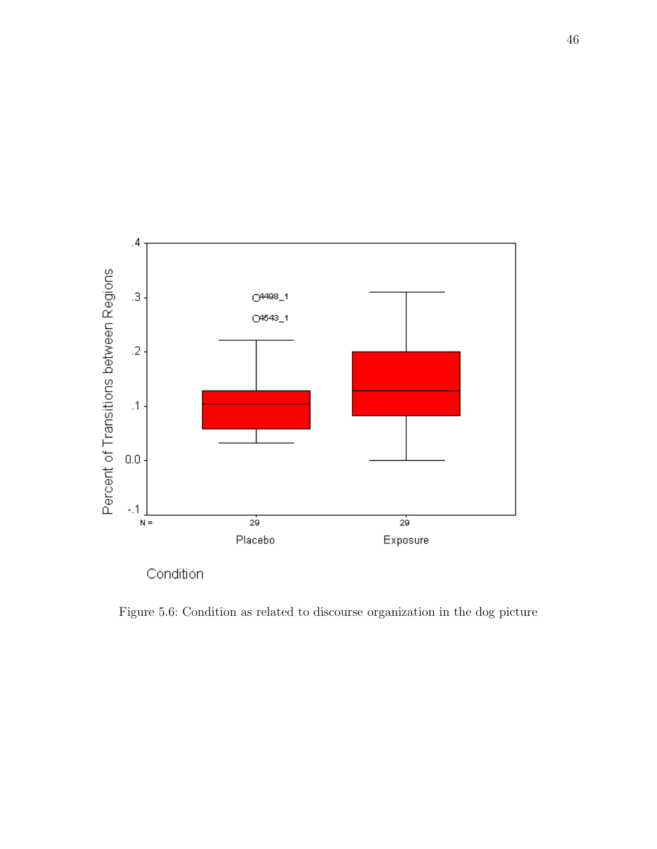

Figure 5.6: Condition as related to discourse organization in the dog picture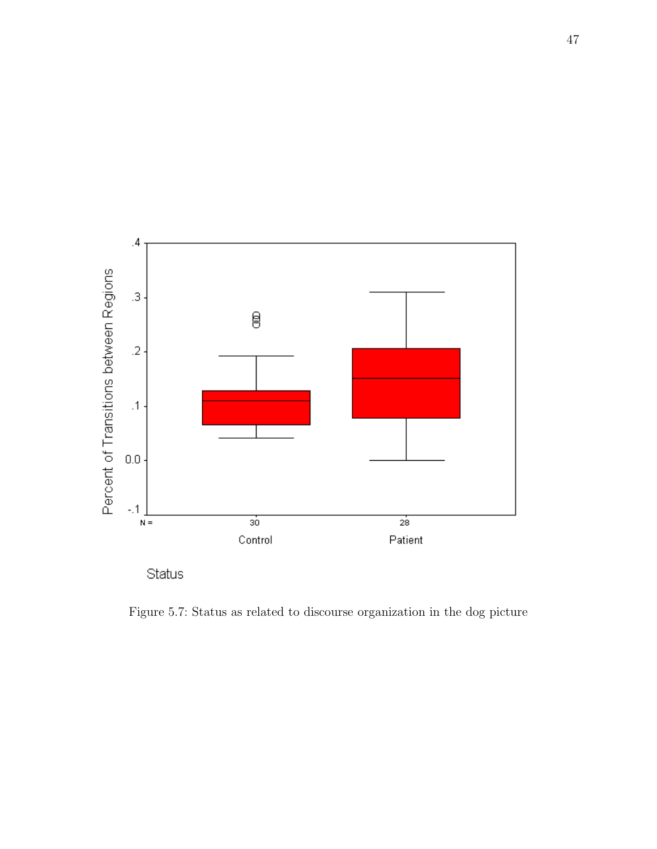

Figure 5.7: Status as related to discourse organization in the dog picture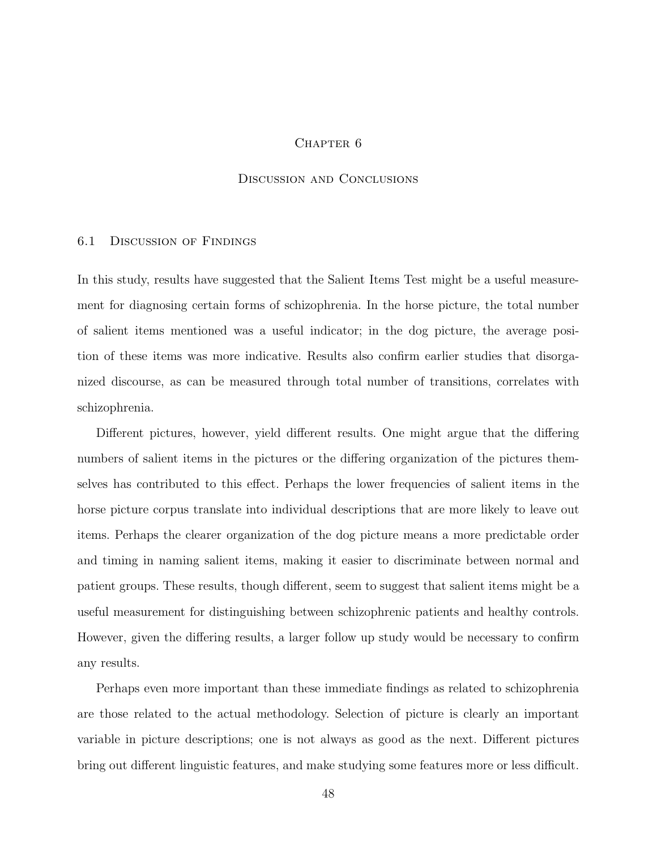### CHAPTER<sub>6</sub>

### Discussion and Conclusions

# 6.1 Discussion of Findings

In this study, results have suggested that the Salient Items Test might be a useful measurement for diagnosing certain forms of schizophrenia. In the horse picture, the total number of salient items mentioned was a useful indicator; in the dog picture, the average position of these items was more indicative. Results also confirm earlier studies that disorganized discourse, as can be measured through total number of transitions, correlates with schizophrenia.

Different pictures, however, yield different results. One might argue that the differing numbers of salient items in the pictures or the differing organization of the pictures themselves has contributed to this effect. Perhaps the lower frequencies of salient items in the horse picture corpus translate into individual descriptions that are more likely to leave out items. Perhaps the clearer organization of the dog picture means a more predictable order and timing in naming salient items, making it easier to discriminate between normal and patient groups. These results, though different, seem to suggest that salient items might be a useful measurement for distinguishing between schizophrenic patients and healthy controls. However, given the differing results, a larger follow up study would be necessary to confirm any results.

Perhaps even more important than these immediate findings as related to schizophrenia are those related to the actual methodology. Selection of picture is clearly an important variable in picture descriptions; one is not always as good as the next. Different pictures bring out different linguistic features, and make studying some features more or less difficult.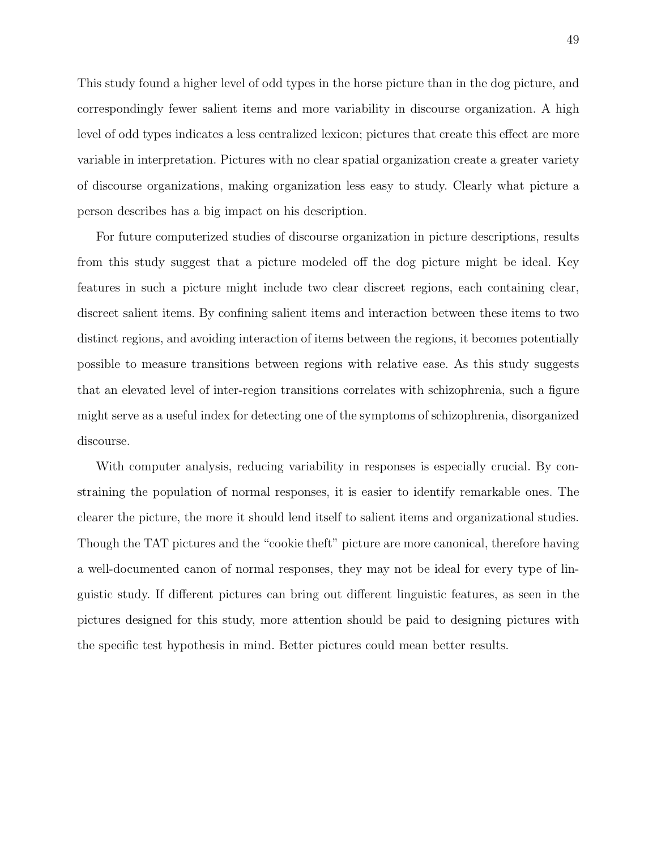This study found a higher level of odd types in the horse picture than in the dog picture, and correspondingly fewer salient items and more variability in discourse organization. A high level of odd types indicates a less centralized lexicon; pictures that create this effect are more variable in interpretation. Pictures with no clear spatial organization create a greater variety of discourse organizations, making organization less easy to study. Clearly what picture a person describes has a big impact on his description.

For future computerized studies of discourse organization in picture descriptions, results from this study suggest that a picture modeled off the dog picture might be ideal. Key features in such a picture might include two clear discreet regions, each containing clear, discreet salient items. By confining salient items and interaction between these items to two distinct regions, and avoiding interaction of items between the regions, it becomes potentially possible to measure transitions between regions with relative ease. As this study suggests that an elevated level of inter-region transitions correlates with schizophrenia, such a figure might serve as a useful index for detecting one of the symptoms of schizophrenia, disorganized discourse.

With computer analysis, reducing variability in responses is especially crucial. By constraining the population of normal responses, it is easier to identify remarkable ones. The clearer the picture, the more it should lend itself to salient items and organizational studies. Though the TAT pictures and the "cookie theft" picture are more canonical, therefore having a well-documented canon of normal responses, they may not be ideal for every type of linguistic study. If different pictures can bring out different linguistic features, as seen in the pictures designed for this study, more attention should be paid to designing pictures with the specific test hypothesis in mind. Better pictures could mean better results.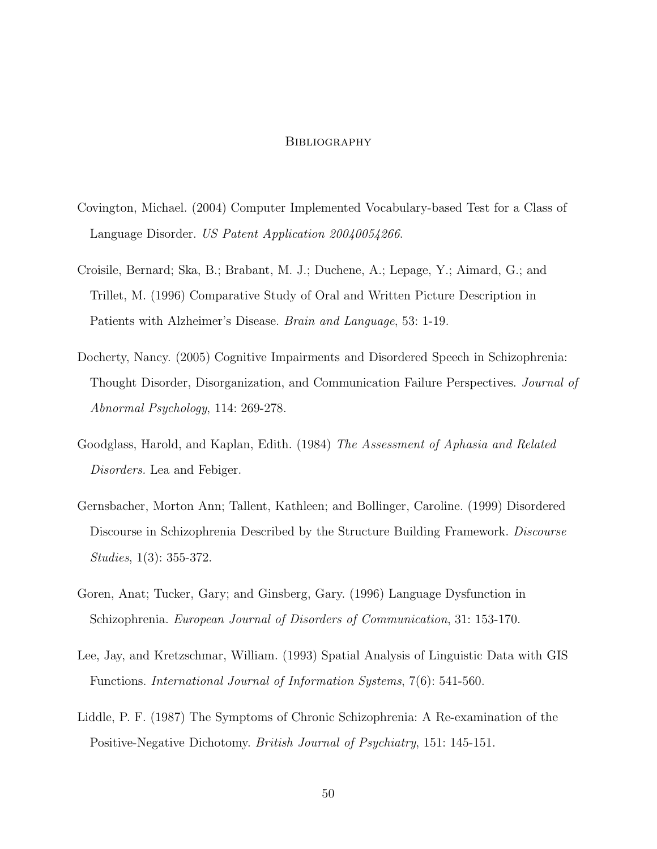### **BIBLIOGRAPHY**

- Covington, Michael. (2004) Computer Implemented Vocabulary-based Test for a Class of Language Disorder. US Patent Application 20040054266.
- Croisile, Bernard; Ska, B.; Brabant, M. J.; Duchene, A.; Lepage, Y.; Aimard, G.; and Trillet, M. (1996) Comparative Study of Oral and Written Picture Description in Patients with Alzheimer's Disease. Brain and Language, 53: 1-19.
- Docherty, Nancy. (2005) Cognitive Impairments and Disordered Speech in Schizophrenia: Thought Disorder, Disorganization, and Communication Failure Perspectives. Journal of Abnormal Psychology, 114: 269-278.
- Goodglass, Harold, and Kaplan, Edith. (1984) The Assessment of Aphasia and Related Disorders. Lea and Febiger.
- Gernsbacher, Morton Ann; Tallent, Kathleen; and Bollinger, Caroline. (1999) Disordered Discourse in Schizophrenia Described by the Structure Building Framework. Discourse Studies, 1(3): 355-372.
- Goren, Anat; Tucker, Gary; and Ginsberg, Gary. (1996) Language Dysfunction in Schizophrenia. European Journal of Disorders of Communication, 31: 153-170.
- Lee, Jay, and Kretzschmar, William. (1993) Spatial Analysis of Linguistic Data with GIS Functions. International Journal of Information Systems, 7(6): 541-560.
- Liddle, P. F. (1987) The Symptoms of Chronic Schizophrenia: A Re-examination of the Positive-Negative Dichotomy. British Journal of Psychiatry, 151: 145-151.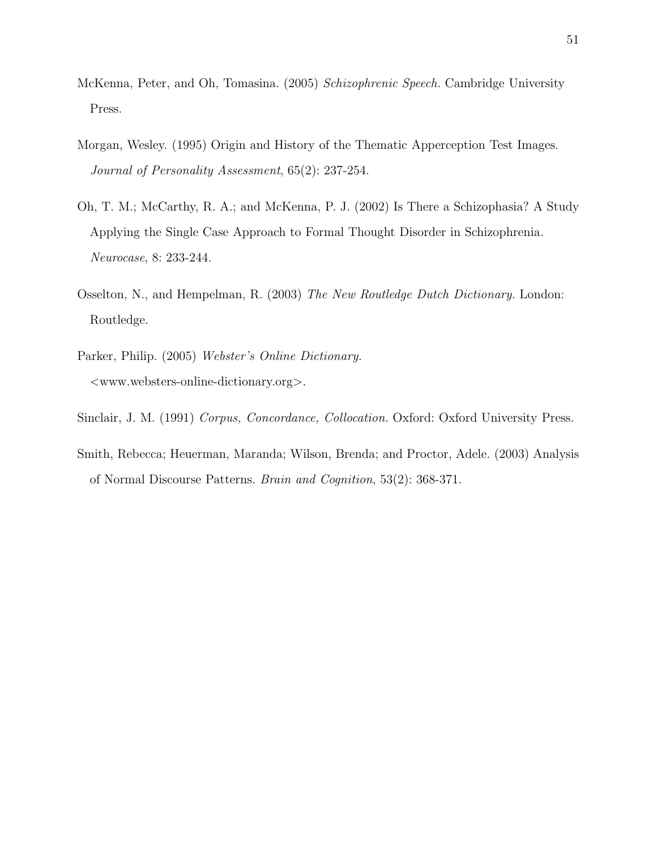- McKenna, Peter, and Oh, Tomasina. (2005) Schizophrenic Speech. Cambridge University Press.
- Morgan, Wesley. (1995) Origin and History of the Thematic Apperception Test Images. Journal of Personality Assessment, 65(2): 237-254.
- Oh, T. M.; McCarthy, R. A.; and McKenna, P. J. (2002) Is There a Schizophasia? A Study Applying the Single Case Approach to Formal Thought Disorder in Schizophrenia. Neurocase, 8: 233-244.
- Osselton, N., and Hempelman, R. (2003) The New Routledge Dutch Dictionary. London: Routledge.
- Parker, Philip. (2005) Webster's Online Dictionary. <www.websters-online-dictionary.org>.
- Sinclair, J. M. (1991) Corpus, Concordance, Collocation. Oxford: Oxford University Press.
- Smith, Rebecca; Heuerman, Maranda; Wilson, Brenda; and Proctor, Adele. (2003) Analysis of Normal Discourse Patterns. Brain and Cognition, 53(2): 368-371.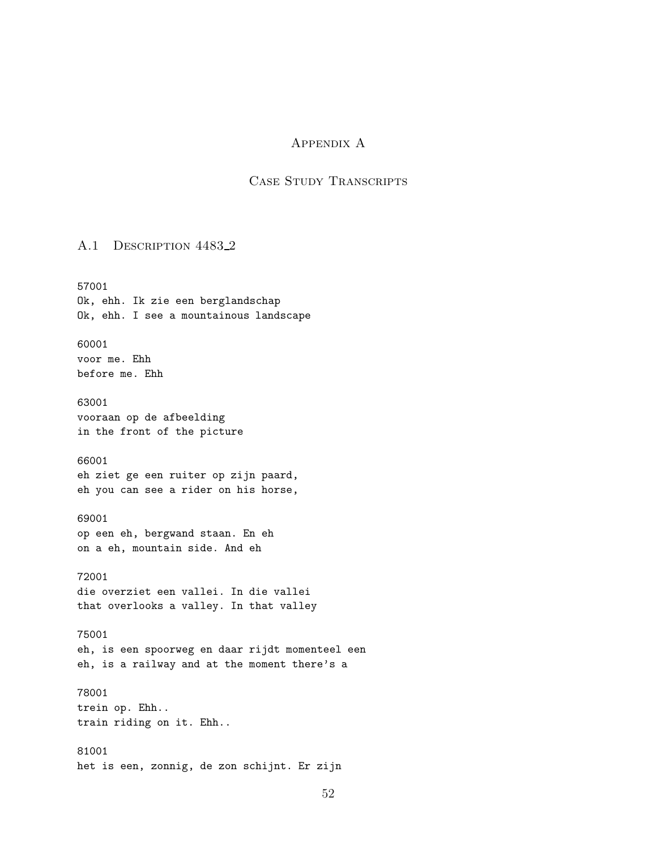# Appendix A

# Case Study Transcripts

### A.1 DESCRIPTION 4483\_2

57001 Ok, ehh. Ik zie een berglandschap Ok, ehh. I see a mountainous landscape 60001 voor me. Ehh before me. Ehh 63001 vooraan op de afbeelding in the front of the picture 66001 eh ziet ge een ruiter op zijn paard, eh you can see a rider on his horse, 69001 op een eh, bergwand staan. En eh on a eh, mountain side. And eh 72001 die overziet een vallei. In die vallei that overlooks a valley. In that valley 75001 eh, is een spoorweg en daar rijdt momenteel een eh, is a railway and at the moment there's a 78001 trein op. Ehh.. train riding on it. Ehh.. 81001 het is een, zonnig, de zon schijnt. Er zijn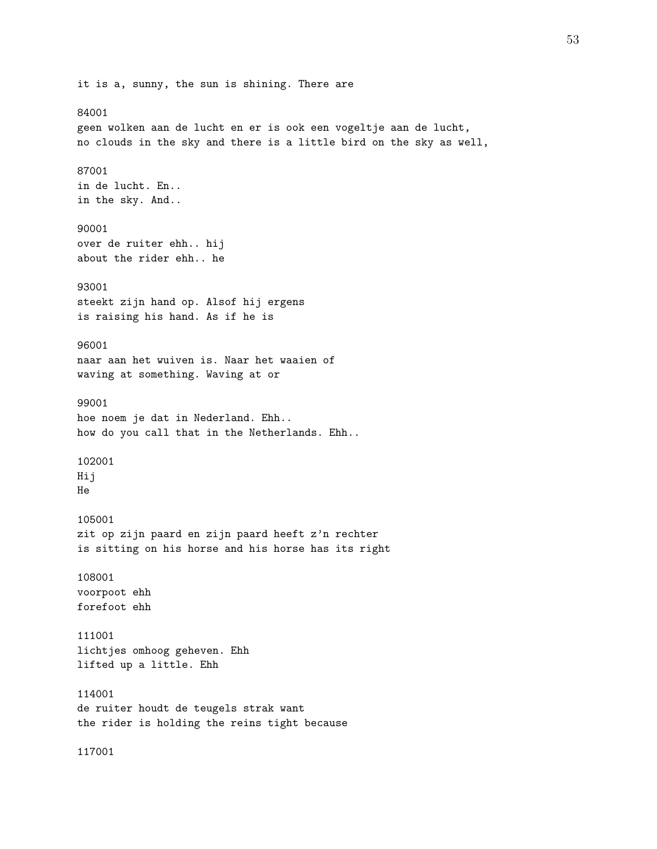it is a, sunny, the sun is shining. There are 84001 geen wolken aan de lucht en er is ook een vogeltje aan de lucht, no clouds in the sky and there is a little bird on the sky as well, 87001 in de lucht. En.. in the sky. And.. 90001 over de ruiter ehh.. hij about the rider ehh.. he 93001 steekt zijn hand op. Alsof hij ergens is raising his hand. As if he is 96001 naar aan het wuiven is. Naar het waaien of waving at something. Waving at or 99001 hoe noem je dat in Nederland. Ehh.. how do you call that in the Netherlands. Ehh.. 102001 Hij He 105001 zit op zijn paard en zijn paard heeft z'n rechter is sitting on his horse and his horse has its right 108001 voorpoot ehh forefoot ehh 111001 lichtjes omhoog geheven. Ehh lifted up a little. Ehh 114001 de ruiter houdt de teugels strak want the rider is holding the reins tight because 117001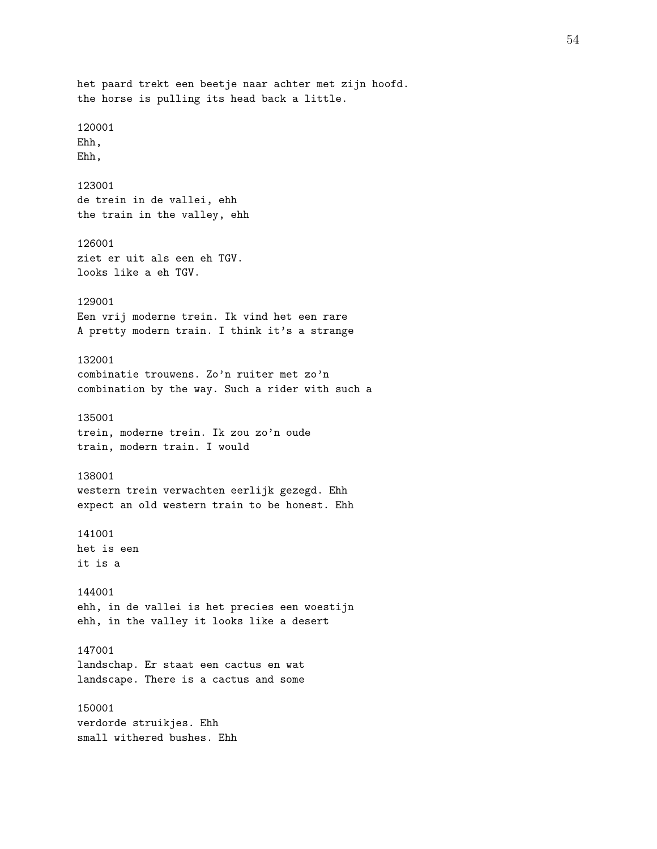het paard trekt een beetje naar achter met zijn hoofd. the horse is pulling its head back a little. 120001 Ehh, Ehh, 123001 de trein in de vallei, ehh the train in the valley, ehh 126001 ziet er uit als een eh TGV. looks like a eh TGV. 129001 Een vrij moderne trein. Ik vind het een rare A pretty modern train. I think it's a strange 132001 combinatie trouwens. Zo'n ruiter met zo'n combination by the way. Such a rider with such a 135001 trein, moderne trein. Ik zou zo'n oude train, modern train. I would 138001 western trein verwachten eerlijk gezegd. Ehh expect an old western train to be honest. Ehh 141001 het is een it is a 144001 ehh, in de vallei is het precies een woestijn ehh, in the valley it looks like a desert 147001 landschap. Er staat een cactus en wat landscape. There is a cactus and some 150001 verdorde struikjes. Ehh small withered bushes. Ehh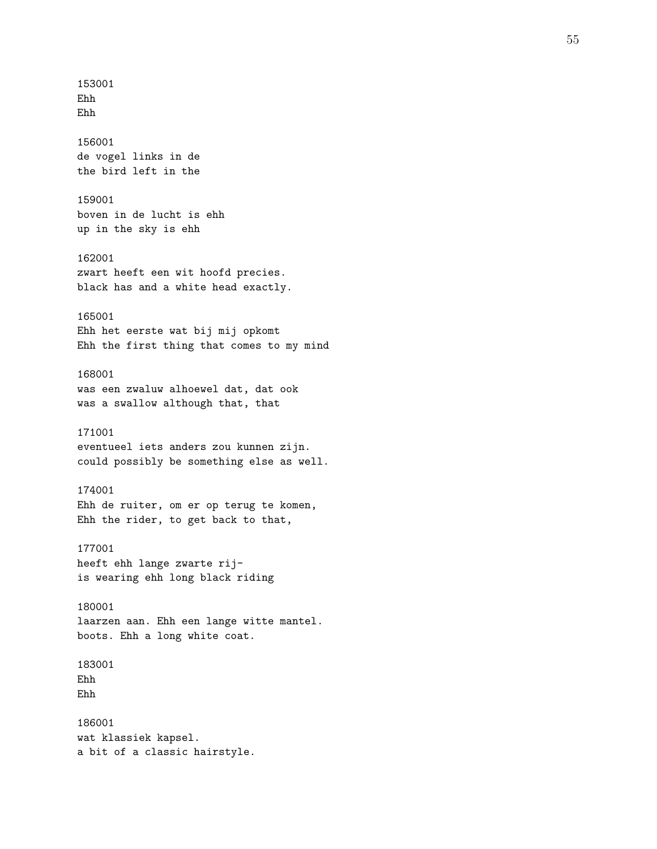153001 Ehh Ehh 156001 de vogel links in de the bird left in the 159001 boven in de lucht is ehh up in the sky is ehh 162001 zwart heeft een wit hoofd precies. black has and a white head exactly. 165001 Ehh het eerste wat bij mij opkomt Ehh the first thing that comes to my mind 168001 was een zwaluw alhoewel dat, dat ook was a swallow although that, that 171001 eventueel iets anders zou kunnen zijn. could possibly be something else as well. 174001 Ehh de ruiter, om er op terug te komen, Ehh the rider, to get back to that, 177001 heeft ehh lange zwarte rijis wearing ehh long black riding 180001 laarzen aan. Ehh een lange witte mantel. boots. Ehh a long white coat. 183001 Ehh Ehh 186001 wat klassiek kapsel. a bit of a classic hairstyle.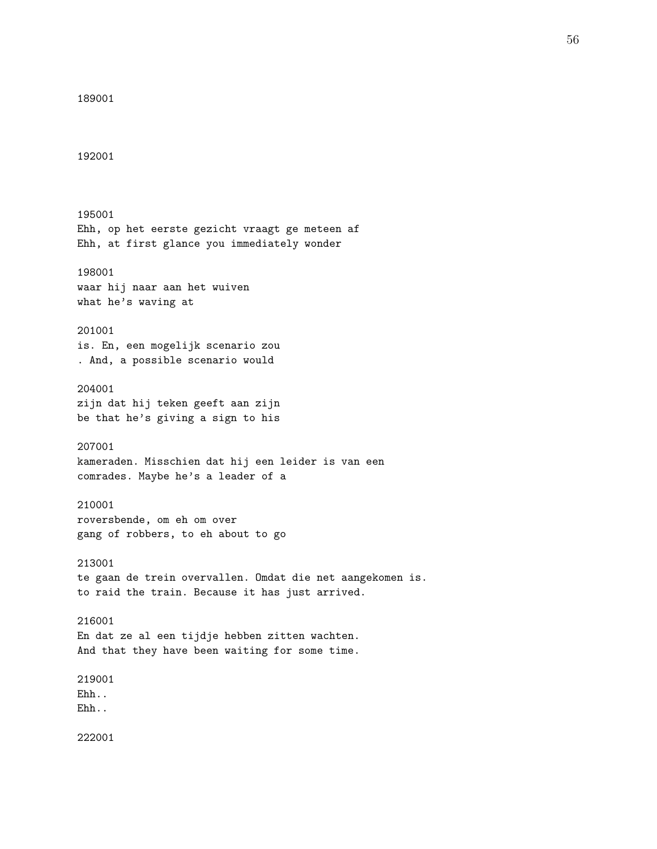```
189001
192001
195001
Ehh, op het eerste gezicht vraagt ge meteen af
Ehh, at first glance you immediately wonder
198001
waar hij naar aan het wuiven
what he's waving at
201001
is. En, een mogelijk scenario zou
. And, a possible scenario would
204001
zijn dat hij teken geeft aan zijn
be that he's giving a sign to his
207001
kameraden. Misschien dat hij een leider is van een
comrades. Maybe he's a leader of a
210001
roversbende, om eh om over
gang of robbers, to eh about to go
213001
te gaan de trein overvallen. Omdat die net aangekomen is.
to raid the train. Because it has just arrived.
216001
En dat ze al een tijdje hebben zitten wachten.
And that they have been waiting for some time.
219001
Ehh..
Ehh..
```
222001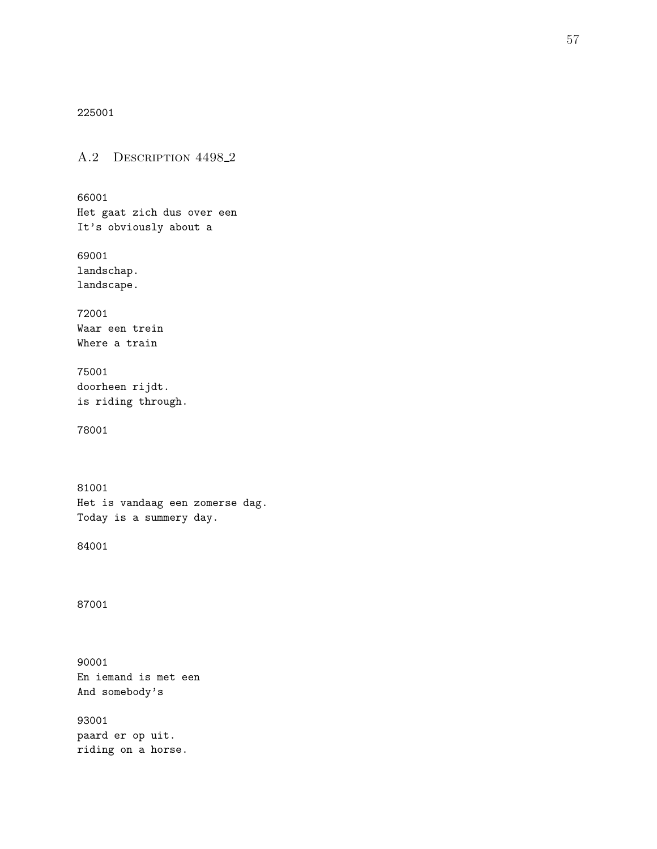225001

A.2 DESCRIPTION 4498<sub>-2</sub>

66001 Het gaat zich dus over een It's obviously about a

69001 landschap. landscape.

72001 Waar een trein Where a train

75001 doorheen rijdt. is riding through.

78001

81001 Het is vandaag een zomerse dag. Today is a summery day.

84001

87001

90001 En iemand is met een And somebody's

93001 paard er op uit. riding on a horse.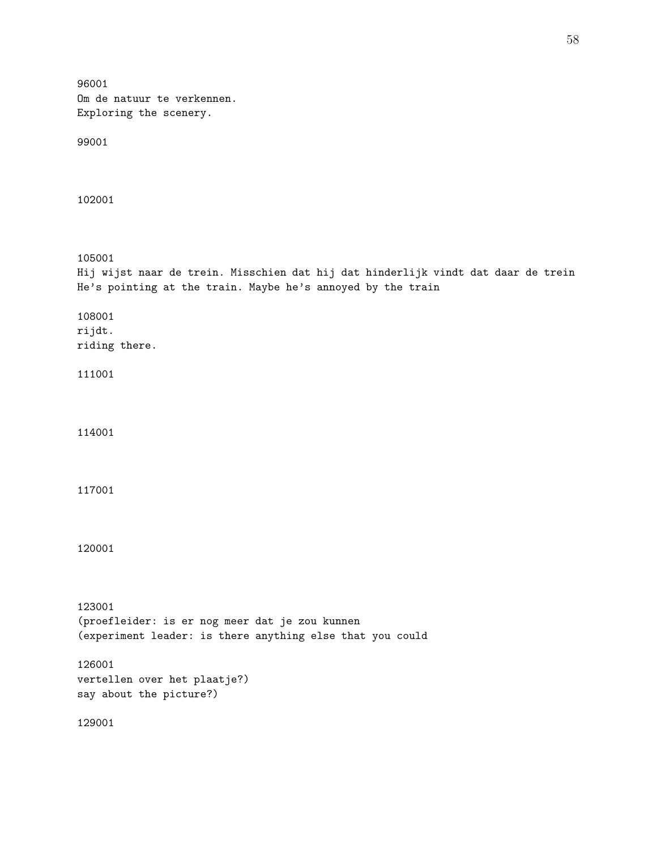96001 Om de natuur te verkennen. Exploring the scenery. 99001 102001 105001 Hij wijst naar de trein. Misschien dat hij dat hinderlijk vindt dat daar de trein He's pointing at the train. Maybe he's annoyed by the train 108001 rijdt. riding there. 111001 114001 117001 120001 123001 (proefleider: is er nog meer dat je zou kunnen (experiment leader: is there anything else that you could 126001 vertellen over het plaatje?) say about the picture?) 129001

58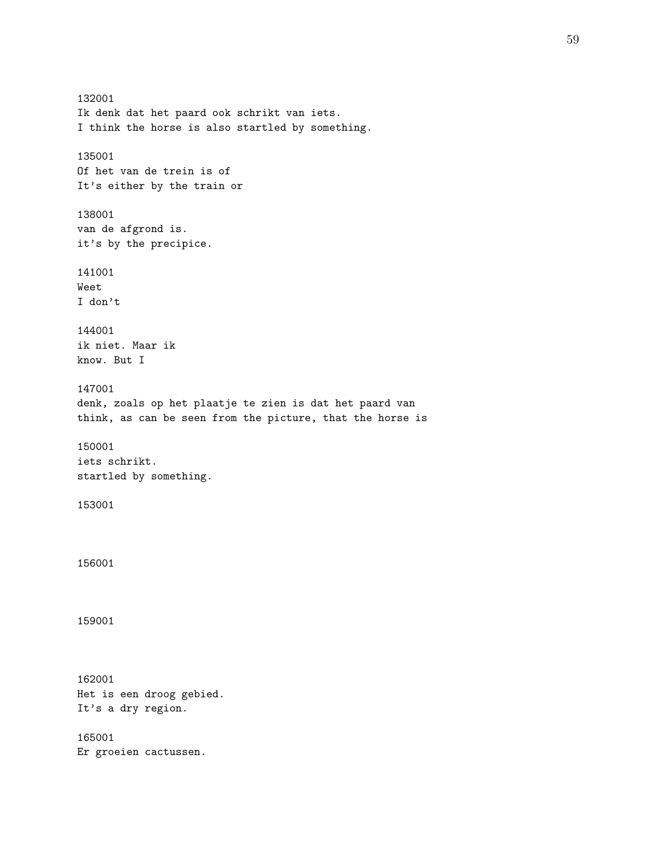132001 Ik denk dat het paard ook schrikt van iets. I think the horse is also startled by something. 135001 Of het van de trein is of It's either by the train or 138001 van de afgrond is. it's by the precipice. 141001 Weet I don't 144001 ik niet. Maar ik know. But I 147001 denk, zoals op het plaatje te zien is dat het paard van think, as can be seen from the picture, that the horse is 150001 iets schrikt. startled by something. 153001 156001 159001 162001 Het is een droog gebied. It's a dry region. 165001 Er groeien cactussen.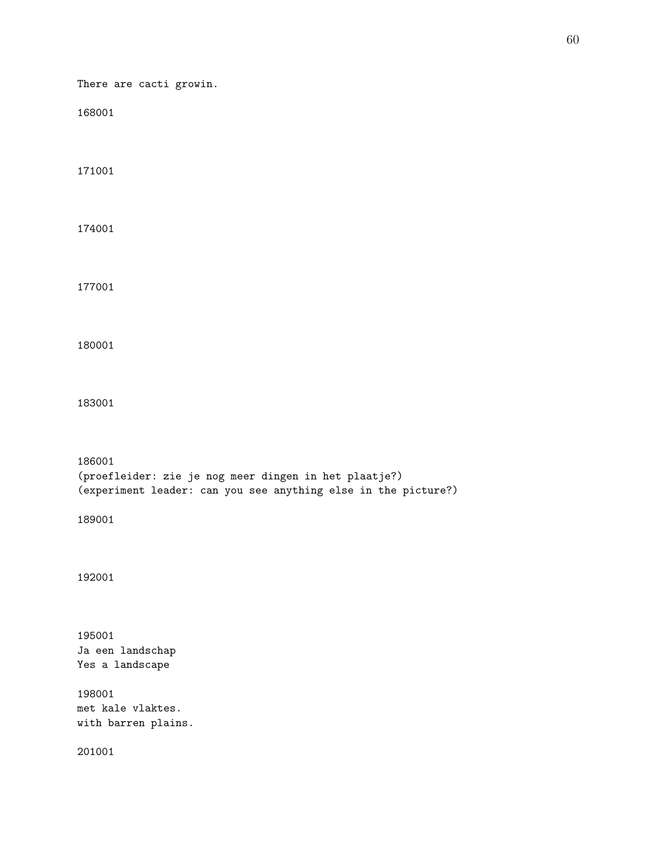There are cacti growin. (proefleider: zie je nog meer dingen in het plaatje?) (experiment leader: can you see anything else in the picture?) Ja een landschap Yes a landscape met kale vlaktes. with barren plains.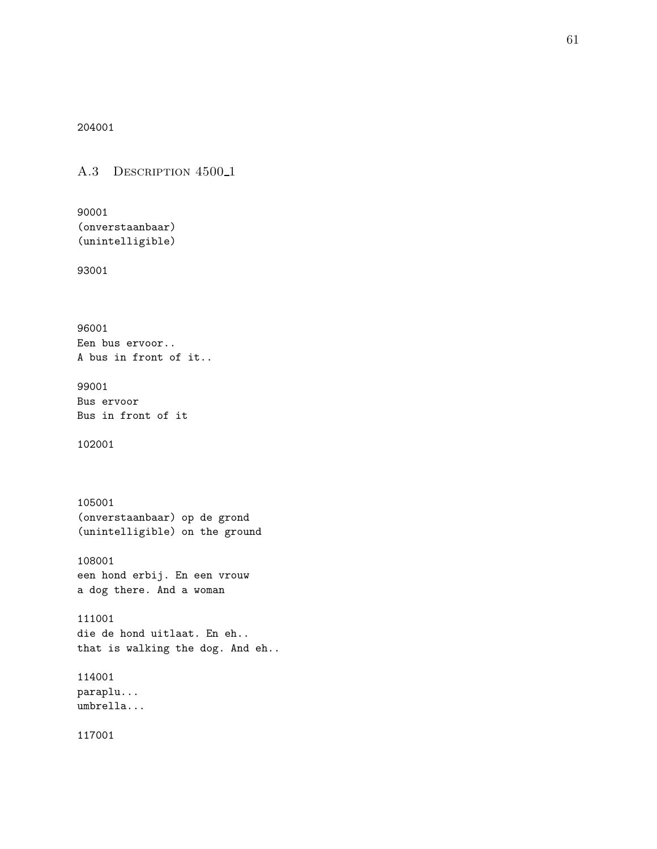204001

A.3 DESCRIPTION 4500<sub>-1</sub>

90001 (onverstaanbaar) (unintelligible)

93001

96001 Een bus ervoor.. A bus in front of it..

99001 Bus ervoor Bus in front of it

102001

105001 (onverstaanbaar) op de grond (unintelligible) on the ground

108001 een hond erbij. En een vrouw a dog there. And a woman

111001 die de hond uitlaat. En eh.. that is walking the dog. And eh..

114001 paraplu... umbrella...

117001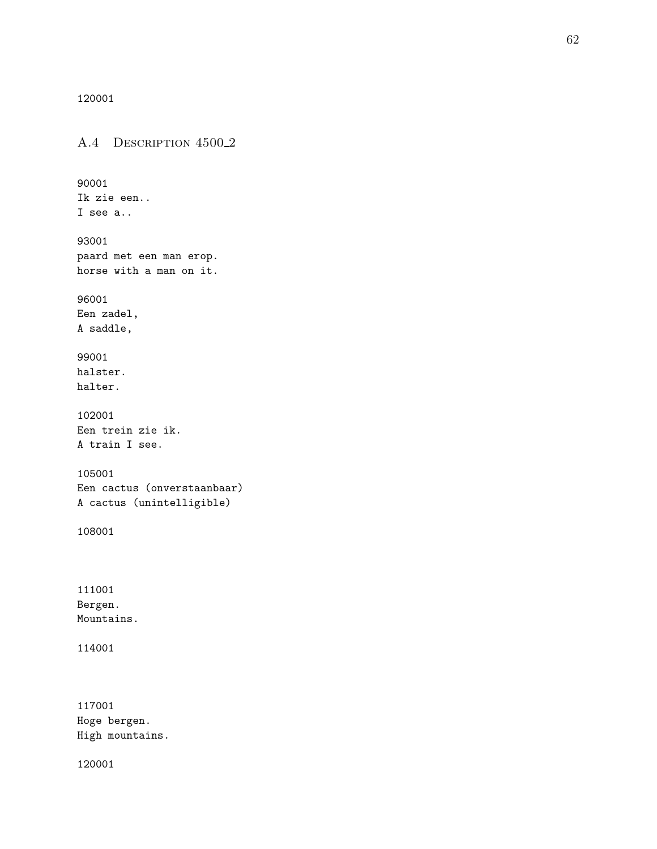120001

A.4 DESCRIPTION 4500<sub>-2</sub> 90001 Ik zie een.. I see a.. 93001 paard met een man erop. horse with a man on it. 96001 Een zadel, A saddle, 99001 halster. halter. 102001 Een trein zie ik. A train I see. 105001 Een cactus (onverstaanbaar) A cactus (unintelligible) 108001 111001 Bergen. Mountains. 114001 117001 Hoge bergen. High mountains.

120001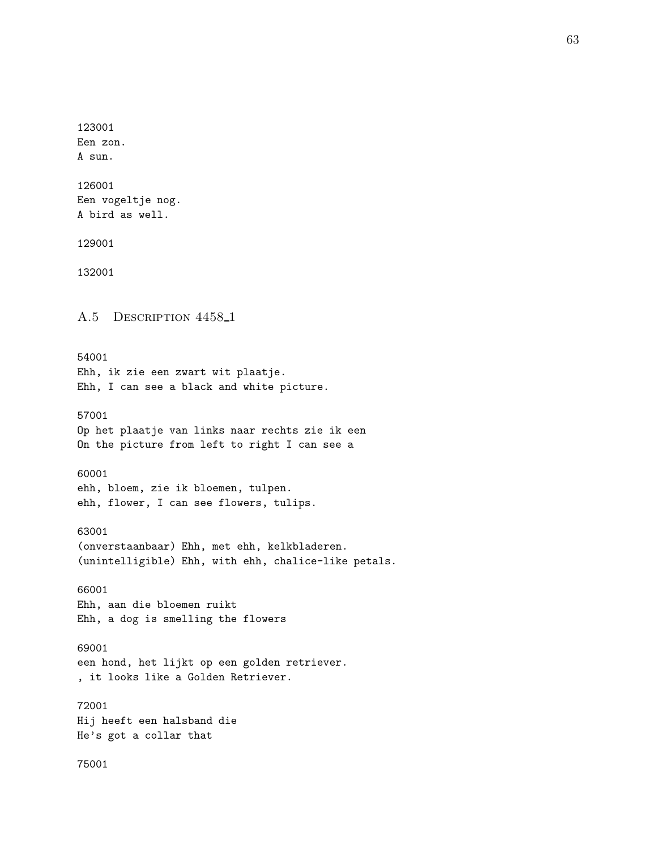123001 Een zon. A sun. 126001 Een vogeltje nog. A bird as well. 129001 132001 A.5 DESCRIPTION 4458<sub>-1</sub> 54001 Ehh, ik zie een zwart wit plaatje. Ehh, I can see a black and white picture. 57001 Op het plaatje van links naar rechts zie ik een On the picture from left to right I can see a 60001 ehh, bloem, zie ik bloemen, tulpen. ehh, flower, I can see flowers, tulips. 63001 (onverstaanbaar) Ehh, met ehh, kelkbladeren. (unintelligible) Ehh, with ehh, chalice-like petals. 66001 Ehh, aan die bloemen ruikt Ehh, a dog is smelling the flowers 69001 een hond, het lijkt op een golden retriever. , it looks like a Golden Retriever. 72001 Hij heeft een halsband die He's got a collar that 75001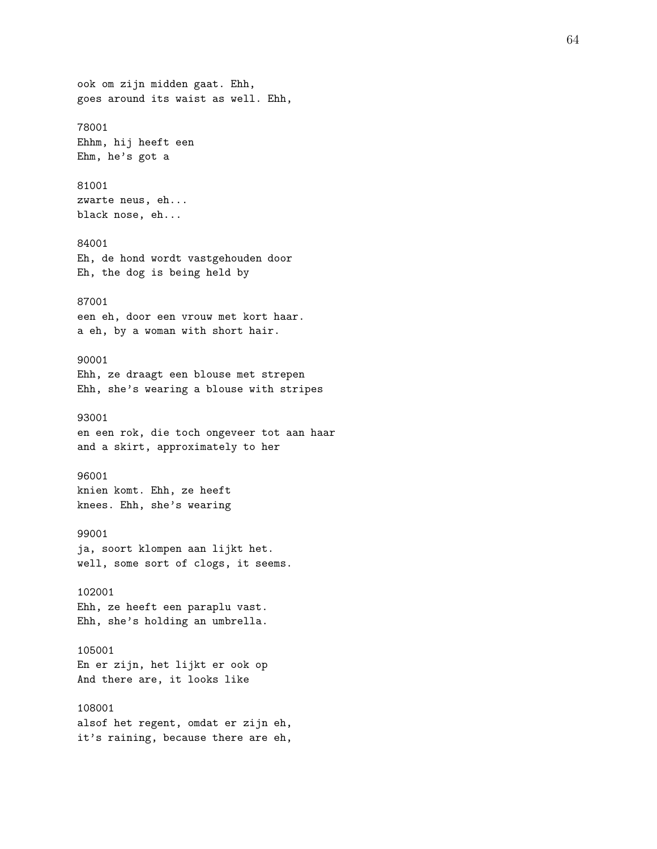ook om zijn midden gaat. Ehh, goes around its waist as well. Ehh, 78001 Ehhm, hij heeft een Ehm, he's got a 81001 zwarte neus, eh... black nose, eh... 84001 Eh, de hond wordt vastgehouden door Eh, the dog is being held by 87001 een eh, door een vrouw met kort haar. a eh, by a woman with short hair. 90001 Ehh, ze draagt een blouse met strepen Ehh, she's wearing a blouse with stripes 93001 en een rok, die toch ongeveer tot aan haar and a skirt, approximately to her 96001 knien komt. Ehh, ze heeft knees. Ehh, she's wearing 99001 ja, soort klompen aan lijkt het. well, some sort of clogs, it seems. 102001 Ehh, ze heeft een paraplu vast. Ehh, she's holding an umbrella. 105001 En er zijn, het lijkt er ook op And there are, it looks like 108001 alsof het regent, omdat er zijn eh, it's raining, because there are eh,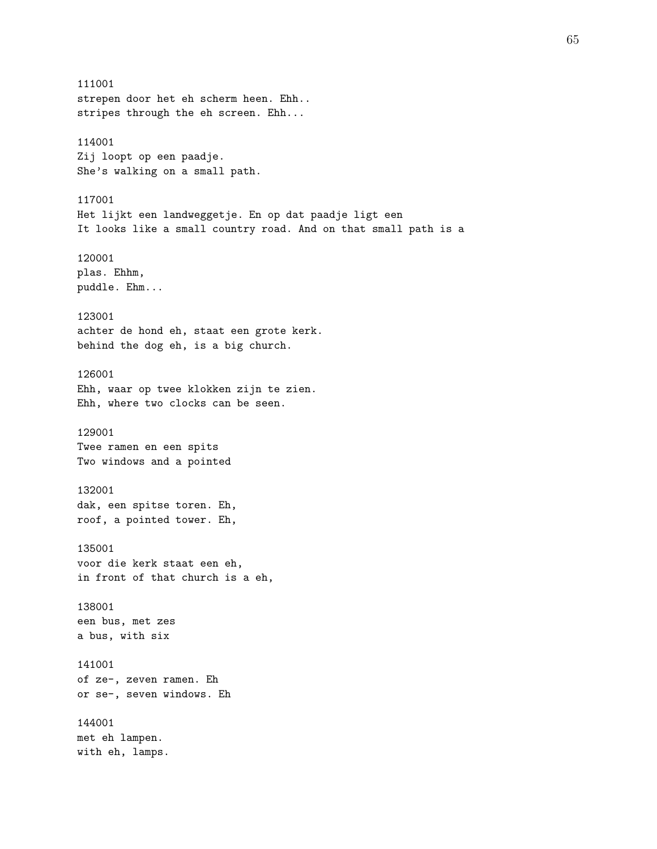111001 strepen door het eh scherm heen. Ehh.. stripes through the eh screen. Ehh... 114001 Zij loopt op een paadje. She's walking on a small path. 117001 Het lijkt een landweggetje. En op dat paadje ligt een It looks like a small country road. And on that small path is a 120001 plas. Ehhm, puddle. Ehm... 123001 achter de hond eh, staat een grote kerk. behind the dog eh, is a big church. 126001 Ehh, waar op twee klokken zijn te zien. Ehh, where two clocks can be seen. 129001 Twee ramen en een spits Two windows and a pointed 132001 dak, een spitse toren. Eh, roof, a pointed tower. Eh, 135001 voor die kerk staat een eh, in front of that church is a eh, 138001 een bus, met zes a bus, with six 141001 of ze-, zeven ramen. Eh or se-, seven windows. Eh 144001 met eh lampen. with eh, lamps.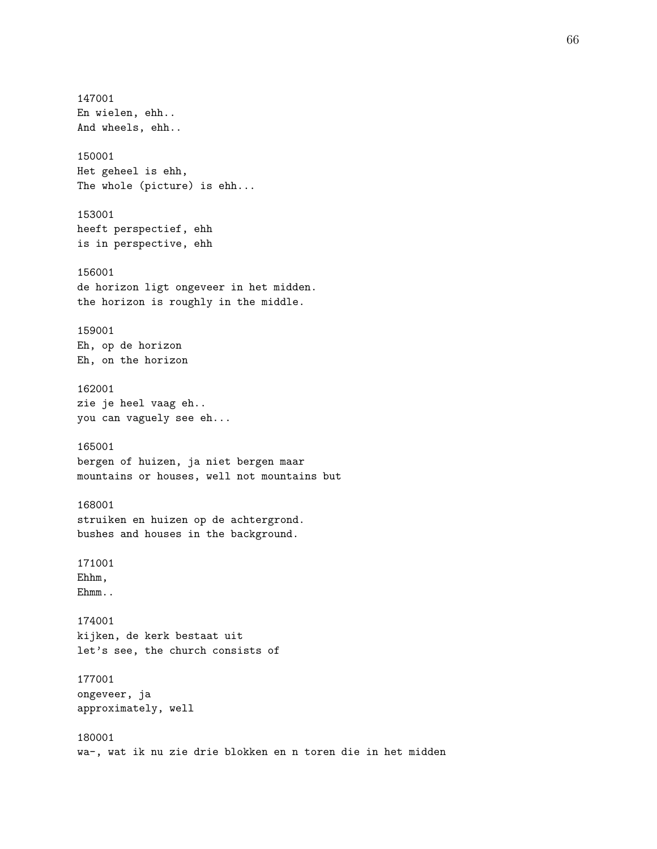147001 En wielen, ehh.. And wheels, ehh.. 150001 Het geheel is ehh, The whole (picture) is ehh... 153001 heeft perspectief, ehh is in perspective, ehh 156001 de horizon ligt ongeveer in het midden. the horizon is roughly in the middle. 159001 Eh, op de horizon Eh, on the horizon 162001 zie je heel vaag eh.. you can vaguely see eh... 165001 bergen of huizen, ja niet bergen maar mountains or houses, well not mountains but 168001 struiken en huizen op de achtergrond. bushes and houses in the background. 171001 Ehhm, Ehmm.. 174001 kijken, de kerk bestaat uit let's see, the church consists of 177001 ongeveer, ja approximately, well 180001 wa-, wat ik nu zie drie blokken en n toren die in het midden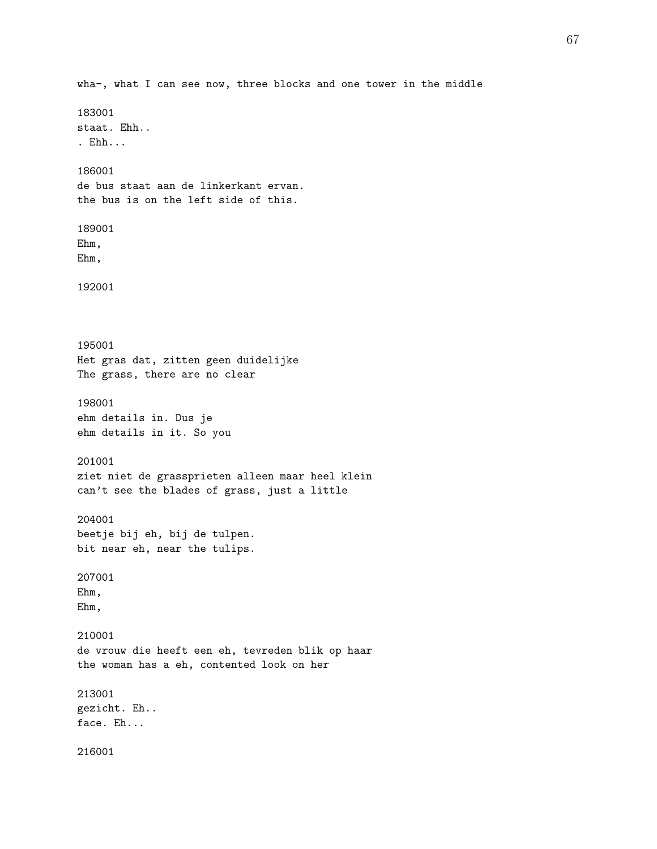wha-, what I can see now, three blocks and one tower in the middle 183001 staat. Ehh.. . Ehh... 186001 de bus staat aan de linkerkant ervan. the bus is on the left side of this. 189001 Ehm, Ehm, 192001 195001 Het gras dat, zitten geen duidelijke The grass, there are no clear 198001 ehm details in. Dus je ehm details in it. So you 201001 ziet niet de grassprieten alleen maar heel klein can't see the blades of grass, just a little 204001 beetje bij eh, bij de tulpen. bit near eh, near the tulips. 207001 Ehm, Ehm, 210001 de vrouw die heeft een eh, tevreden blik op haar the woman has a eh, contented look on her 213001 gezicht. Eh.. face. Eh... 216001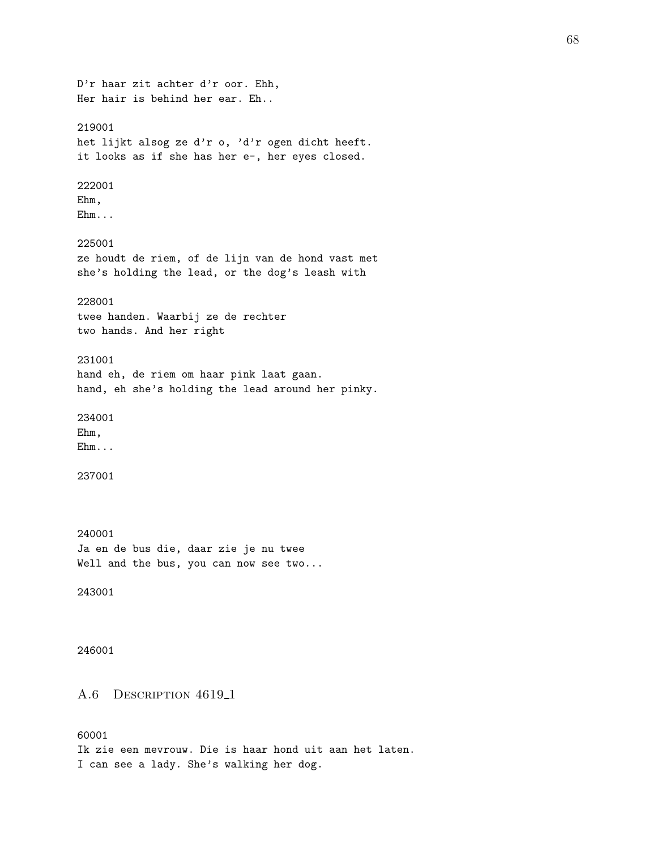D'r haar zit achter d'r oor. Ehh, Her hair is behind her ear. Eh.. 219001 het lijkt alsog ze d'r o, 'd'r ogen dicht heeft. it looks as if she has her e-, her eyes closed. 222001 Ehm, Ehm... 225001 ze houdt de riem, of de lijn van de hond vast met she's holding the lead, or the dog's leash with 228001 twee handen. Waarbij ze de rechter two hands. And her right 231001 hand eh, de riem om haar pink laat gaan. hand, eh she's holding the lead around her pinky. 234001 Ehm, Ehm... 237001 240001 Ja en de bus die, daar zie je nu twee Well and the bus, you can now see two... 243001 246001 A.6 DESCRIPTION 4619<sub>-1</sub> 60001 Ik zie een mevrouw. Die is haar hond uit aan het laten. I can see a lady. She's walking her dog.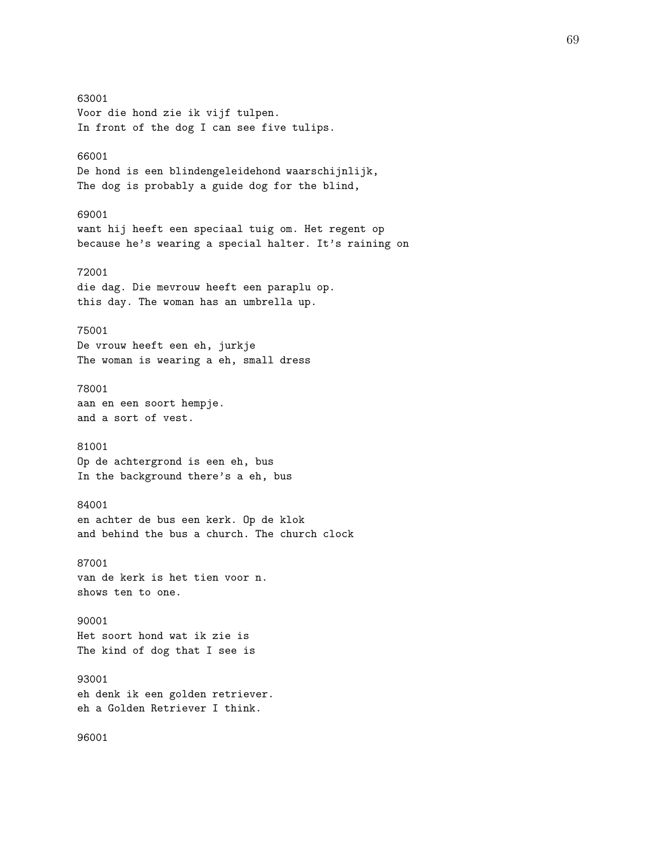63001 Voor die hond zie ik vijf tulpen. In front of the dog I can see five tulips. 66001 De hond is een blindengeleidehond waarschijnlijk, The dog is probably a guide dog for the blind, 69001 want hij heeft een speciaal tuig om. Het regent op because he's wearing a special halter. It's raining on 72001 die dag. Die mevrouw heeft een paraplu op. this day. The woman has an umbrella up. 75001 De vrouw heeft een eh, jurkje The woman is wearing a eh, small dress 78001 aan en een soort hempje. and a sort of vest. 81001 Op de achtergrond is een eh, bus In the background there's a eh, bus 84001 en achter de bus een kerk. Op de klok and behind the bus a church. The church clock 87001 van de kerk is het tien voor n. shows ten to one. 90001 Het soort hond wat ik zie is The kind of dog that I see is 93001 eh denk ik een golden retriever. eh a Golden Retriever I think. 96001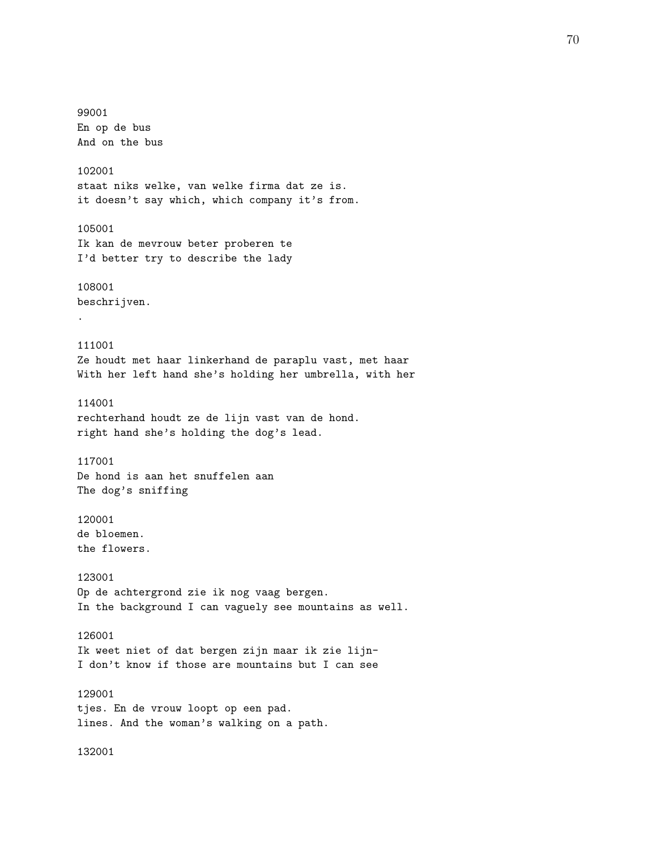99001 En op de bus And on the bus 102001 staat niks welke, van welke firma dat ze is. it doesn't say which, which company it's from. 105001 Ik kan de mevrouw beter proberen te I'd better try to describe the lady 108001 beschrijven. . 111001 Ze houdt met haar linkerhand de paraplu vast, met haar With her left hand she's holding her umbrella, with her 114001 rechterhand houdt ze de lijn vast van de hond. right hand she's holding the dog's lead. 117001 De hond is aan het snuffelen aan The dog's sniffing 120001 de bloemen. the flowers. 123001 Op de achtergrond zie ik nog vaag bergen. In the background I can vaguely see mountains as well. 126001 Ik weet niet of dat bergen zijn maar ik zie lijn-I don't know if those are mountains but I can see 129001 tjes. En de vrouw loopt op een pad. lines. And the woman's walking on a path.

132001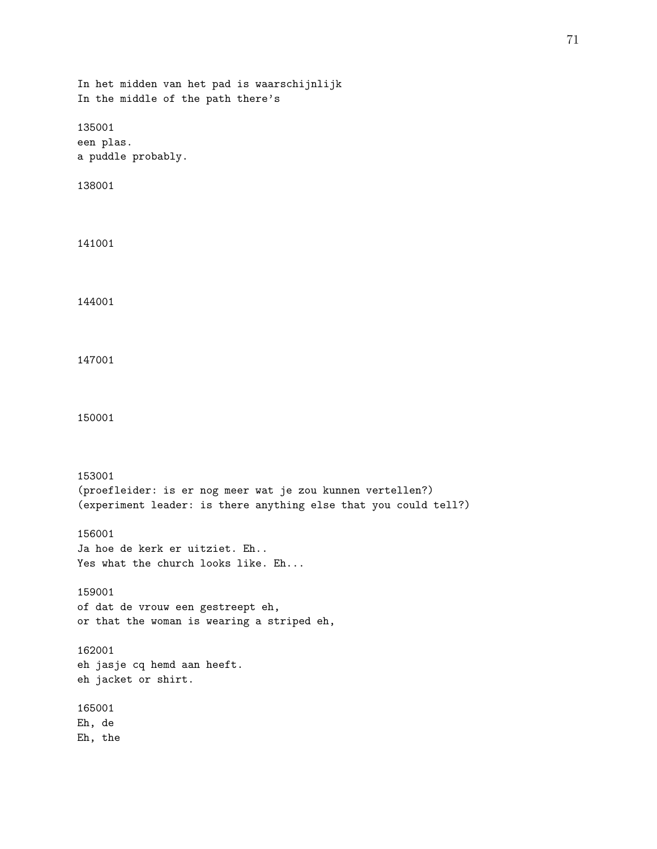```
In het midden van het pad is waarschijnlijk
In the middle of the path there's
135001
een plas.
a puddle probably.
138001
141001
144001
147001
150001
153001
(proefleider: is er nog meer wat je zou kunnen vertellen?)
(experiment leader: is there anything else that you could tell?)
156001
Ja hoe de kerk er uitziet. Eh..
Yes what the church looks like. Eh...
159001
of dat de vrouw een gestreept eh,
or that the woman is wearing a striped eh,
162001
eh jasje cq hemd aan heeft.
eh jacket or shirt.
165001
Eh, de
Eh, the
```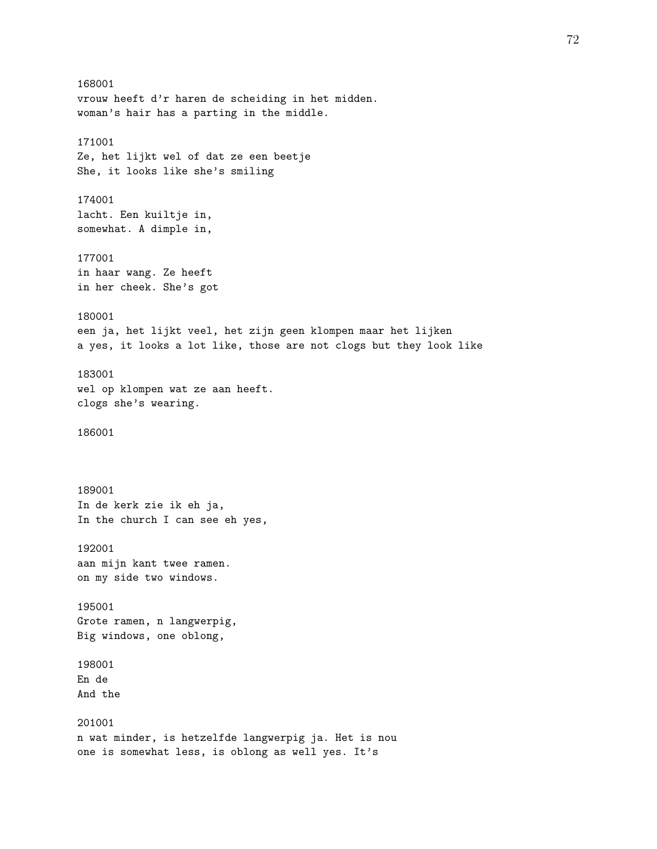168001 vrouw heeft d'r haren de scheiding in het midden. woman's hair has a parting in the middle. 171001 Ze, het lijkt wel of dat ze een beetje She, it looks like she's smiling 174001 lacht. Een kuiltje in, somewhat. A dimple in, 177001 in haar wang. Ze heeft in her cheek. She's got 180001 een ja, het lijkt veel, het zijn geen klompen maar het lijken a yes, it looks a lot like, those are not clogs but they look like 183001 wel op klompen wat ze aan heeft. clogs she's wearing. 186001 189001 In de kerk zie ik eh ja, In the church I can see eh yes, 192001 aan mijn kant twee ramen. on my side two windows. 195001 Grote ramen, n langwerpig, Big windows, one oblong, 198001 En de And the 201001 n wat minder, is hetzelfde langwerpig ja. Het is nou one is somewhat less, is oblong as well yes. It's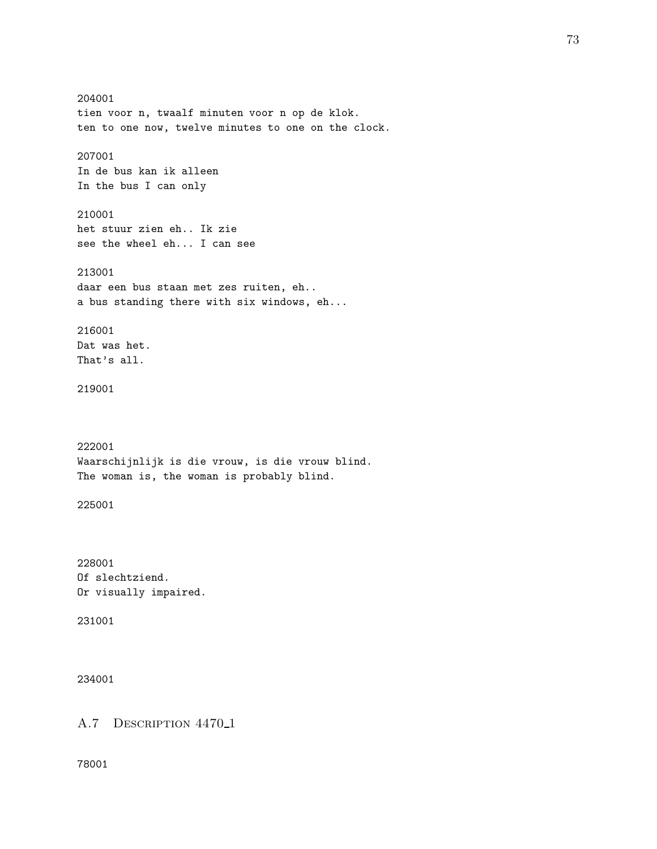204001 tien voor n, twaalf minuten voor n op de klok. ten to one now, twelve minutes to one on the clock. 207001 In de bus kan ik alleen In the bus I can only 210001 het stuur zien eh.. Ik zie see the wheel eh... I can see 213001 daar een bus staan met zes ruiten, eh.. a bus standing there with six windows, eh... 216001 Dat was het. That's all. 219001 222001 Waarschijnlijk is die vrouw, is die vrouw blind. The woman is, the woman is probably blind. 225001 228001 Of slechtziend. Or visually impaired. 231001 234001

A.7 DESCRIPTION 4470<sub>-1</sub>

78001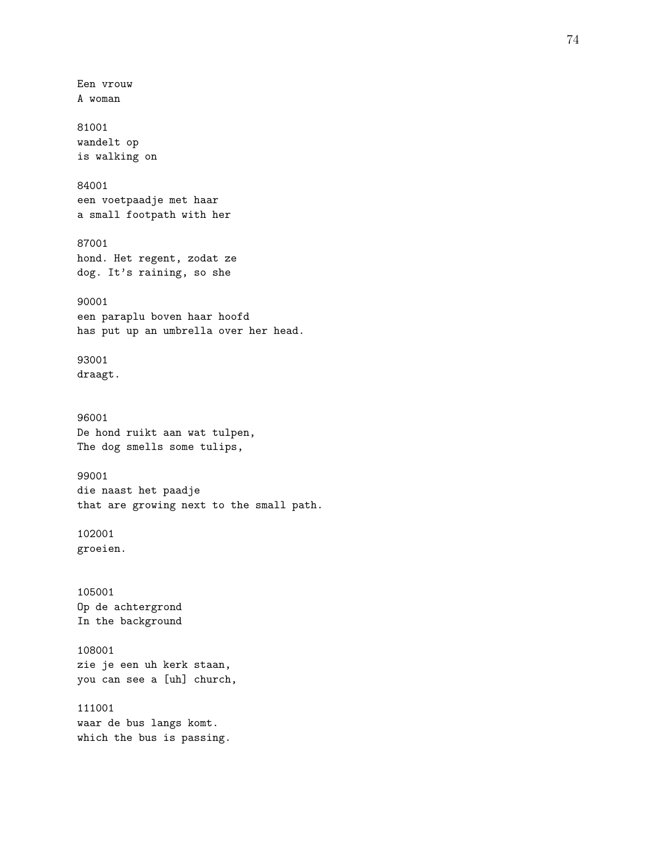Een vrouw A woman 81001 wandelt op is walking on 84001 een voetpaadje met haar a small footpath with her 87001 hond. Het regent, zodat ze dog. It's raining, so she 90001 een paraplu boven haar hoofd has put up an umbrella over her head. 93001 draagt. 96001 De hond ruikt aan wat tulpen, The dog smells some tulips, 99001 die naast het paadje that are growing next to the small path. 102001 groeien. 105001 Op de achtergrond In the background 108001 zie je een uh kerk staan, you can see a [uh] church, 111001 waar de bus langs komt. which the bus is passing.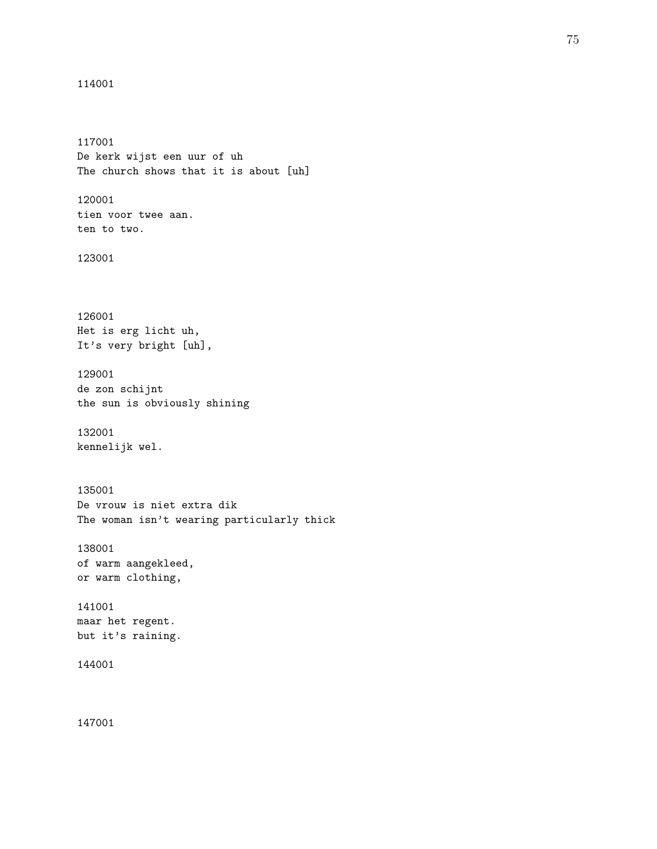```
114001
```
117001 De kerk wijst een uur of uh The church shows that it is about [uh] 120001 tien voor twee aan. ten to two. 123001 126001 Het is erg licht uh, It's very bright [uh], 129001 de zon schijnt the sun is obviously shining 132001 kennelijk wel. 135001 De vrouw is niet extra dik The woman isn't wearing particularly thick 138001 of warm aangekleed, or warm clothing, 141001 maar het regent. but it's raining. 144001 147001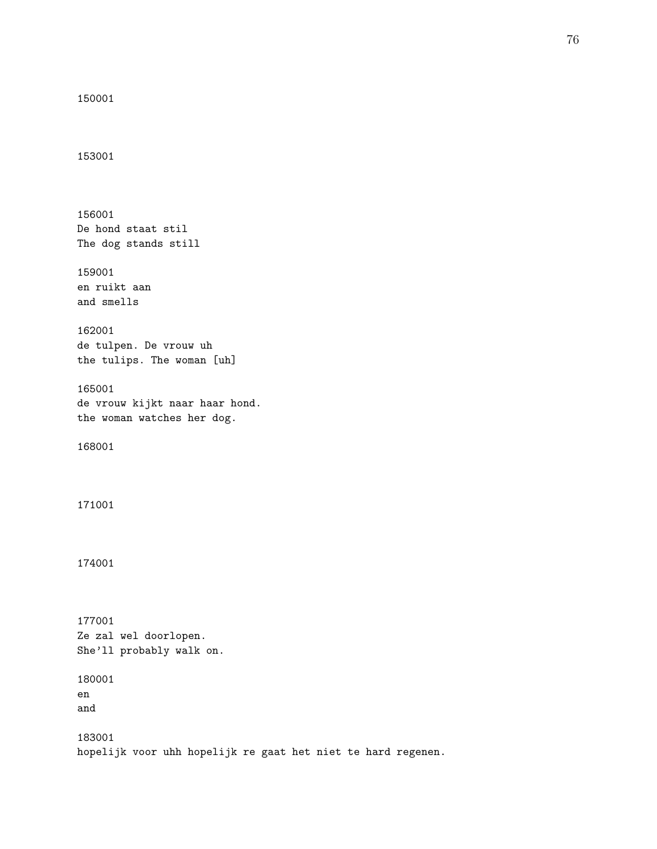```
150001
```
153001

156001 De hond staat stil The dog stands still 159001 en ruikt aan and smells 162001 de tulpen. De vrouw uh the tulips. The woman [uh] 165001 de vrouw kijkt naar haar hond. the woman watches her dog. 168001 171001 174001 177001 Ze zal wel doorlopen. She'll probably walk on. 180001 en and 183001 hopelijk voor uhh hopelijk re gaat het niet te hard regenen.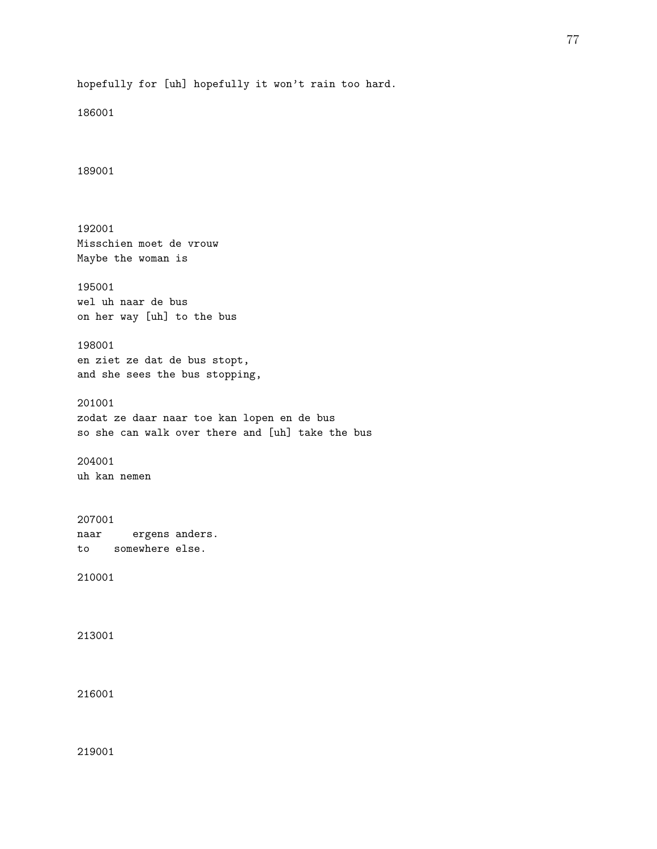186001

189001

192001 Misschien moet de vrouw Maybe the woman is 195001 wel uh naar de bus on her way [uh] to the bus 198001 en ziet ze dat de bus stopt, and she sees the bus stopping, 201001 zodat ze daar naar toe kan lopen en de bus so she can walk over there and [uh] take the bus 204001 uh kan nemen 207001 naar ergens anders. to somewhere else. 210001 213001 216001

219001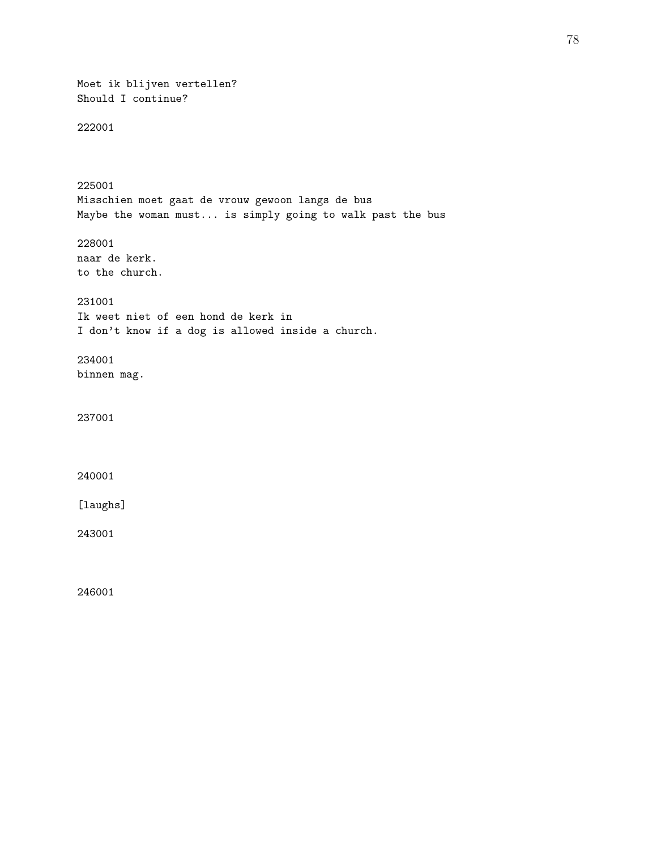Moet ik blijven vertellen? Should I continue? 222001 225001 Misschien moet gaat de vrouw gewoon langs de bus Maybe the woman must... is simply going to walk past the bus 228001 naar de kerk. to the church. 231001 Ik weet niet of een hond de kerk in I don't know if a dog is allowed inside a church. 234001 binnen mag. 237001 240001 [laughs] 243001 246001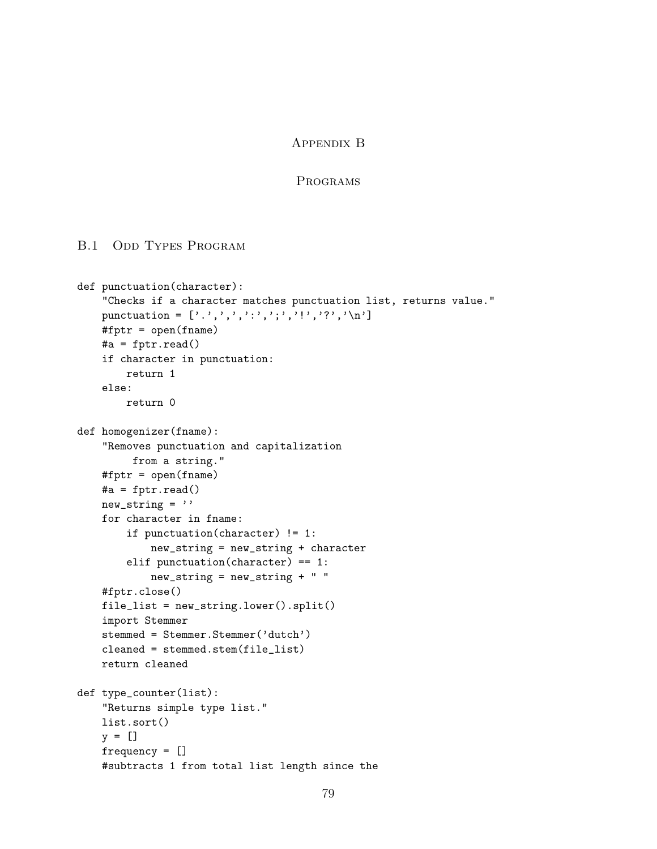## Appendix B

### Programs

#### B.1 ODD TYPES PROGRAM

```
def punctuation(character):
    "Checks if a character matches punctuation list, returns value."
    punctuation = [\cdot,\cdot,\cdot,\cdot,\cdot,\cdot,\cdot,\cdot,\cdot,\cdot,\cdot,\cdot,\cdot,\cdot,\cdot,\cdot]#fptr = open(fname)
    #a = fptr.read()
    if character in punctuation:
        return 1
    else:
        return 0
def homogenizer(fname):
    "Removes punctuation and capitalization
         from a string."
    #fptr = open(fname)
    #a = fptr.read()
    new\_string =''
    for character in fname:
        if punctuation(character) != 1:
             new_string = new_string + character
        elif punctuation(character) == 1:
             new_string = new_string + " "
    #fptr.close()
    file_list = new_string.lower().split()
    import Stemmer
    stemmed = Stemmer.Stemmer('dutch')
    cleaned = stemmed.stem(file_list)
    return cleaned
def type_counter(list):
    "Returns simple type list."
    list.sort()
    y = []frequency = []
    #subtracts 1 from total list length since the
```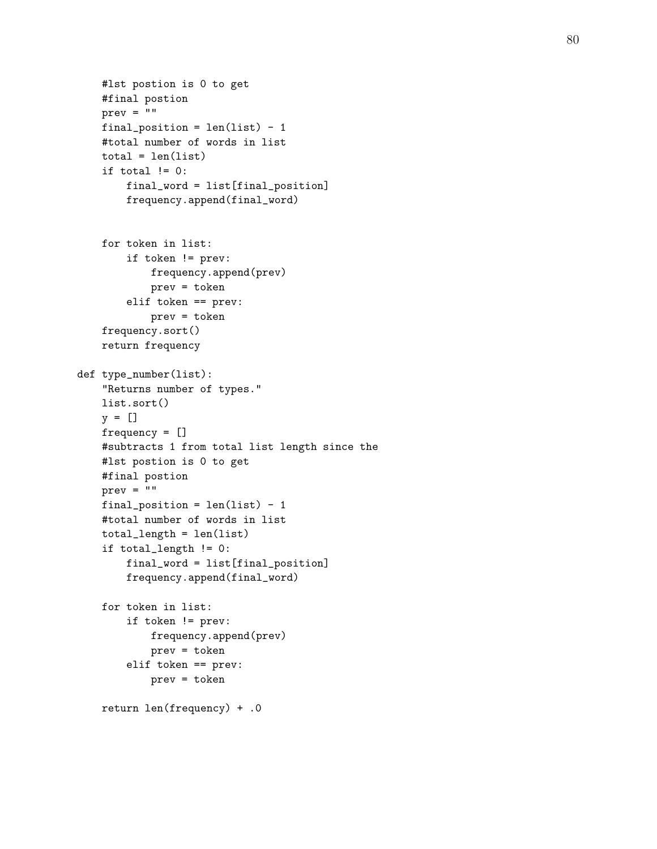```
#lst postion is 0 to get
    #final postion
    prev = "final_position = len(list) - 1
    #total number of words in list
    total = len(list)if total != 0:
        final_word = list[final_position]
        frequency.append(final_word)
    for token in list:
        if token != prev:
            frequency.append(prev)
            prev = token
        elif token == prev:
            prev = token
    frequency.sort()
    return frequency
def type_number(list):
    "Returns number of types."
    list.sort()
    y = []frequency = []
    #subtracts 1 from total list length since the
    #lst postion is 0 to get
    #final postion
   prev = "final_position = len(list) - 1#total number of words in list
    total_length = len(list)
    if total_length != 0:
        final_word = list[final_position]
        frequency.append(final_word)
    for token in list:
        if token != prev:
            frequency.append(prev)
            prev = token
        elif token == prev:
            prev = token
    return len(frequency) + .0
```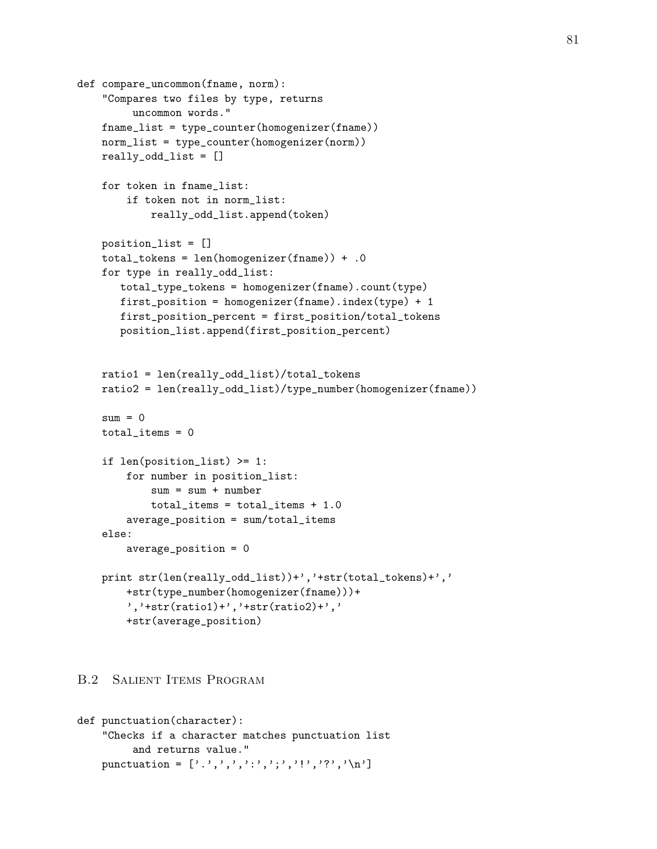```
def compare_uncommon(fname, norm):
    "Compares two files by type, returns
         uncommon words."
    fname_list = type_counter(homogenizer(fname))
    norm_list = type_counter(homogenizer(norm))
    really_odd_list = []
    for token in fname_list:
        if token not in norm_list:
            really_odd_list.append(token)
    position_list = []
    total_tokens = len(homogenizer(fname)) + .0
    for type in really_odd_list:
       total_type_tokens = homogenizer(fname).count(type)
       first_position = homogenizer(fname).index(type) + 1
       first_position_percent = first_position/total_tokens
       position_list.append(first_position_percent)
    ratio1 = len(really_odd_list)/total_tokens
    ratio2 = len(really_odd_list)/type_number(homogenizer(fname))
    sum = 0total\_items = 0if len(position_list) >= 1:
        for number in position_list:
            sum = sum + numbertotal_items = total_items + 1.0
        average_position = sum/total_items
    else:
        average_position = 0
    print str(len(really_odd_list))+','+str(total_tokens)+','
        +str(type_number(homogenizer(fname)))+
        ','+str(ratio1)+','+str(ratio2)+','
        +str(average_position)
```
## B.2 Salient Items Program

```
def punctuation(character):
      "Checks if a character matches punctuation list
             and returns value."
      punctuation = [\cdot,\cdot,\cdot,\cdot,\cdot,\cdot,\cdot,\cdot,\cdot,\cdot,\cdot,\cdot,\cdot,\cdot,\cdot,\cdot,\cdot]
```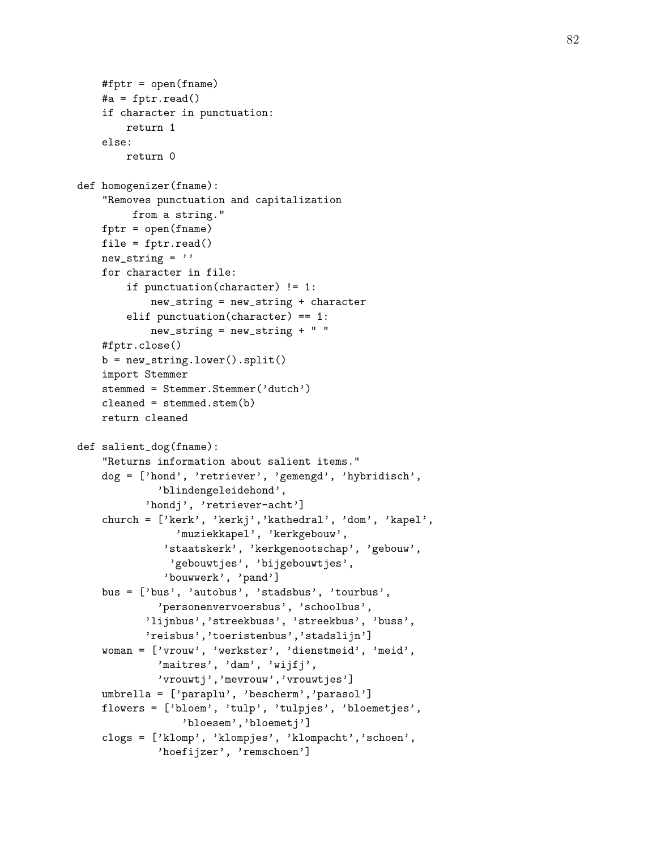```
#fptr = open(fname)#a = fptr.read()
    if character in punctuation:
        return 1
    else:
        return 0
def homogenizer(fname):
    "Removes punctuation and capitalization
         from a string."
    fptr = open(fname)file = fptr.read()new_string =''
    for character in file:
        if punctuation(character) != 1:
            new_string = new_string + character
        elif punctuation(character) == 1:
            new_string = new_string + " "
    #fptr.close()
    b = new_string.lower().split()import Stemmer
    stemmed = Stemmer.Stemmer('dutch')
    cleaned = stemmed.setem(b)return cleaned
def salient_dog(fname):
    "Returns information about salient items."
    dog = ['hond', 'retriever', 'gemengd', 'hybridisch',
             'blindengeleidehond',
           'hondj', 'retriever-acht']
    church = ['kerk', 'kerkj','kathedral', 'dom', 'kapel',
                'muziekkapel', 'kerkgebouw',
              'staatskerk', 'kerkgenootschap', 'gebouw',
               'gebouwtjes', 'bijgebouwtjes',
              'bouwwerk', 'pand']
    bus = ['bus', 'autobus', 'stadsbus', 'tourbus',
             'personenvervoersbus', 'schoolbus',
           'lijnbus','streekbuss', 'streekbus', 'buss',
           'reisbus','toeristenbus','stadslijn']
    woman = ['vrouw', 'werkster', 'dienstmeid', 'meid',
             'maitres', 'dam', 'wijfj',
             'vrouwtj','mevrouw','vrouwtjes']
    umbrella = ['paraplu', 'bescherm','parasol']
    flowers = ['bloem', 'tulp', 'tulpjes', 'bloemetjes',
                 'bloesem','bloemetj']
    clogs = ['klomp', 'klompjes', 'klompacht','schoen',
             'hoefijzer', 'remschoen']
```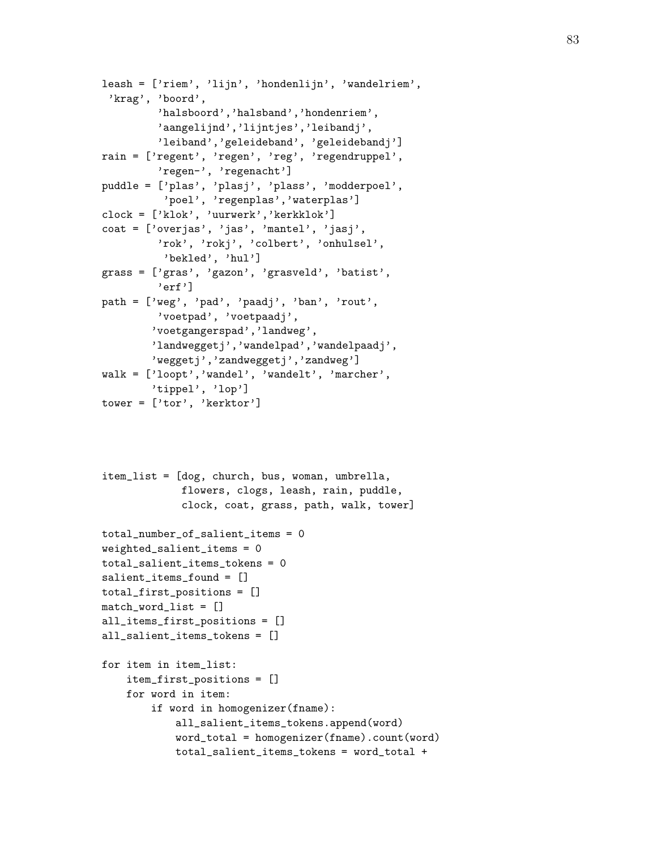```
leash = ['riem', 'lijn', 'hondenlijn', 'wandelriem',
 'krag', 'boord',
         'halsboord','halsband','hondenriem',
         'aangelijnd','lijntjes','leibandj',
         'leiband','geleideband', 'geleidebandj']
rain = ['regent', 'regen', 'reg', 'regendruppel',
         'regen-', 'regenacht']
puddle = ['plas', 'plasj', 'plass', 'modderpoel',
          'poel', 'regenplas','waterplas']
clock = ['klok', 'uurwerk','kerkklok']
coat = ['overjas', 'jas', 'mantel', 'jasj',
         'rok', 'rokj', 'colbert', 'onhulsel',
          'bekled', 'hul']
grass = ['gras', 'gazon', 'grasveld', 'batist',
         'erf']
path = ['weg', 'pad', 'paadj', 'ban', 'rout',
         'voetpad', 'voetpaadj',
        'voetgangerspad','landweg',
        'landweggetj','wandelpad','wandelpaadj',
        'weggetj','zandweggetj','zandweg']
walk = ['loopt','wandel', 'wandelt', 'marcher',
        'tippel', 'lop']
tower = ['tor', 'kerktor']
```

```
item_list = [dog, church, bus, woman, umbrella,
             flowers, clogs, leash, rain, puddle,
             clock, coat, grass, path, walk, tower]
```

```
total_number_of_salient_items = 0
weighted_salient_items = 0
total_salient_items_tokens = 0
salient_items_found = []
total_first_positions = []
match_word_list = []
all_items_first_positions = []
all_salient_items_tokens = []
for item in item_list:
    item_first_positions = []
    for word in item:
        if word in homogenizer(fname):
            all_salient_items_tokens.append(word)
            word_total = homogenizer(fname).count(word)
            total_salient_items_tokens = word_total +
```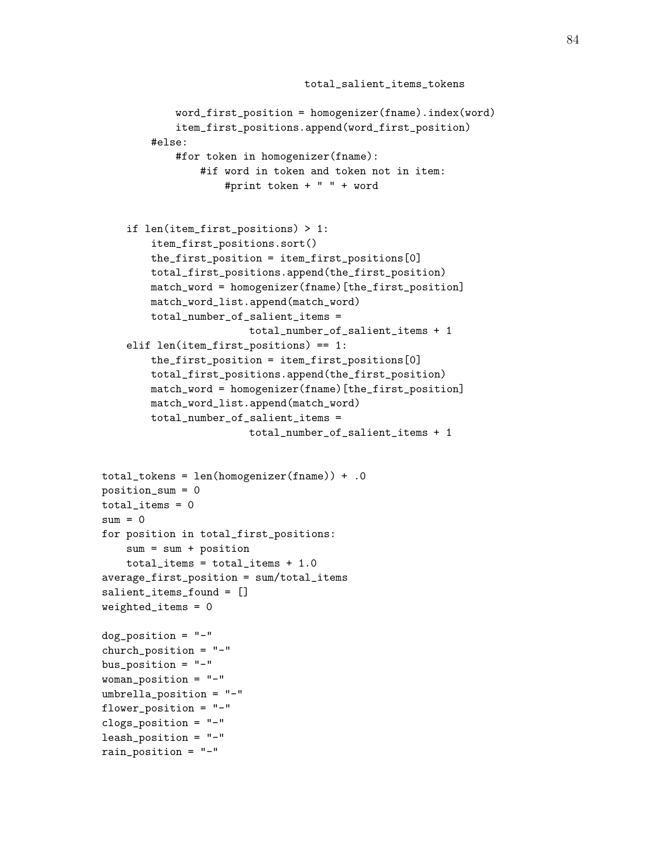```
total_salient_items_tokens
            word_first_position = homogenizer(fname).index(word)
            item_first_positions.append(word_first_position)
        #else:
            #for token in homogenizer(fname):
                #if word in token and token not in item:
                    #print token + " " + word
    if len(item_first_positions) > 1:
        item_first_positions.sort()
        the_first_position = item_first_positions[0]
        total_first_positions.append(the_first_position)
        match_word = homogenizer(fname)[the_first_position]
        match_word_list.append(match_word)
        total_number_of_salient_items =
                        total_number_of_salient_items + 1
    elif len(item_first_positions) == 1:
        the_first_position = item_first_positions[0]
        total_first_positions.append(the_first_position)
        match_word = homogenizer(fname)[the_first_position]
        match_word_list.append(match_word)
        total_number_of_salient_items =
                        total_number_of_salient_items + 1
total_tokens = len(homogenizer(fname)) + .0
position_sum = 0
total\_items = 0sum = 0for position in total_first_positions:
    sum = sum + positiontotal_items = total_items + 1.0
average_first_position = sum/total_items
salient_items_found = []
weighted_items = 0
dog_position = "-"
church_position = "-"
bus_position = "-"
woman_position = "-"
umbrella_position = "-"
flower_position = "-"
clogs_position = "-"
leash_position = "-"
rain_position = "-"
```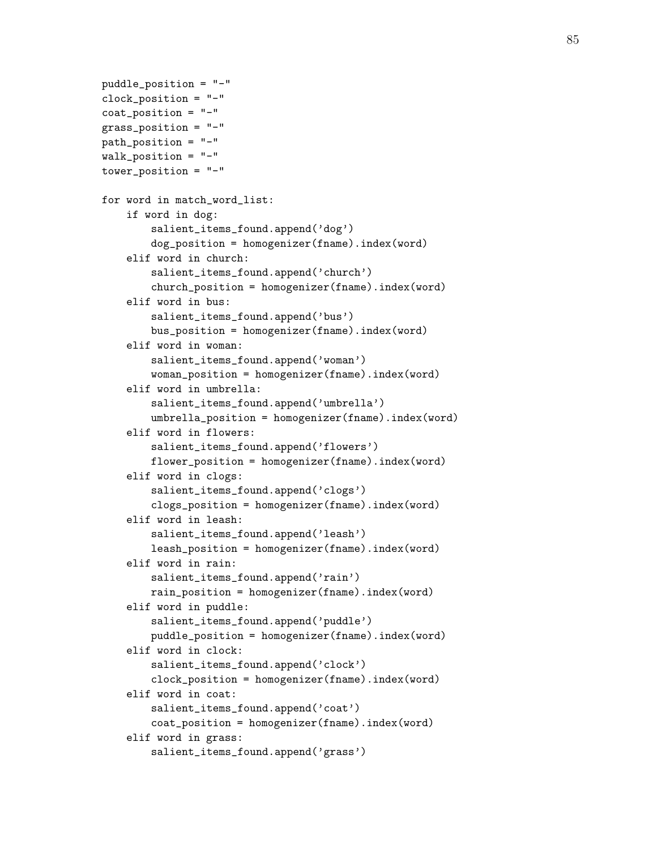```
puddle_position = "-"
clock_position = "-"
coat_position = "-"
grass_position = "-"
path_position = "-"
walk_position = "-"
tower_position = "-"
for word in match_word_list:
    if word in dog:
        salient_items_found.append('dog')
        dog_position = homogenizer(fname).index(word)
    elif word in church:
        salient_items_found.append('church')
        church_position = homogenizer(fname).index(word)
    elif word in bus:
        salient_items_found.append('bus')
        bus_position = homogenizer(fname).index(word)
    elif word in woman:
        salient_items_found.append('woman')
        woman_position = homogenizer(fname).index(word)
    elif word in umbrella:
        salient_items_found.append('umbrella')
        umbrella_position = homogenizer(fname).index(word)
    elif word in flowers:
        salient_items_found.append('flowers')
        flower_position = homogenizer(fname).index(word)
    elif word in clogs:
        salient_items_found.append('clogs')
        clogs_position = homogenizer(fname).index(word)
    elif word in leash:
        salient_items_found.append('leash')
        leash_position = homogenizer(fname).index(word)
    elif word in rain:
        salient_items_found.append('rain')
        rain_position = homogenizer(fname).index(word)
    elif word in puddle:
        salient_items_found.append('puddle')
        puddle_position = homogenizer(fname).index(word)
    elif word in clock:
        salient_items_found.append('clock')
        clock_position = homogenizer(fname).index(word)
    elif word in coat:
        salient_items_found.append('coat')
        coat_position = homogenizer(fname).index(word)
    elif word in grass:
        salient_items_found.append('grass')
```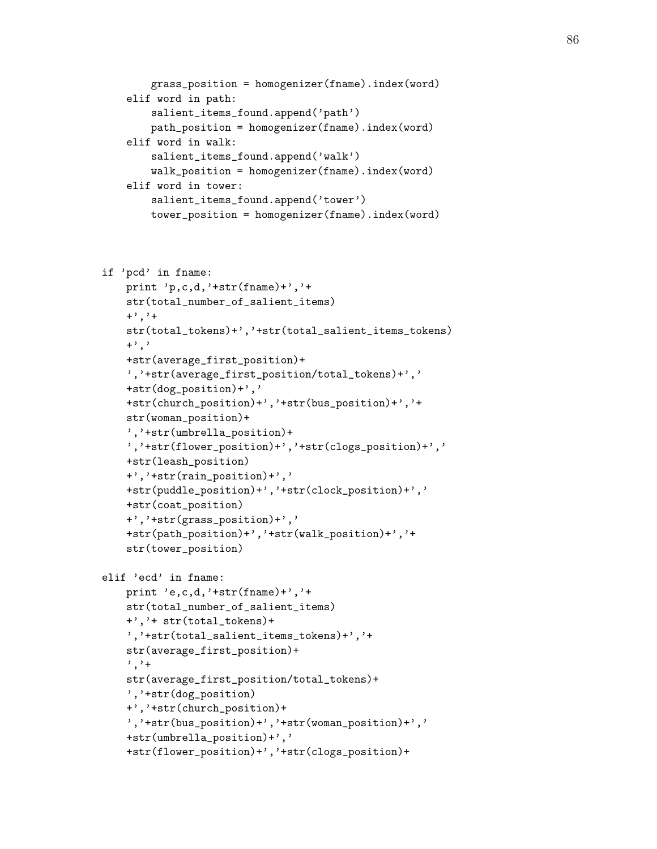```
grass_position = homogenizer(fname).index(word)
elif word in path:
    salient_items_found.append('path')
    path_position = homogenizer(fname).index(word)
elif word in walk:
    salient_items_found.append('walk')
    walk_position = homogenizer(fname).index(word)
elif word in tower:
    salient_items_found.append('tower')
    tower_position = homogenizer(fname).index(word)
```

```
if 'pcd' in fname:
   print 'p,c,d,'+str(fname)+','+
    str(total_number_of_salient_items)
    +', '+str(total_tokens)+','+str(total_salient_items_tokens)
    +<sup>'</sup>,'
    +str(average_first_position)+
    ','+str(average_first_position/total_tokens)+','
    +str(dog_position)+','
    +str(church_position)+','+str(bus_position)+','+
    str(woman_position)+
    ','+str(umbrella_position)+
    ','+str(flower_position)+','+str(clogs_position)+','
    +str(leash_position)
    +','+str(rain_position)+','
    +str(puddle_position)+','+str(clock_position)+','
    +str(coat_position)
    +','+str(grass_position)+','
    +str(path_position)+','+str(walk_position)+','+
    str(tower_position)
elif 'ecd' in fname:
   print 'e,c,d,'+str(fname)+','+
    str(total_number_of_salient_items)
    +','+ str(total_tokens)+
    ','+str(total_salient_items_tokens)+','+
    str(average_first_position)+
    ', '+
    str(average_first_position/total_tokens)+
    ','+str(dog_position)
    +','+str(church_position)+
    ','+str(bus_position)+','+str(woman_position)+','
    +str(umbrella_position)+','
    +str(flower_position)+','+str(clogs_position)+
```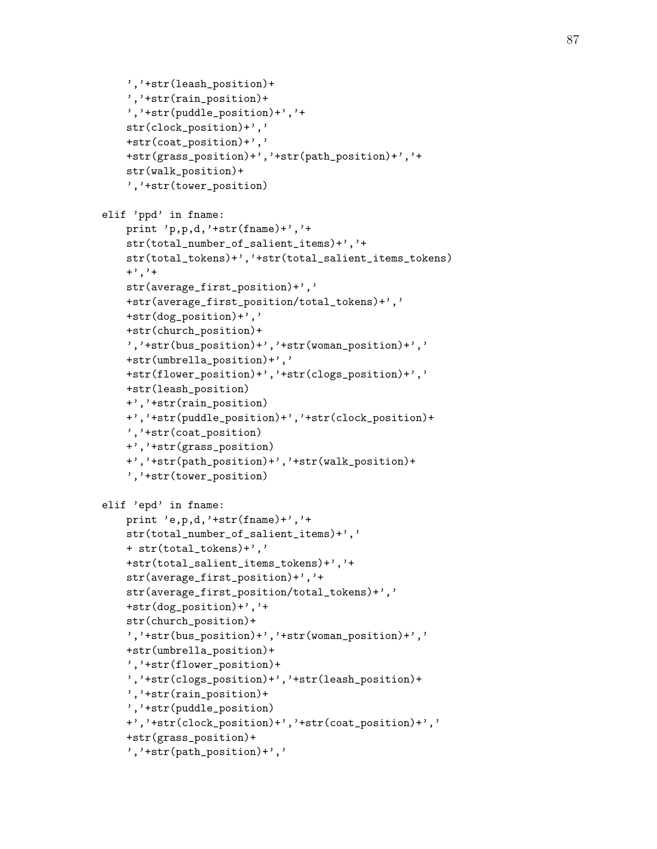```
','+str(leash_position)+
    ','+str(rain_position)+
    ','+str(puddle_position)+','+
    str(clock_position)+','
    +str(coat_position)+','
    +str(grass_position)+','+str(path_position)+','+
    str(walk_position)+
    ','+str(tower_position)
elif 'ppd' in fname:
   print 'p,p,d,'+str(fname)+','+str(total_number_of_salient_items)+','+
    str(total_tokens)+','+str(total_salient_items_tokens)
    +', '+str(average_first_position)+','
    +str(average_first_position/total_tokens)+','
    +str(dog_position)+','
    +str(church_position)+
    ','+str(bus_position)+','+str(woman_position)+','
    +str(umbrella_position)+','
    +str(flower_position)+','+str(clogs_position)+','
    +str(leash_position)
    +','+str(rain_position)
    +','+str(puddle_position)+','+str(clock_position)+
    ','+str(coat_position)
    +','+str(grass_position)
    +','+str(path_position)+','+str(walk_position)+
    ','+str(tower_position)
elif 'epd' in fname:
    print 'e,p,d,'+str(fname)+','+
    str(total_number_of_salient_items)+','
    + str(total_tokens)+','
    +str(total_salient_items_tokens)+','+
    str(average_first_position)+','+
    str(average_first_position/total_tokens)+','
    +str(dog_position)+','+
    str(church_position)+
    ','+str(bus_position)+','+str(woman_position)+','
    +str(umbrella_position)+
    ','+str(flower_position)+
    ','+str(clogs_position)+','+str(leash_position)+
    ','+str(rain_position)+
    ','+str(puddle_position)
    +','+str(clock_position)+','+str(coat_position)+','
    +str(grass_position)+
    ','+str(path_position)+','
```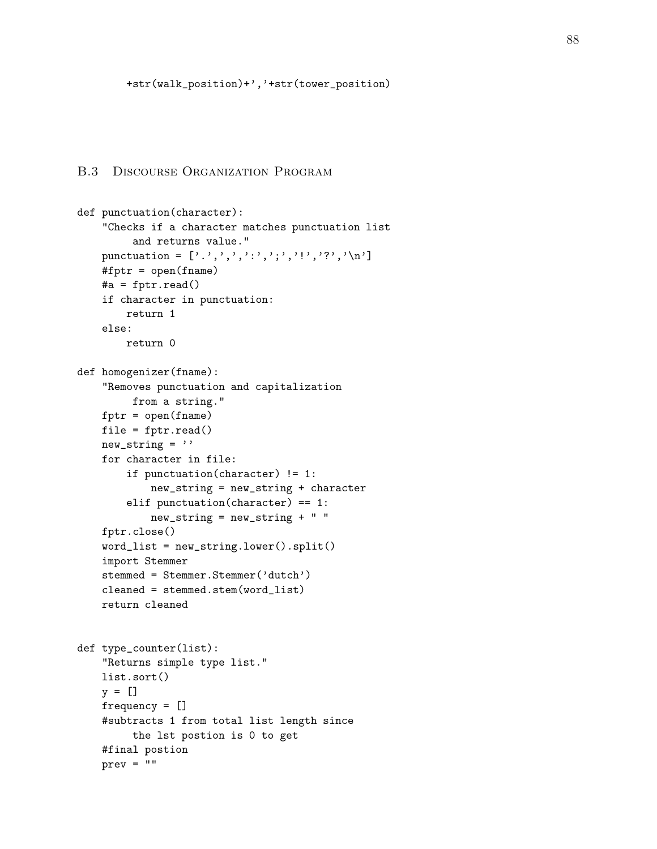# B.3 Discourse Organization Program

```
def punctuation(character):
    "Checks if a character matches punctuation list
         and returns value."
    punctuation = [\cdot,\cdot,\cdot,\cdot,\cdot,\cdot,\cdot,\cdot,\cdot,\cdot,\cdot,\cdot,\cdot,\cdot,\cdot,\cdot]#fptr = open(fname)
    #a = fptr.read()
    if character in punctuation:
        return 1
    else:
        return 0
def homogenizer(fname):
    "Removes punctuation and capitalization
         from a string."
    fptr = open(fname)file = fptr.read()
    new_string =''
    for character in file:
        if punctuation(character) != 1:
             new_string = new_string + character
        elif punctuation(character) == 1:
             new_string = new_string + " "
    fptr.close()
    word_list = new_string.lower().split()
    import Stemmer
    stemmed = Stemmer.Stemmer('dutch')
    cleaned = stemmed.stem(word_list)
    return cleaned
def type_counter(list):
    "Returns simple type list."
    list.sort()
    y = []frequency = []
    #subtracts 1 from total list length since
         the lst postion is 0 to get
    #final postion
    prev = ""
```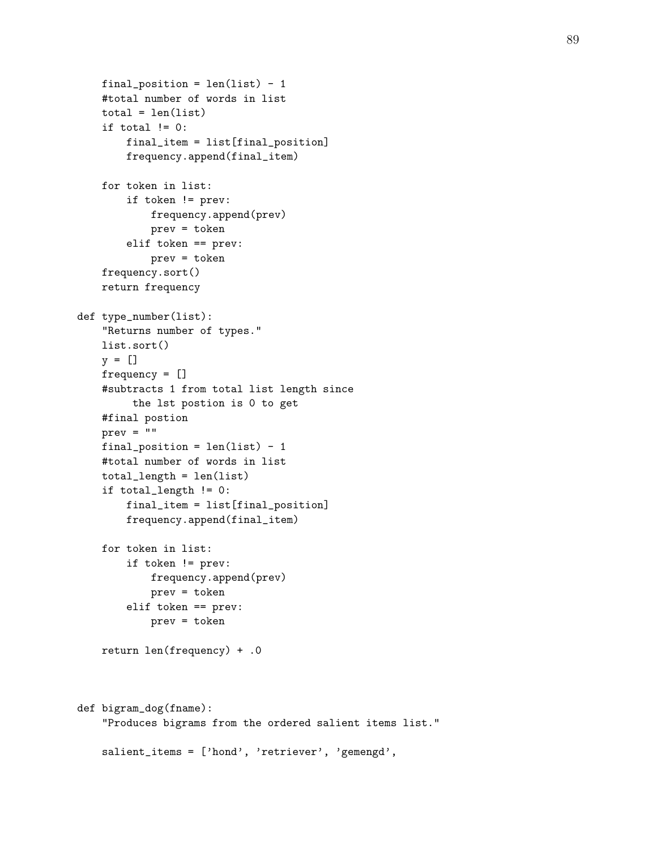```
final_position = len(list) - 1
    #total number of words in list
    total = len(list)if total != 0:
        final_item = list[final_position]
        frequency.append(final_item)
    for token in list:
        if token != prev:
            frequency.append(prev)
            prev = token
        elif token == prev:
            prev = token
    frequency.sort()
    return frequency
def type_number(list):
    "Returns number of types."
    list.sort()
    y = []frequency = []
    #subtracts 1 from total list length since
         the lst postion is 0 to get
    #final postion
    prev = "final_position = len(list) - 1
    #total number of words in list
    total_length = len(list)
    if total_length != 0:
        final_item = list[final_position]
        frequency.append(final_item)
    for token in list:
        if token != prev:
            frequency.append(prev)
            prev = token
        elif token == prev:
            prev = token
    return len(frequency) + .0
def bigram_dog(fname):
    "Produces bigrams from the ordered salient items list."
    salient_items = ['hond', 'retriever', 'gemengd',
```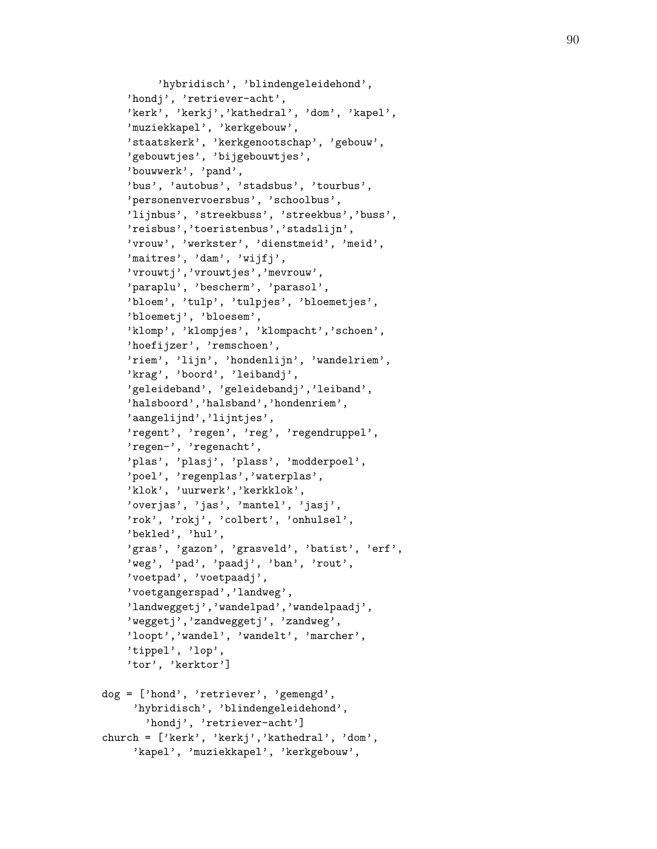```
'hybridisch', 'blindengeleidehond',
    'hondj', 'retriever-acht',
    'kerk', 'kerkj','kathedral', 'dom', 'kapel',
    'muziekkapel', 'kerkgebouw',
    'staatskerk', 'kerkgenootschap', 'gebouw',
    'gebouwtjes', 'bijgebouwtjes',
    'bouwwerk', 'pand',
    'bus', 'autobus', 'stadsbus', 'tourbus',
    'personenvervoersbus', 'schoolbus',
    'lijnbus', 'streekbuss', 'streekbus','buss',
    'reisbus','toeristenbus','stadslijn',
    'vrouw', 'werkster', 'dienstmeid', 'meid',
    'maitres', 'dam', 'wijfj',
    'vrouwtj','vrouwtjes','mevrouw',
    'paraplu', 'bescherm', 'parasol',
    'bloem', 'tulp', 'tulpjes', 'bloemetjes',
    'bloemetj', 'bloesem',
    'klomp', 'klompjes', 'klompacht','schoen',
    'hoefijzer', 'remschoen',
    'riem', 'lijn', 'hondenlijn', 'wandelriem',
    'krag', 'boord', 'leibandj',
    'geleideband', 'geleidebandj','leiband',
    'halsboord','halsband','hondenriem',
    'aangelijnd','lijntjes',
    'regent', 'regen', 'reg', 'regendruppel',
    'regen-', 'regenacht',
    'plas', 'plasj', 'plass', 'modderpoel',
    'poel', 'regenplas','waterplas',
    'klok', 'uurwerk','kerkklok',
    'overjas', 'jas', 'mantel', 'jasj',
    'rok', 'rokj', 'colbert', 'onhulsel',
    'bekled', 'hul',
    'gras', 'gazon', 'grasveld', 'batist', 'erf',
    'weg', 'pad', 'paadj', 'ban', 'rout',
    'voetpad', 'voetpaadj',
    'voetgangerspad','landweg',
    'landweggetj','wandelpad','wandelpaadj',
    'weggetj','zandweggetj', 'zandweg',
    'loopt','wandel', 'wandelt', 'marcher',
    'tippel', 'lop',
    'tor', 'kerktor']
dog = ['hond', 'retriever', 'gemengd',
     'hybridisch', 'blindengeleidehond',
       'hondj', 'retriever-acht']
church = ['kerk', 'kerkj','kathedral', 'dom',
     'kapel', 'muziekkapel', 'kerkgebouw',
```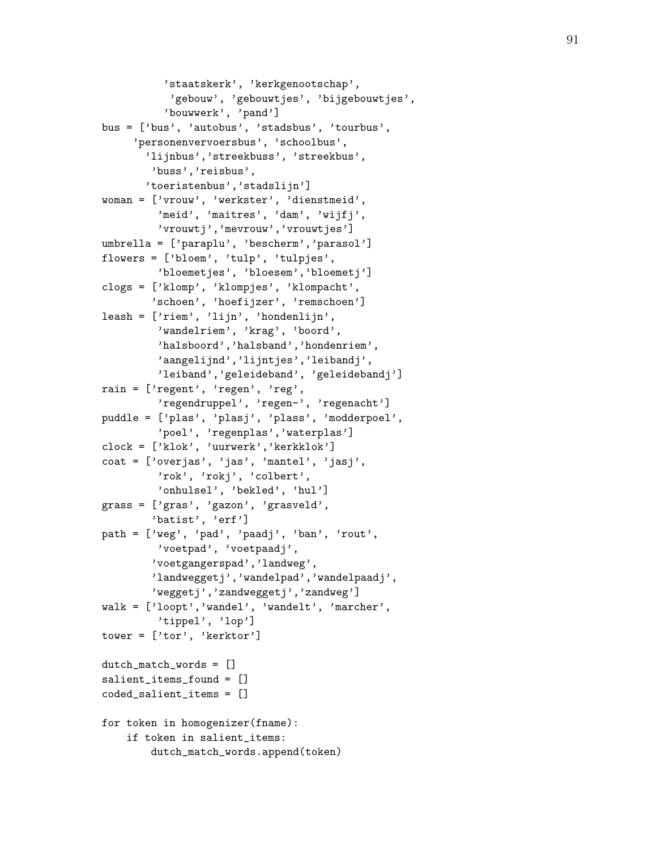```
'staatskerk', 'kerkgenootschap',
           'gebouw', 'gebouwtjes', 'bijgebouwtjes',
          'bouwwerk', 'pand']
bus = ['bus', 'autobus', 'stadsbus', 'tourbus',
     'personenvervoersbus', 'schoolbus',
       'lijnbus','streekbuss', 'streekbus',
        'buss','reisbus',
       'toeristenbus','stadslijn']
woman = ['vrouw', 'werkster', 'dienstmeid',
         'meid', 'maitres', 'dam', 'wijfj',
         'vrouwtj','mevrouw','vrouwtjes']
umbrella = ['paraplu', 'bescherm','parasol']
flowers = ['bloem', 'tulp', 'tulpjes',
         'bloemetjes', 'bloesem','bloemetj']
clogs = ['klomp', 'klompjes', 'klompacht',
        'schoen', 'hoefijzer', 'remschoen']
leash = ['riem', 'lijn', 'hondenlijn',
         'wandelriem', 'krag', 'boord',
         'halsboord','halsband','hondenriem',
         'aangelijnd','lijntjes','leibandj',
         'leiband','geleideband', 'geleidebandj']
rain = ['regent', 'regen', 'reg',
         'regendruppel', 'regen-', 'regenacht']
puddle = ['plas', 'plasj', 'plass', 'modderpoel',
         'poel', 'regenplas','waterplas']
clock = ['klok', 'uurwerk','kerkklok']
coat = ['overjas', 'jas', 'mantel', 'jasj',
         'rok', 'rokj', 'colbert',
         'onhulsel', 'bekled', 'hul']
grass = ['gras', 'gazon', 'grasveld',
        'batist', 'erf']
path = ['weg', 'pad', 'paadj', 'ban', 'rout',
         'voetpad', 'voetpaadj',
        'voetgangerspad','landweg',
        'landweggetj','wandelpad','wandelpaadj',
        'weggetj','zandweggetj','zandweg']
walk = ['loopt','wandel', 'wandelt', 'marcher',
         'tippel', 'lop']
tower = ['tor', 'kerktor']
dutch_match_words = []
salient_items_found = []
coded_salient_items = []
for token in homogenizer(fname):
    if token in salient_items:
        dutch_match_words.append(token)
```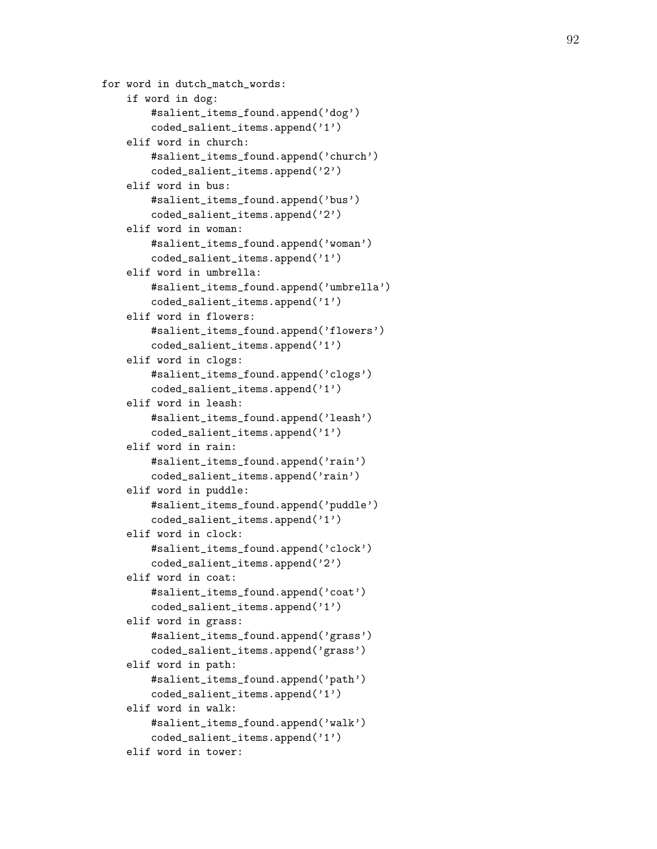```
for word in dutch_match_words:
    if word in dog:
        #salient_items_found.append('dog')
        coded_salient_items.append('1')
    elif word in church:
        #salient_items_found.append('church')
        coded_salient_items.append('2')
    elif word in bus:
        #salient_items_found.append('bus')
        coded_salient_items.append('2')
    elif word in woman:
        #salient_items_found.append('woman')
        coded_salient_items.append('1')
    elif word in umbrella:
        #salient_items_found.append('umbrella')
        coded_salient_items.append('1')
    elif word in flowers:
        #salient_items_found.append('flowers')
        coded_salient_items.append('1')
    elif word in clogs:
        #salient_items_found.append('clogs')
        coded_salient_items.append('1')
    elif word in leash:
        #salient_items_found.append('leash')
        coded_salient_items.append('1')
    elif word in rain:
        #salient_items_found.append('rain')
        coded_salient_items.append('rain')
    elif word in puddle:
        #salient_items_found.append('puddle')
        coded_salient_items.append('1')
    elif word in clock:
        #salient_items_found.append('clock')
        coded_salient_items.append('2')
    elif word in coat:
        #salient_items_found.append('coat')
        coded_salient_items.append('1')
    elif word in grass:
        #salient_items_found.append('grass')
        coded_salient_items.append('grass')
    elif word in path:
        #salient_items_found.append('path')
        coded_salient_items.append('1')
    elif word in walk:
        #salient_items_found.append('walk')
        coded_salient_items.append('1')
    elif word in tower:
```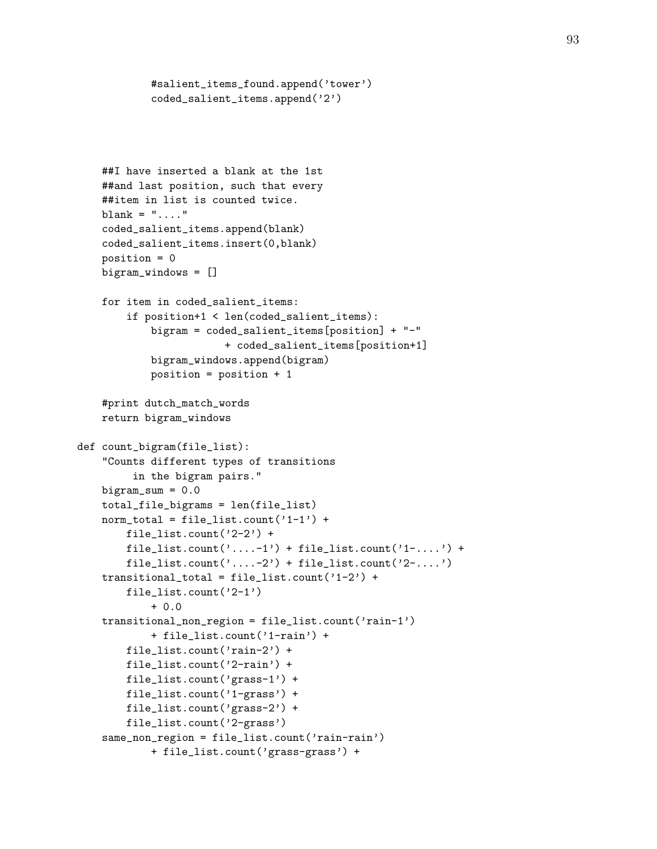```
coded_salient_items.append('2')
    ##I have inserted a blank at the 1st
    ##and last position, such that every
    ##item in list is counted twice.
    blank = "...."
    coded_salient_items.append(blank)
    coded_salient_items.insert(0,blank)
    position = 0
    bigram_windows = []
    for item in coded_salient_items:
        if position+1 < len(coded_salient_items):
            bigram = coded_salient_items[position] + "-"
                        + coded_salient_items[position+1]
            bigram_windows.append(bigram)
            position = position + 1
    #print dutch_match_words
    return bigram_windows
def count_bigram(file_list):
    "Counts different types of transitions
         in the bigram pairs."
    bigram\_sum = 0.0total_file_bigrams = len(file_list)
    norm\_total = file\_list.count('1-1') +file_list.count('2-2') +
        file_list.count('....-1') + file_list.count('1-....') +
        file_list.count('....-2') + file_list.count('2-....')
    transitional_total = file_list.count('1-2') +
        file_list.count('2-1')
            + 0.0
    transitional_non_region = file_list.count('rain-1')
            + file_list.count('1-rain') +
        file_list.count('rain-2') +
        file_list.count('2-rain') +
        file_list.count('grass-1') +
        file_list.count('1-grass') +
        file_list.count('grass-2') +
        file_list.count('2-grass')
    same_non_region = file_list.count('rain-rain')
            + file_list.count('grass-grass') +
```
#salient\_items\_found.append('tower')